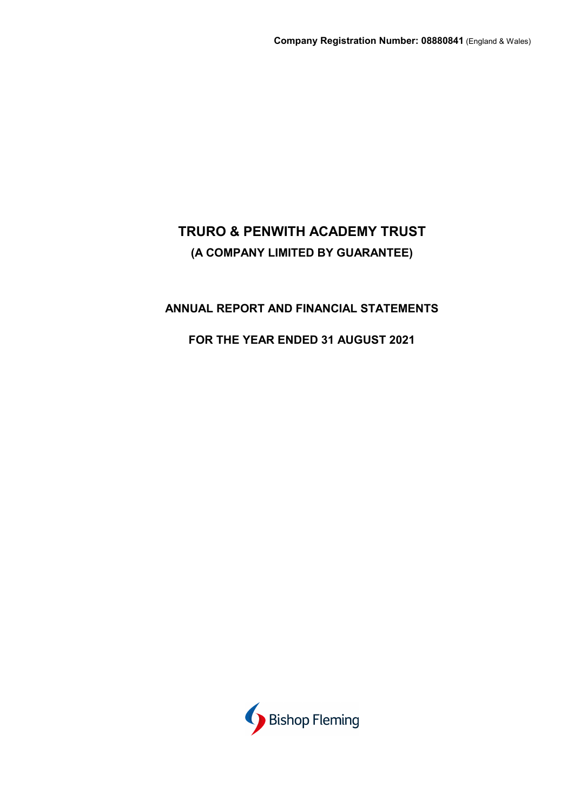## **ANNUAL REPORT AND FINANCIAL STATEMENTS**

## **FOR THE YEAR ENDED 31 AUGUST 2021**

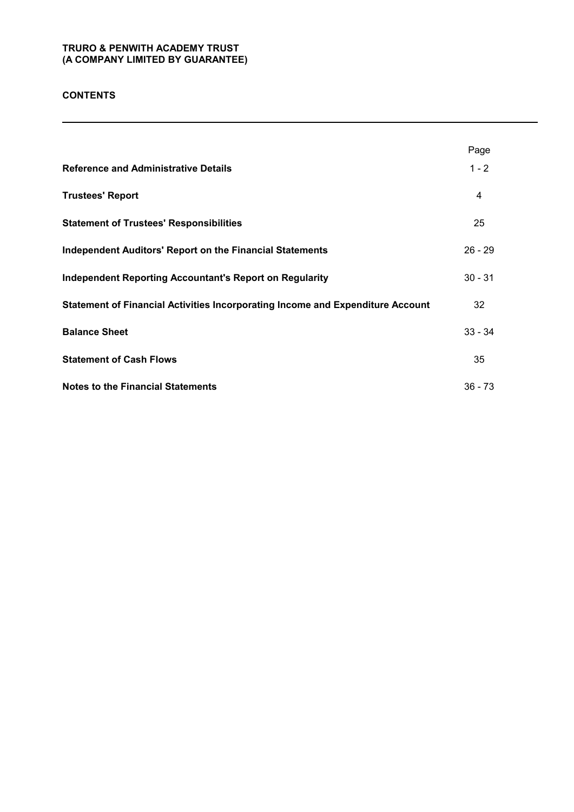## **CONTENTS**

|                                                                                | Page      |
|--------------------------------------------------------------------------------|-----------|
| <b>Reference and Administrative Details</b>                                    | $1 - 2$   |
| <b>Trustees' Report</b>                                                        | 4         |
| <b>Statement of Trustees' Responsibilities</b>                                 | 25        |
| <b>Independent Auditors' Report on the Financial Statements</b>                | $26 - 29$ |
| <b>Independent Reporting Accountant's Report on Regularity</b>                 | $30 - 31$ |
| Statement of Financial Activities Incorporating Income and Expenditure Account | 32        |
| <b>Balance Sheet</b>                                                           | $33 - 34$ |
| <b>Statement of Cash Flows</b>                                                 | 35        |
| <b>Notes to the Financial Statements</b>                                       | $36 - 73$ |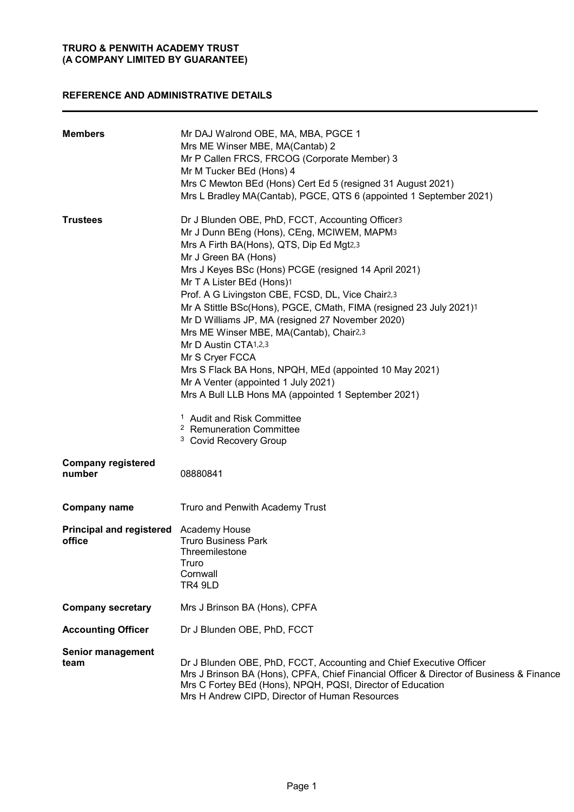## **REFERENCE AND ADMINISTRATIVE DETAILS**

| <b>Members</b>                                   | Mr DAJ Walrond OBE, MA, MBA, PGCE 1<br>Mrs ME Winser MBE, MA(Cantab) 2<br>Mr P Callen FRCS, FRCOG (Corporate Member) 3<br>Mr M Tucker BEd (Hons) 4<br>Mrs C Mewton BEd (Hons) Cert Ed 5 (resigned 31 August 2021)<br>Mrs L Bradley MA(Cantab), PGCE, QTS 6 (appointed 1 September 2021)                                                                                                                                                                                                                                                                                                                                                                                                                                                                                                                   |
|--------------------------------------------------|-----------------------------------------------------------------------------------------------------------------------------------------------------------------------------------------------------------------------------------------------------------------------------------------------------------------------------------------------------------------------------------------------------------------------------------------------------------------------------------------------------------------------------------------------------------------------------------------------------------------------------------------------------------------------------------------------------------------------------------------------------------------------------------------------------------|
| <b>Trustees</b>                                  | Dr J Blunden OBE, PhD, FCCT, Accounting Officer3<br>Mr J Dunn BEng (Hons), CEng, MCIWEM, MAPM3<br>Mrs A Firth BA(Hons), QTS, Dip Ed Mgt2,3<br>Mr J Green BA (Hons)<br>Mrs J Keyes BSc (Hons) PCGE (resigned 14 April 2021)<br>Mr T A Lister BEd (Hons)1<br>Prof. A G Livingston CBE, FCSD, DL, Vice Chair2,3<br>Mr A Stittle BSc(Hons), PGCE, CMath, FIMA (resigned 23 July 2021)1<br>Mr D Williams JP, MA (resigned 27 November 2020)<br>Mrs ME Winser MBE, MA(Cantab), Chair2,3<br>Mr D Austin CTA1,2,3<br>Mr S Cryer FCCA<br>Mrs S Flack BA Hons, NPQH, MEd (appointed 10 May 2021)<br>Mr A Venter (appointed 1 July 2021)<br>Mrs A Bull LLB Hons MA (appointed 1 September 2021)<br><sup>1</sup> Audit and Risk Committee<br><sup>2</sup> Remuneration Committee<br><sup>3</sup> Covid Recovery Group |
| <b>Company registered</b><br>number              | 08880841                                                                                                                                                                                                                                                                                                                                                                                                                                                                                                                                                                                                                                                                                                                                                                                                  |
| <b>Company name</b>                              | Truro and Penwith Academy Trust                                                                                                                                                                                                                                                                                                                                                                                                                                                                                                                                                                                                                                                                                                                                                                           |
| Principal and registered Academy House<br>office | <b>Truro Business Park</b><br>Threemilestone<br>Truro<br>Cornwall<br>TR4 9LD                                                                                                                                                                                                                                                                                                                                                                                                                                                                                                                                                                                                                                                                                                                              |
| <b>Company secretary</b>                         | Mrs J Brinson BA (Hons), CPFA                                                                                                                                                                                                                                                                                                                                                                                                                                                                                                                                                                                                                                                                                                                                                                             |
| <b>Accounting Officer</b>                        | Dr J Blunden OBE, PhD, FCCT                                                                                                                                                                                                                                                                                                                                                                                                                                                                                                                                                                                                                                                                                                                                                                               |
| <b>Senior management</b><br>team                 | Dr J Blunden OBE, PhD, FCCT, Accounting and Chief Executive Officer<br>Mrs J Brinson BA (Hons), CPFA, Chief Financial Officer & Director of Business & Finance<br>Mrs C Fortey BEd (Hons), NPQH, PQSI, Director of Education<br>Mrs H Andrew CIPD, Director of Human Resources                                                                                                                                                                                                                                                                                                                                                                                                                                                                                                                            |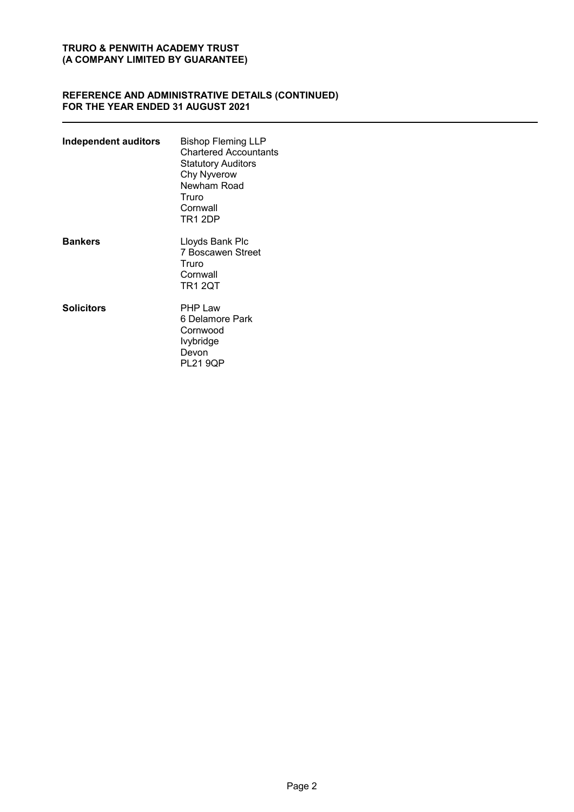## **REFERENCE AND ADMINISTRATIVE DETAILS (CONTINUED) FOR THE YEAR ENDED 31 AUGUST 2021**

| Independent auditors | Bishop Fleming LLP<br><b>Chartered Accountants</b><br>Statutory Auditors<br>Chy Nyverow<br>Newham Road<br>Truro<br>Cornwall<br><b>TR1 2DP</b> |
|----------------------|-----------------------------------------------------------------------------------------------------------------------------------------------|
| <b>Bankers</b>       | Lloyds Bank Plc<br><b>7 Boscawen Street</b><br>Truro<br>Cornwall<br><b>TR1 2QT</b>                                                            |
| <b>Solicitors</b>    | <b>PHP Law</b><br>6 Delamore Park<br>Cornwood<br>Ivybridge<br>Devon<br>PL21 9QP                                                               |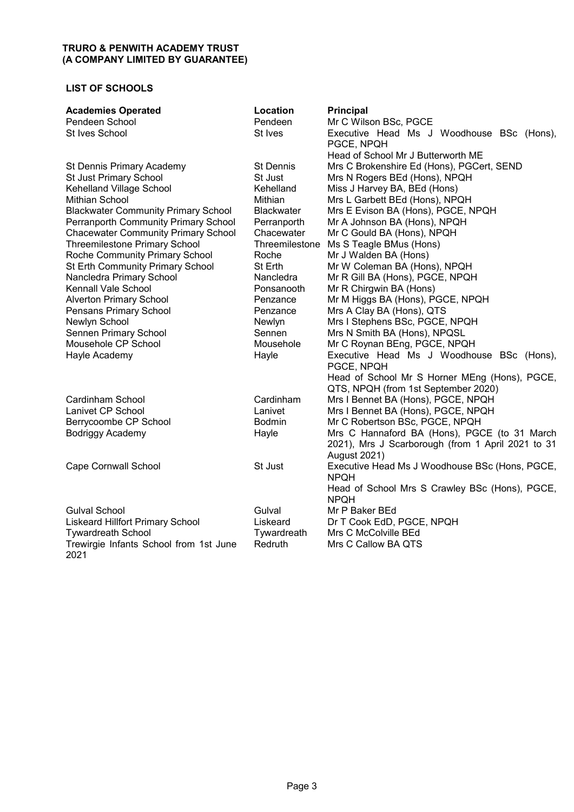## **LIST OF SCHOOLS**

| <b>Academies Operated</b>                  | Location          | <b>Principal</b>                                  |
|--------------------------------------------|-------------------|---------------------------------------------------|
| Pendeen School                             | Pendeen           | Mr C Wilson BSc, PGCE                             |
| St Ives School                             | St Ives           | Executive Head Ms J Woodhouse BSc (Hons),         |
|                                            |                   | PGCE, NPQH                                        |
|                                            |                   | Head of School Mr J Butterworth ME                |
| St Dennis Primary Academy                  | <b>St Dennis</b>  | Mrs C Brokenshire Ed (Hons), PGCert, SEND         |
| St Just Primary School                     | St Just           | Mrs N Rogers BEd (Hons), NPQH                     |
| Kehelland Village School                   | Kehelland         | Miss J Harvey BA, BEd (Hons)                      |
| Mithian School                             | Mithian           | Mrs L Garbett BEd (Hons), NPQH                    |
| <b>Blackwater Community Primary School</b> | <b>Blackwater</b> | Mrs E Evison BA (Hons), PGCE, NPQH                |
| Perranporth Community Primary School       | Perranporth       | Mr A Johnson BA (Hons), NPQH                      |
| <b>Chacewater Community Primary School</b> | Chacewater        | Mr C Gould BA (Hons), NPQH                        |
| <b>Threemilestone Primary School</b>       | Threemilestone    | Ms S Teagle BMus (Hons)                           |
| Roche Community Primary School             | Roche             | Mr J Walden BA (Hons)                             |
| St Erth Community Primary School           | St Erth           | Mr W Coleman BA (Hons), NPQH                      |
| Nancledra Primary School                   | Nancledra         | Mr R Gill BA (Hons), PGCE, NPQH                   |
| Kennall Vale School                        | Ponsanooth        | Mr R Chirgwin BA (Hons)                           |
| <b>Alverton Primary School</b>             | Penzance          | Mr M Higgs BA (Hons), PGCE, NPQH                  |
| Pensans Primary School                     | Penzance          | Mrs A Clay BA (Hons), QTS                         |
| Newlyn School                              | Newlyn            | Mrs I Stephens BSc, PGCE, NPQH                    |
| Sennen Primary School                      | Sennen            | Mrs N Smith BA (Hons), NPQSL                      |
| Mousehole CP School                        | Mousehole         | Mr C Roynan BEng, PGCE, NPQH                      |
| Hayle Academy                              | Hayle             | Executive Head Ms J Woodhouse BSc (Hons),         |
|                                            |                   | PGCE, NPQH                                        |
|                                            |                   | Head of School Mr S Horner MEng (Hons), PGCE,     |
|                                            |                   | QTS, NPQH (from 1st September 2020)               |
| Cardinham School                           | Cardinham         | Mrs I Bennet BA (Hons), PGCE, NPQH                |
| Lanivet CP School                          | Lanivet           | Mrs I Bennet BA (Hons), PGCE, NPQH                |
| Berrycoombe CP School                      | <b>Bodmin</b>     | Mr C Robertson BSc, PGCE, NPQH                    |
| <b>Bodriggy Academy</b>                    | Hayle             | Mrs C Hannaford BA (Hons), PGCE (to 31 March      |
|                                            |                   | 2021), Mrs J Scarborough (from 1 April 2021 to 31 |
|                                            |                   | <b>August 2021)</b>                               |
| <b>Cape Cornwall School</b>                | St Just           | Executive Head Ms J Woodhouse BSc (Hons, PGCE,    |
|                                            |                   | <b>NPQH</b>                                       |
|                                            |                   | Head of School Mrs S Crawley BSc (Hons), PGCE,    |
|                                            |                   | <b>NPQH</b>                                       |
| <b>Gulval School</b>                       | Gulval            | Mr P Baker BEd                                    |
| <b>Liskeard Hillfort Primary School</b>    | Liskeard          | Dr T Cook EdD, PGCE, NPQH                         |
| <b>Tywardreath School</b>                  | Tywardreath       | Mrs C McColville BEd                              |
| Trewirgie Infants School from 1st June     | Redruth           | Mrs C Callow BA QTS                               |
| 2021                                       |                   |                                                   |
|                                            |                   |                                                   |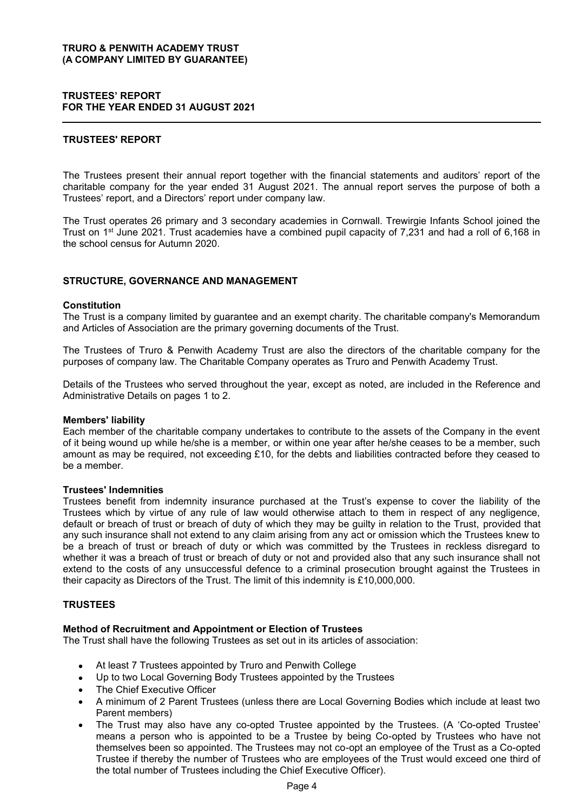#### **TRUSTEES' REPORT FOR THE YEAR ENDED 31 AUGUST 2021**

## **TRUSTEES' REPORT**

The Trustees present their annual report together with the financial statements and auditors' report of the charitable company for the year ended 31 August 2021. The annual report serves the purpose of both a Trustees' report, and a Directors' report under company law.

The Trust operates 26 primary and 3 secondary academies in Cornwall. Trewirgie Infants School joined the Trust on 1<sup>st</sup> June 2021. Trust academies have a combined pupil capacity of 7,231 and had a roll of 6,168 in the school census for Autumn 2020.

## **STRUCTURE, GOVERNANCE AND MANAGEMENT**

#### **Constitution**

The Trust is a company limited by guarantee and an exempt charity. The charitable company's Memorandum and Articles of Association are the primary governing documents of the Trust.

The Trustees of Truro & Penwith Academy Trust are also the directors of the charitable company for the purposes of company law. The Charitable Company operates as Truro and Penwith Academy Trust.

Details of the Trustees who served throughout the year, except as noted, are included in the Reference and Administrative Details on pages 1 to 2.

#### **Members' liability**

Each member of the charitable company undertakes to contribute to the assets of the Company in the event of it being wound up while he/she is a member, or within one year after he/she ceases to be a member, such amount as may be required, not exceeding £10, for the debts and liabilities contracted before they ceased to be a member.

#### **Trustees' Indemnities**

Trustees benefit from indemnity insurance purchased at the Trust's expense to cover the liability of the Trustees which by virtue of any rule of law would otherwise attach to them in respect of any negligence, default or breach of trust or breach of duty of which they may be guilty in relation to the Trust, provided that any such insurance shall not extend to any claim arising from any act or omission which the Trustees knew to be a breach of trust or breach of duty or which was committed by the Trustees in reckless disregard to whether it was a breach of trust or breach of duty or not and provided also that any such insurance shall not extend to the costs of any unsuccessful defence to a criminal prosecution brought against the Trustees in their capacity as Directors of the Trust. The limit of this indemnity is £10,000,000.

#### **TRUSTEES**

#### **Method of Recruitment and Appointment or Election of Trustees**

The Trust shall have the following Trustees as set out in its articles of association:

- At least 7 Trustees appointed by Truro and Penwith College
- Up to two Local Governing Body Trustees appointed by the Trustees
- The Chief Executive Officer
- x A minimum of 2 Parent Trustees (unless there are Local Governing Bodies which include at least two Parent members)
- The Trust may also have any co-opted Trustee appointed by the Trustees. (A 'Co-opted Trustee' means a person who is appointed to be a Trustee by being Co-opted by Trustees who have not themselves been so appointed. The Trustees may not co-opt an employee of the Trust as a Co-opted Trustee if thereby the number of Trustees who are employees of the Trust would exceed one third of the total number of Trustees including the Chief Executive Officer).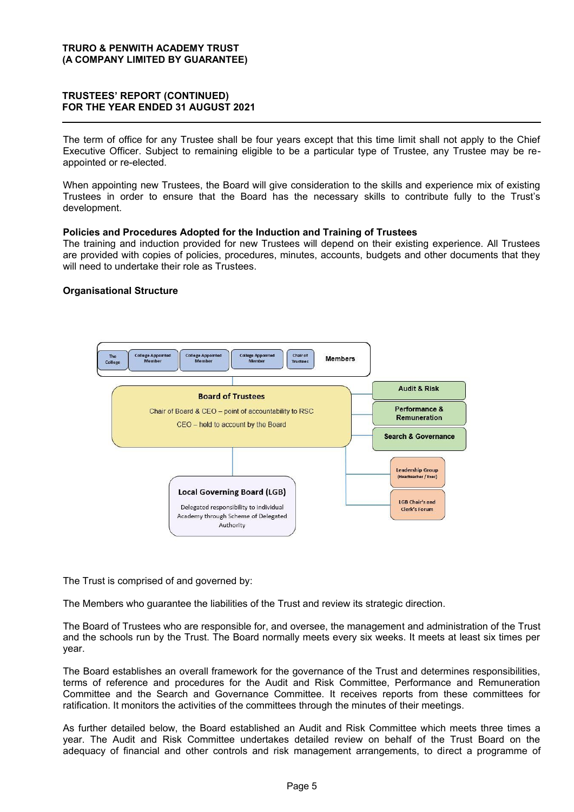## **75867((6¶5(3257 (CONTINUED) FOR THE YEAR ENDED 31 AUGUST 2021**

The term of office for any Trustee shall be four years except that this time limit shall not apply to the Chief Executive Officer. Subject to remaining eligible to be a particular type of Trustee, any Trustee may be reappointed or re-elected.

When appointing new Trustees, the Board will give consideration to the skills and experience mix of existing Trustees in order to ensure that the Board has the necessary skills to contribute fully to the Trust's development.

#### **Policies and Procedures Adopted for the Induction and Training of Trustees**

The training and induction provided for new Trustees will depend on their existing experience. All Trustees are provided with copies of policies, procedures, minutes, accounts, budgets and other documents that they will need to undertake their role as Trustees.

## **Organisational Structure**



The Trust is comprised of and governed by:

The Members who guarantee the liabilities of the Trust and review its strategic direction.

The Board of Trustees who are responsible for, and oversee, the management and administration of the Trust and the schools run by the Trust. The Board normally meets every six weeks. It meets at least six times per year.

The Board establishes an overall framework for the governance of the Trust and determines responsibilities, terms of reference and procedures for the Audit and Risk Committee, Performance and Remuneration Committee and the Search and Governance Committee. It receives reports from these committees for ratification. It monitors the activities of the committees through the minutes of their meetings.

As further detailed below, the Board established an Audit and Risk Committee which meets three times a year. The Audit and Risk Committee undertakes detailed review on behalf of the Trust Board on the adequacy of financial and other controls and risk management arrangements, to direct a programme of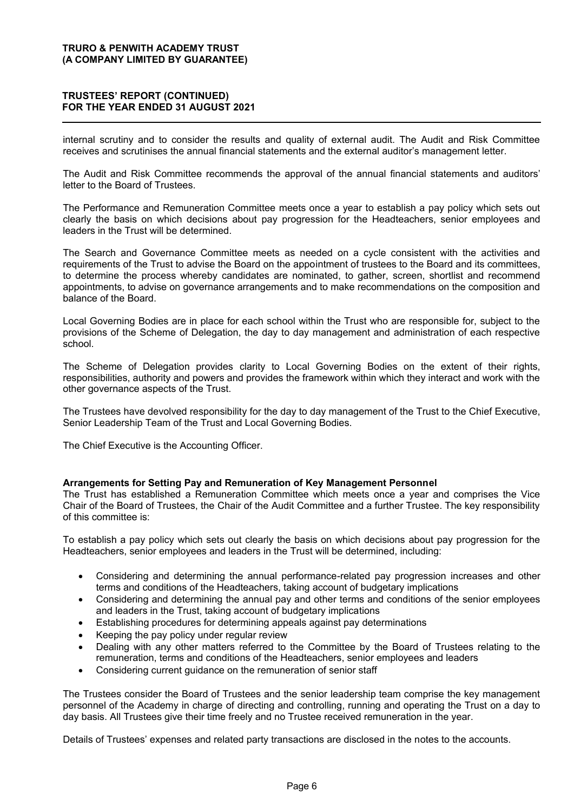## **75867((6¶5(3257 (CONTINUED) FOR THE YEAR ENDED 31 AUGUST 2021**

internal scrutiny and to consider the results and quality of external audit. The Audit and Risk Committee receives and scrutinises the annual financial statements and the external auditor's management letter.

The Audit and Risk Committee recommends the approval of the annual financial statements and auditors' letter to the Board of Trustees.

The Performance and Remuneration Committee meets once a year to establish a pay policy which sets out clearly the basis on which decisions about pay progression for the Headteachers, senior employees and leaders in the Trust will be determined.

The Search and Governance Committee meets as needed on a cycle consistent with the activities and requirements of the Trust to advise the Board on the appointment of trustees to the Board and its committees, to determine the process whereby candidates are nominated, to gather, screen, shortlist and recommend appointments, to advise on governance arrangements and to make recommendations on the composition and balance of the Board.

Local Governing Bodies are in place for each school within the Trust who are responsible for, subject to the provisions of the Scheme of Delegation, the day to day management and administration of each respective school.

The Scheme of Delegation provides clarity to Local Governing Bodies on the extent of their rights, responsibilities, authority and powers and provides the framework within which they interact and work with the other governance aspects of the Trust.

The Trustees have devolved responsibility for the day to day management of the Trust to the Chief Executive, Senior Leadership Team of the Trust and Local Governing Bodies.

The Chief Executive is the Accounting Officer.

## **Arrangements for Setting Pay and Remuneration of Key Management Personnel**

The Trust has established a Remuneration Committee which meets once a year and comprises the Vice Chair of the Board of Trustees, the Chair of the Audit Committee and a further Trustee. The key responsibility of this committee is:

To establish a pay policy which sets out clearly the basis on which decisions about pay progression for the Headteachers, senior employees and leaders in the Trust will be determined, including:

- x Considering and determining the annual performance-related pay progression increases and other terms and conditions of the Headteachers, taking account of budgetary implications
- Considering and determining the annual pay and other terms and conditions of the senior employees and leaders in the Trust, taking account of budgetary implications
- Establishing procedures for determining appeals against pay determinations
- Keeping the pay policy under regular review
- Dealing with any other matters referred to the Committee by the Board of Trustees relating to the remuneration, terms and conditions of the Headteachers, senior employees and leaders
- Considering current guidance on the remuneration of senior staff

The Trustees consider the Board of Trustees and the senior leadership team comprise the key management personnel of the Academy in charge of directing and controlling, running and operating the Trust on a day to day basis. All Trustees give their time freely and no Trustee received remuneration in the year.

Details of Trustees' expenses and related party transactions are disclosed in the notes to the accounts.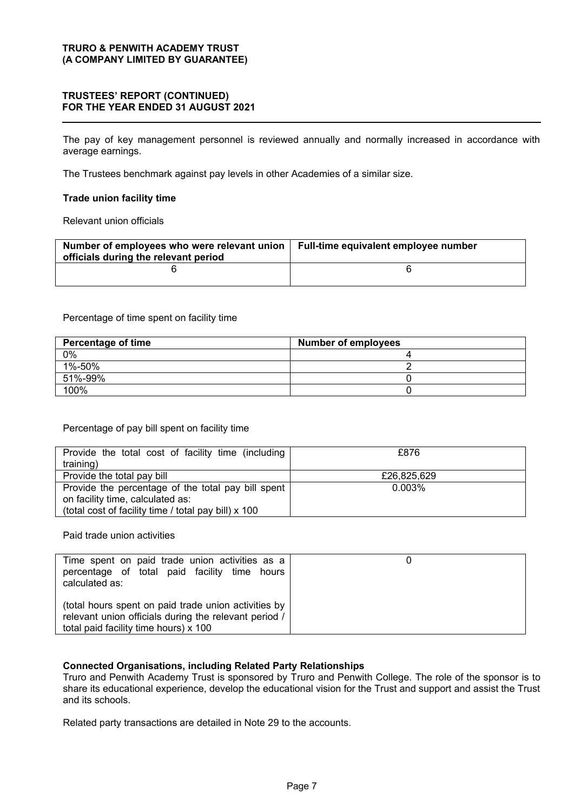## **75867((6¶5(3257 (CONTINUED) FOR THE YEAR ENDED 31 AUGUST 2021**

The pay of key management personnel is reviewed annually and normally increased in accordance with average earnings.

The Trustees benchmark against pay levels in other Academies of a similar size.

## **Trade union facility time**

Relevant union officials

| Number of employees who were relevant union  <br>officials during the relevant period | Full-time equivalent employee number |
|---------------------------------------------------------------------------------------|--------------------------------------|
|                                                                                       |                                      |

Percentage of time spent on facility time

| <b>Percentage of time</b> | <b>Number of employees</b> |
|---------------------------|----------------------------|
| 0%                        |                            |
| 1%-50%                    |                            |
| 51%-99%                   |                            |
| 100%                      |                            |

## Percentage of pay bill spent on facility time

| Provide the total cost of facility time (including   | £876        |
|------------------------------------------------------|-------------|
| training)                                            |             |
| Provide the total pay bill                           | £26,825,629 |
| Provide the percentage of the total pay bill spent   | $0.003\%$   |
| on facility time, calculated as:                     |             |
| (total cost of facility time / total pay bill) x 100 |             |

Paid trade union activities

| Time spent on paid trade union activities as a<br>percentage of total paid facility time hours<br>calculated as:                                       |  |
|--------------------------------------------------------------------------------------------------------------------------------------------------------|--|
| (total hours spent on paid trade union activities by<br>relevant union officials during the relevant period /<br>total paid facility time hours) x 100 |  |

## **Connected Organisations, including Related Party Relationships**

Truro and Penwith Academy Trust is sponsored by Truro and Penwith College. The role of the sponsor is to share its educational experience, develop the educational vision for the Trust and support and assist the Trust and its schools.

Related party transactions are detailed in Note 29 to the accounts.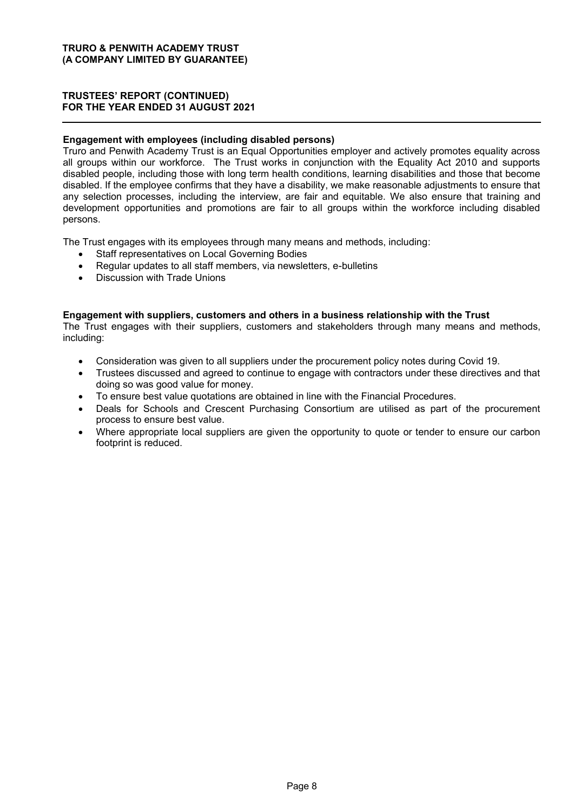## **75867((6¶5(3257 (CONTINUED) FOR THE YEAR ENDED 31 AUGUST 2021**

## **Engagement with employees (including disabled persons)**

Truro and Penwith Academy Trust is an Equal Opportunities employer and actively promotes equality across all groups within our workforce. The Trust works in conjunction with the Equality Act 2010 and supports disabled people, including those with long term health conditions, learning disabilities and those that become disabled. If the employee confirms that they have a disability, we make reasonable adjustments to ensure that any selection processes, including the interview, are fair and equitable. We also ensure that training and development opportunities and promotions are fair to all groups within the workforce including disabled persons.

The Trust engages with its employees through many means and methods, including:

- Staff representatives on Local Governing Bodies
- Regular updates to all staff members, via newsletters, e-bulletins
- Discussion with Trade Unions

## **Engagement with suppliers, customers and others in a business relationship with the Trust**

The Trust engages with their suppliers, customers and stakeholders through many means and methods, including:

- Consideration was given to all suppliers under the procurement policy notes during Covid 19.
- x Trustees discussed and agreed to continue to engage with contractors under these directives and that doing so was good value for money.
- To ensure best value quotations are obtained in line with the Financial Procedures.
- Deals for Schools and Crescent Purchasing Consortium are utilised as part of the procurement process to ensure best value.
- Where appropriate local suppliers are given the opportunity to quote or tender to ensure our carbon footprint is reduced.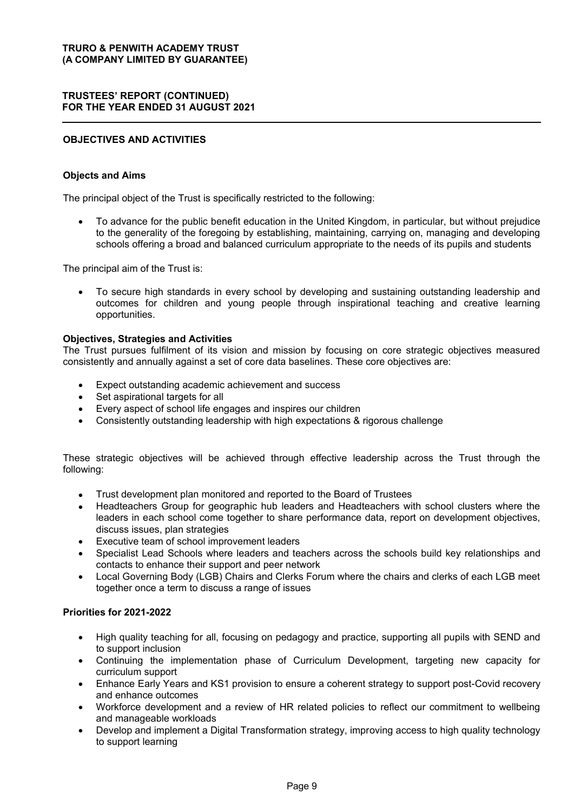## **75867((6¶5(3257 (CONTINUED) FOR THE YEAR ENDED 31 AUGUST 2021**

## **OBJECTIVES AND ACTIVITIES**

## **Objects and Aims**

The principal object of the Trust is specifically restricted to the following:

• To advance for the public benefit education in the United Kingdom, in particular, but without prejudice to the generality of the foregoing by establishing, maintaining, carrying on, managing and developing schools offering a broad and balanced curriculum appropriate to the needs of its pupils and students

The principal aim of the Trust is:

To secure high standards in every school by developing and sustaining outstanding leadership and outcomes for children and young people through inspirational teaching and creative learning opportunities.

## **Objectives, Strategies and Activities**

The Trust pursues fulfilment of its vision and mission by focusing on core strategic objectives measured consistently and annually against a set of core data baselines. These core objectives are:

- Expect outstanding academic achievement and success
- Set aspirational targets for all
- Every aspect of school life engages and inspires our children
- Consistently outstanding leadership with high expectations & rigorous challenge

These strategic objectives will be achieved through effective leadership across the Trust through the following:

- Trust development plan monitored and reported to the Board of Trustees
- Headteachers Group for geographic hub leaders and Headteachers with school clusters where the leaders in each school come together to share performance data, report on development objectives, discuss issues, plan strategies
- Executive team of school improvement leaders
- Specialist Lead Schools where leaders and teachers across the schools build key relationships and contacts to enhance their support and peer network
- Local Governing Body (LGB) Chairs and Clerks Forum where the chairs and clerks of each LGB meet together once a term to discuss a range of issues

## **Priorities for 2021-2022**

- High quality teaching for all, focusing on pedagogy and practice, supporting all pupils with SEND and to support inclusion
- x Continuing the implementation phase of Curriculum Development, targeting new capacity for curriculum support
- Enhance Early Years and KS1 provision to ensure a coherent strategy to support post-Covid recovery and enhance outcomes
- x Workforce development and a review of HR related policies to reflect our commitment to wellbeing and manageable workloads
- Develop and implement a Digital Transformation strategy, improving access to high quality technology to support learning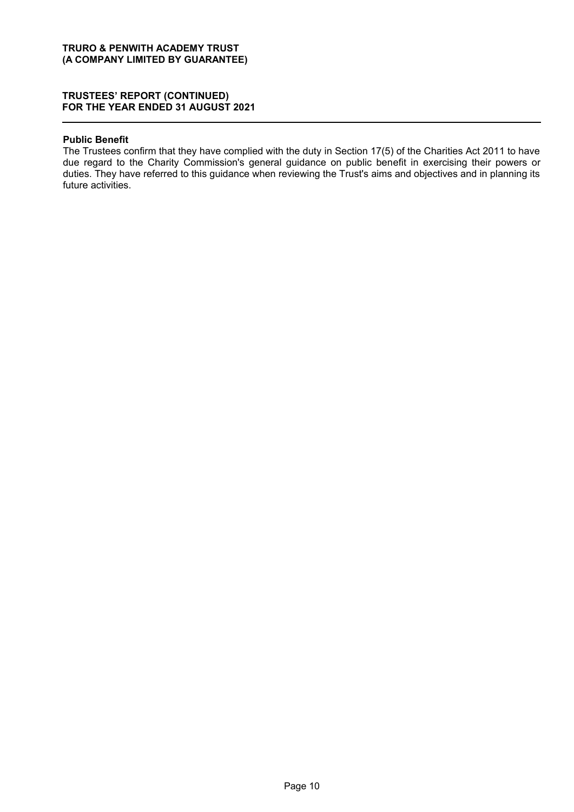## **75867((6¶5(3257 (CONTINUED) FOR THE YEAR ENDED 31 AUGUST 2021**

#### **Public Benefit**

The Trustees confirm that they have complied with the duty in Section 17(5) of the Charities Act 2011 to have due regard to the Charity Commission's general guidance on public benefit in exercising their powers or duties. They have referred to this guidance when reviewing the Trust's aims and objectives and in planning its future activities.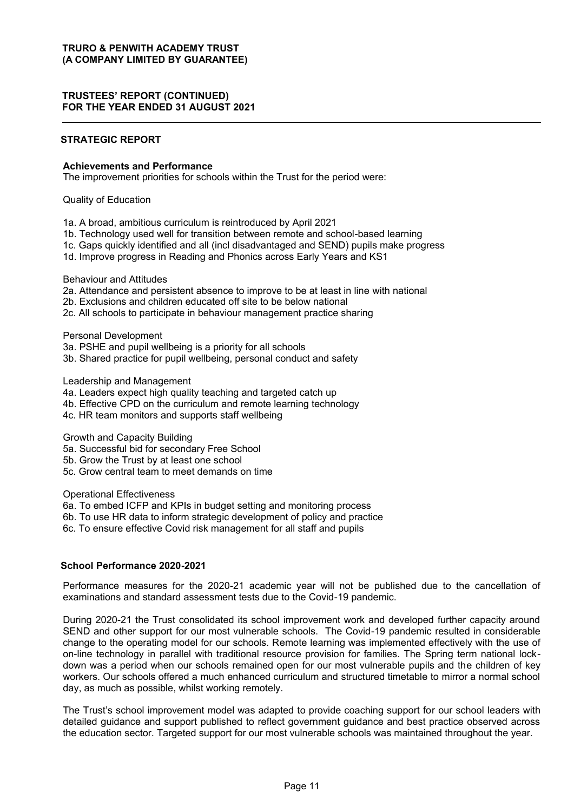## **75867((6¶5(3257 (CONTINUED) FOR THE YEAR ENDED 31 AUGUST 2021**

## **STRATEGIC REPORT**

#### **Achievements and Performance**

The improvement priorities for schools within the Trust for the period were:

Quality of Education

- 1a. A broad, ambitious curriculum is reintroduced by April 2021
- 1b. Technology used well for transition between remote and school-based learning
- 1c. Gaps quickly identified and all (incl disadvantaged and SEND) pupils make progress
- 1d. Improve progress in Reading and Phonics across Early Years and KS1

Behaviour and Attitudes

- 2a. Attendance and persistent absence to improve to be at least in line with national
- 2b. Exclusions and children educated off site to be below national
- 2c. All schools to participate in behaviour management practice sharing

Personal Development

- 3a. PSHE and pupil wellbeing is a priority for all schools
- 3b. Shared practice for pupil wellbeing, personal conduct and safety

Leadership and Management

- 4a. Leaders expect high quality teaching and targeted catch up
- 4b. Effective CPD on the curriculum and remote learning technology
- 4c. HR team monitors and supports staff wellbeing

Growth and Capacity Building

- 5a. Successful bid for secondary Free School
- 5b. Grow the Trust by at least one school
- 5c. Grow central team to meet demands on time

Operational Effectiveness

- 6a. To embed ICFP and KPIs in budget setting and monitoring process
- 6b. To use HR data to inform strategic development of policy and practice

6c. To ensure effective Covid risk management for all staff and pupils

#### **School Performance 2020-2021**

Performance measures for the 2020-21 academic year will not be published due to the cancellation of examinations and standard assessment tests due to the Covid-19 pandemic.

During 2020-21 the Trust consolidated its school improvement work and developed further capacity around SEND and other support for our most vulnerable schools. The Covid-19 pandemic resulted in considerable change to the operating model for our schools. Remote learning was implemented effectively with the use of on-line technology in parallel with traditional resource provision for families. The Spring term national lockdown was a period when our schools remained open for our most vulnerable pupils and the children of key workers. Our schools offered a much enhanced curriculum and structured timetable to mirror a normal school day, as much as possible, whilst working remotely.

The Trust's school improvement model was adapted to provide coaching support for our school leaders with detailed guidance and support published to reflect government guidance and best practice observed across the education sector. Targeted support for our most vulnerable schools was maintained throughout the year.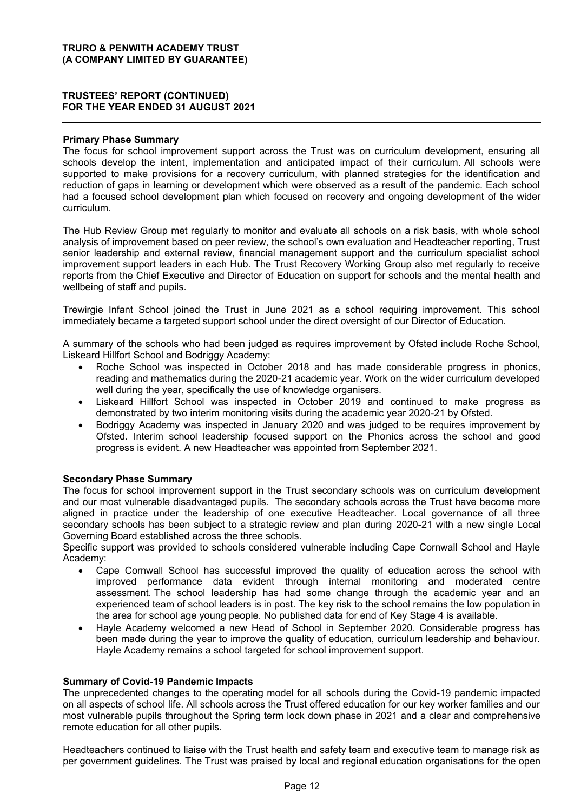## **75867((6¶5(3257 (CONTINUED) FOR THE YEAR ENDED 31 AUGUST 2021**

#### **Primary Phase Summary**

The focus for school improvement support across the Trust was on curriculum development, ensuring all schools develop the intent, implementation and anticipated impact of their curriculum. All schools were supported to make provisions for a recovery curriculum, with planned strategies for the identification and reduction of gaps in learning or development which were observed as a result of the pandemic. Each school had a focused school development plan which focused on recovery and ongoing development of the wider curriculum.

The Hub Review Group met regularly to monitor and evaluate all schools on a risk basis, with whole school analysis of improvement based on peer review, the school's own evaluation and Headteacher reporting, Trust senior leadership and external review, financial management support and the curriculum specialist school improvement support leaders in each Hub. The Trust Recovery Working Group also met regularly to receive reports from the Chief Executive and Director of Education on support for schools and the mental health and wellbeing of staff and pupils.

Trewirgie Infant School joined the Trust in June 2021 as a school requiring improvement. This school immediately became a targeted support school under the direct oversight of our Director of Education.

A summary of the schools who had been judged as requires improvement by Ofsted include Roche School, Liskeard Hillfort School and Bodriggy Academy:

- Roche School was inspected in October 2018 and has made considerable progress in phonics, reading and mathematics during the 2020-21 academic year. Work on the wider curriculum developed well during the year, specifically the use of knowledge organisers.
- Liskeard Hillfort School was inspected in October 2019 and continued to make progress as demonstrated by two interim monitoring visits during the academic year 2020-21 by Ofsted.
- Bodriggy Academy was inspected in January 2020 and was judged to be requires improvement by Ofsted. Interim school leadership focused support on the Phonics across the school and good progress is evident. A new Headteacher was appointed from September 2021.

#### **Secondary Phase Summary**

The focus for school improvement support in the Trust secondary schools was on curriculum development and our most vulnerable disadvantaged pupils. The secondary schools across the Trust have become more aligned in practice under the leadership of one executive Headteacher. Local governance of all three secondary schools has been subject to a strategic review and plan during 2020-21 with a new single Local Governing Board established across the three schools.

Specific support was provided to schools considered vulnerable including Cape Cornwall School and Hayle Academy:

- Cape Cornwall School has successful improved the quality of education across the school with improved performance data evident through internal monitoring and moderated centre assessment. The school leadership has had some change through the academic year and an experienced team of school leaders is in post. The key risk to the school remains the low population in the area for school age young people. No published data for end of Key Stage 4 is available.
- Hayle Academy welcomed a new Head of School in September 2020. Considerable progress has been made during the year to improve the quality of education, curriculum leadership and behaviour. Hayle Academy remains a school targeted for school improvement support.

#### **Summary of Covid-19 Pandemic Impacts**

The unprecedented changes to the operating model for all schools during the Covid-19 pandemic impacted on all aspects of school life. All schools across the Trust offered education for our key worker families and our most vulnerable pupils throughout the Spring term lock down phase in 2021 and a clear and comprehensive remote education for all other pupils.

Headteachers continued to liaise with the Trust health and safety team and executive team to manage risk as per government guidelines. The Trust was praised by local and regional education organisations for the open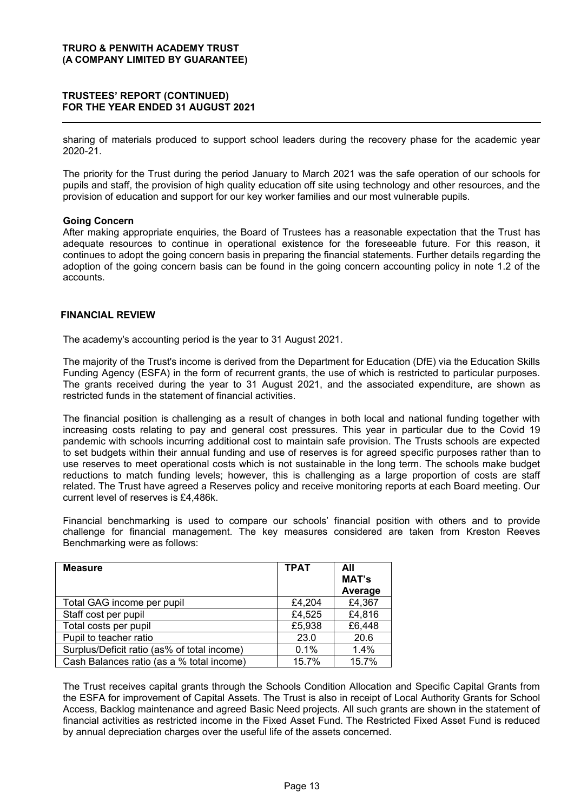## **75867((6¶5(3257 (CONTINUED) FOR THE YEAR ENDED 31 AUGUST 2021**

sharing of materials produced to support school leaders during the recovery phase for the academic year 2020-21.

The priority for the Trust during the period January to March 2021 was the safe operation of our schools for pupils and staff, the provision of high quality education off site using technology and other resources, and the provision of education and support for our key worker families and our most vulnerable pupils.

## **Going Concern**

After making appropriate enquiries, the Board of Trustees has a reasonable expectation that the Trust has adequate resources to continue in operational existence for the foreseeable future. For this reason, it continues to adopt the going concern basis in preparing the financial statements. Further details regarding the adoption of the going concern basis can be found in the going concern accounting policy in note 1.2 of the accounts.

## **FINANCIAL REVIEW**

The academy's accounting period is the year to 31 August 2021.

The majority of the Trust's income is derived from the Department for Education (DfE) via the Education Skills Funding Agency (ESFA) in the form of recurrent grants, the use of which is restricted to particular purposes. The grants received during the year to 31 August 2021, and the associated expenditure, are shown as restricted funds in the statement of financial activities.

The financial position is challenging as a result of changes in both local and national funding together with increasing costs relating to pay and general cost pressures. This year in particular due to the Covid 19 pandemic with schools incurring additional cost to maintain safe provision. The Trusts schools are expected to set budgets within their annual funding and use of reserves is for agreed specific purposes rather than to use reserves to meet operational costs which is not sustainable in the long term. The schools make budget reductions to match funding levels; however, this is challenging as a large proportion of costs are staff related. The Trust have agreed a Reserves policy and receive monitoring reports at each Board meeting. Our current level of reserves is £4,486k.

Financial benchmarking is used to compare our schools' financial position with others and to provide challenge for financial management. The key measures considered are taken from Kreston Reeves Benchmarking were as follows:

| <b>Measure</b>                              | <b>TPAT</b> | All                     |
|---------------------------------------------|-------------|-------------------------|
|                                             |             | <b>MAT's</b><br>Average |
| Total GAG income per pupil                  | £4,204      | £4,367                  |
| Staff cost per pupil                        | £4,525      | £4,816                  |
| Total costs per pupil                       | £5,938      | £6,448                  |
| Pupil to teacher ratio                      | 23.0        | 20.6                    |
| Surplus/Deficit ratio (as% of total income) | 0.1%        | $1.4\%$                 |
| Cash Balances ratio (as a % total income)   | 15.7%       | 15.7%                   |

The Trust receives capital grants through the Schools Condition Allocation and Specific Capital Grants from the ESFA for improvement of Capital Assets. The Trust is also in receipt of Local Authority Grants for School Access, Backlog maintenance and agreed Basic Need projects. All such grants are shown in the statement of financial activities as restricted income in the Fixed Asset Fund. The Restricted Fixed Asset Fund is reduced by annual depreciation charges over the useful life of the assets concerned.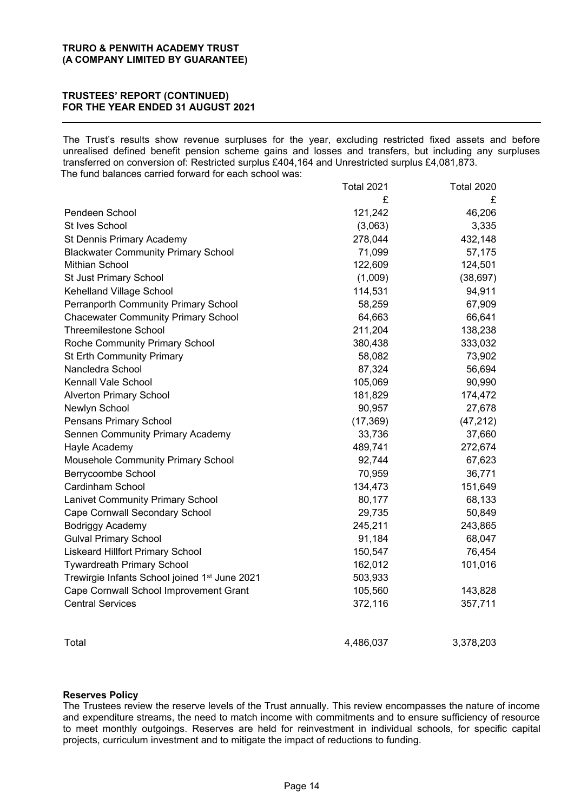## **75867((6¶5(3257 (CONTINUED) FOR THE YEAR ENDED 31 AUGUST 2021**

The Trust's results show revenue surpluses for the year, excluding restricted fixed assets and before unrealised defined benefit pension scheme gains and losses and transfers, but including any surpluses transferred on conversion of: Restricted surplus £404,164 and Unrestricted surplus £4,081,873. The fund balances carried forward for each school was:

|                                                           | <b>Total 2021</b> | <b>Total 2020</b> |
|-----------------------------------------------------------|-------------------|-------------------|
|                                                           | £                 | £                 |
| Pendeen School                                            | 121,242           | 46,206            |
| St Ives School                                            | (3,063)           | 3,335             |
| St Dennis Primary Academy                                 | 278,044           | 432,148           |
| <b>Blackwater Community Primary School</b>                | 71,099            | 57,175            |
| Mithian School                                            | 122,609           | 124,501           |
| St Just Primary School                                    | (1,009)           | (38, 697)         |
| Kehelland Village School                                  | 114,531           | 94,911            |
| <b>Perranporth Community Primary School</b>               | 58,259            | 67,909            |
| <b>Chacewater Community Primary School</b>                | 64,663            | 66,641            |
| <b>Threemilestone School</b>                              | 211,204           | 138,238           |
| Roche Community Primary School                            | 380,438           | 333,032           |
| St Erth Community Primary                                 | 58,082            | 73,902            |
| Nancledra School                                          | 87,324            | 56,694            |
| Kennall Vale School                                       | 105,069           | 90,990            |
| <b>Alverton Primary School</b>                            | 181,829           | 174,472           |
| Newlyn School                                             | 90,957            | 27,678            |
| Pensans Primary School                                    | (17, 369)         | (47, 212)         |
| <b>Sennen Community Primary Academy</b>                   | 33,736            | 37,660            |
| Hayle Academy                                             | 489,741           | 272,674           |
| <b>Mousehole Community Primary School</b>                 | 92,744            | 67,623            |
| Berrycoombe School                                        | 70,959            | 36,771            |
| Cardinham School                                          | 134,473           | 151,649           |
| <b>Lanivet Community Primary School</b>                   | 80,177            | 68,133            |
| Cape Cornwall Secondary School                            | 29,735            | 50,849            |
| <b>Bodriggy Academy</b>                                   | 245,211           | 243,865           |
| <b>Gulval Primary School</b>                              | 91,184            | 68,047            |
| <b>Liskeard Hillfort Primary School</b>                   | 150,547           | 76,454            |
| <b>Tywardreath Primary School</b>                         | 162,012           | 101,016           |
| Trewirgie Infants School joined 1 <sup>st</sup> June 2021 | 503,933           |                   |
| Cape Cornwall School Improvement Grant                    | 105,560           | 143,828           |
| <b>Central Services</b>                                   | 372,116           | 357,711           |
|                                                           |                   |                   |
|                                                           |                   |                   |

Total 4,486,037 3,378,203

#### **Reserves Policy**

The Trustees review the reserve levels of the Trust annually. This review encompasses the nature of income and expenditure streams, the need to match income with commitments and to ensure sufficiency of resource to meet monthly outgoings. Reserves are held for reinvestment in individual schools, for specific capital projects, curriculum investment and to mitigate the impact of reductions to funding.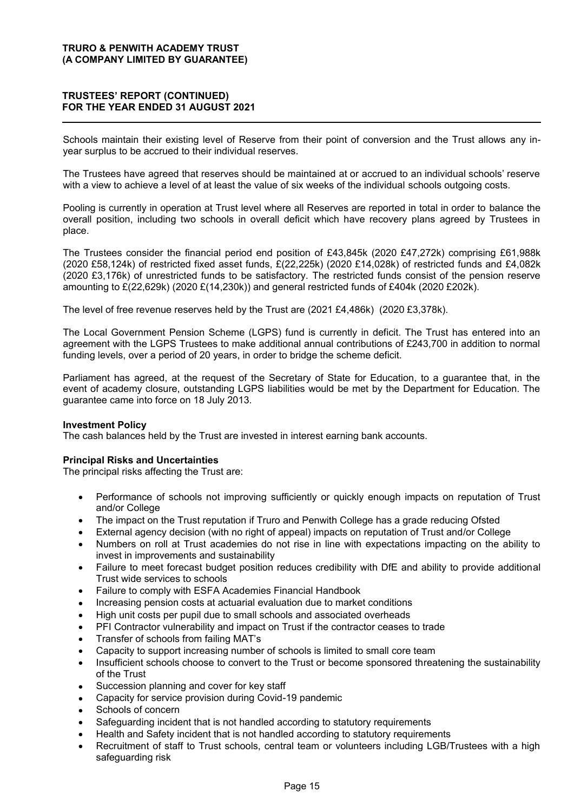## **75867((6¶5(3257 (CONTINUED) FOR THE YEAR ENDED 31 AUGUST 2021**

Schools maintain their existing level of Reserve from their point of conversion and the Trust allows any inyear surplus to be accrued to their individual reserves.

The Trustees have agreed that reserves should be maintained at or accrued to an individual schools' reserve with a view to achieve a level of at least the value of six weeks of the individual schools outgoing costs.

Pooling is currently in operation at Trust level where all Reserves are reported in total in order to balance the overall position, including two schools in overall deficit which have recovery plans agreed by Trustees in place.

The Trustees consider the financial period end position of £43,845k (2020 £47,272k) comprising £61,988k (2020 £58,124k) of restricted fixed asset funds, £(22,225k) (2020 £14,028k) of restricted funds and £4,082k (2020 £3,176k) of unrestricted funds to be satisfactory. The restricted funds consist of the pension reserve amounting to £(22,629k) (2020 £(14,230k)) and general restricted funds of £404k (2020 £202k).

The level of free revenue reserves held by the Trust are (2021 £4,486k) (2020 £3,378k).

The Local Government Pension Scheme (LGPS) fund is currently in deficit. The Trust has entered into an agreement with the LGPS Trustees to make additional annual contributions of £243,700 in addition to normal funding levels, over a period of 20 years, in order to bridge the scheme deficit.

Parliament has agreed, at the request of the Secretary of State for Education, to a guarantee that, in the event of academy closure, outstanding LGPS liabilities would be met by the Department for Education. The guarantee came into force on 18 July 2013.

#### **Investment Policy**

The cash balances held by the Trust are invested in interest earning bank accounts.

## **Principal Risks and Uncertainties**

The principal risks affecting the Trust are:

- Performance of schools not improving sufficiently or quickly enough impacts on reputation of Trust and/or College
- The impact on the Trust reputation if Truro and Penwith College has a grade reducing Ofsted
- x External agency decision (with no right of appeal) impacts on reputation of Trust and/or College
- Numbers on roll at Trust academies do not rise in line with expectations impacting on the ability to invest in improvements and sustainability
- Failure to meet forecast budget position reduces credibility with DfE and ability to provide additional Trust wide services to schools
- Failure to comply with ESFA Academies Financial Handbook
- Increasing pension costs at actuarial evaluation due to market conditions
- High unit costs per pupil due to small schools and associated overheads
- PFI Contractor vulnerability and impact on Trust if the contractor ceases to trade
- Transfer of schools from failing MAT's
- Capacity to support increasing number of schools is limited to small core team
- Insufficient schools choose to convert to the Trust or become sponsored threatening the sustainability of the Trust
- Succession planning and cover for key staff
- Capacity for service provision during Covid-19 pandemic
- Schools of concern
- Safeguarding incident that is not handled according to statutory requirements
- Health and Safety incident that is not handled according to statutory requirements
- Recruitment of staff to Trust schools, central team or volunteers including LGB/Trustees with a high safeguarding risk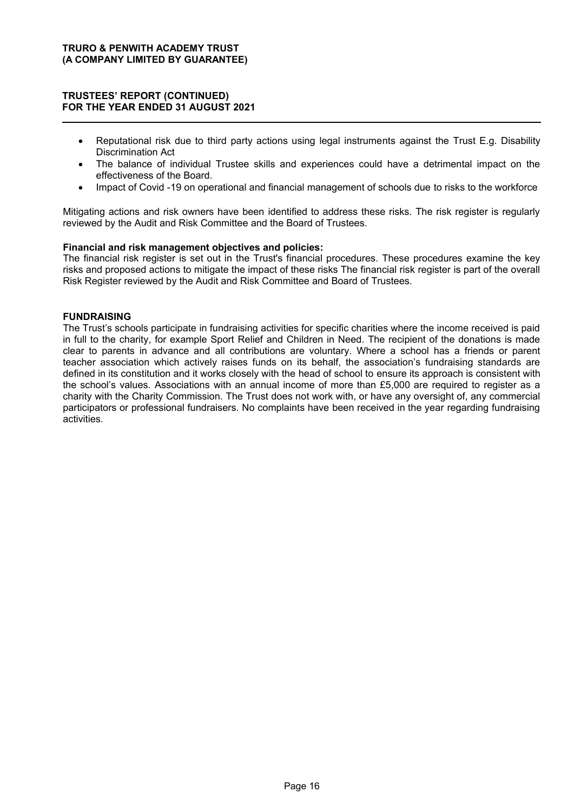## **75867((6¶5(3257 (CONTINUED) FOR THE YEAR ENDED 31 AUGUST 2021**

- Reputational risk due to third party actions using legal instruments against the Trust E.g. Disability Discrimination Act
- The balance of individual Trustee skills and experiences could have a detrimental impact on the effectiveness of the Board.
- Impact of Covid -19 on operational and financial management of schools due to risks to the workforce

Mitigating actions and risk owners have been identified to address these risks. The risk register is regularly reviewed by the Audit and Risk Committee and the Board of Trustees.

## **Financial and risk management objectives and policies:**

The financial risk register is set out in the Trust's financial procedures. These procedures examine the key risks and proposed actions to mitigate the impact of these risks The financial risk register is part of the overall Risk Register reviewed by the Audit and Risk Committee and Board of Trustees.

## **FUNDRAISING**

The Trust's schools participate in fundraising activities for specific charities where the income received is paid in full to the charity, for example Sport Relief and Children in Need. The recipient of the donations is made clear to parents in advance and all contributions are voluntary. Where a school has a friends or parent teacher association which actively raises funds on its behalf, the association's fundraising standards are defined in its constitution and it works closely with the head of school to ensure its approach is consistent with the school's values. Associations with an annual income of more than £5,000 are required to register as a charity with the Charity Commission. The Trust does not work with, or have any oversight of, any commercial participators or professional fundraisers. No complaints have been received in the year regarding fundraising activities.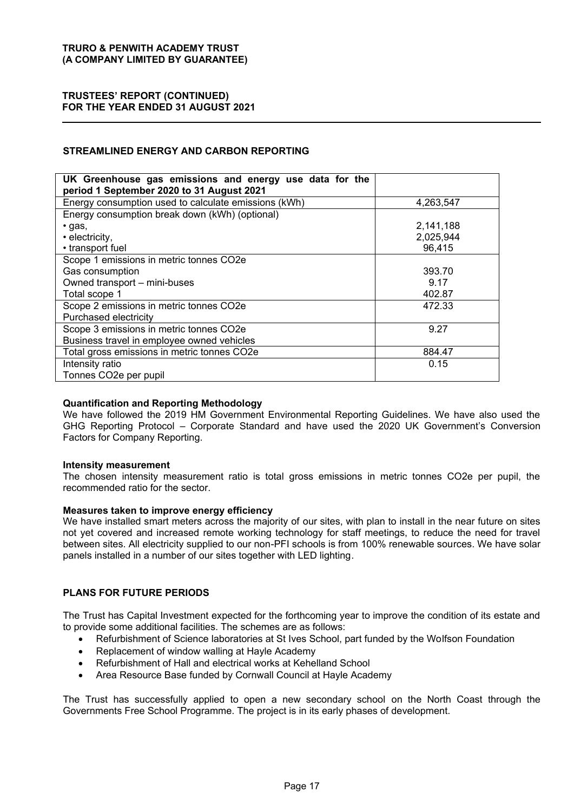## **75867((6¶5(3257 (CONTINUED) FOR THE YEAR ENDED 31 AUGUST 2021**

## **STREAMLINED ENERGY AND CARBON REPORTING**

| UK Greenhouse gas emissions and energy use data for the<br>period 1 September 2020 to 31 August 2021 |           |
|------------------------------------------------------------------------------------------------------|-----------|
| Energy consumption used to calculate emissions (kWh)                                                 | 4,263,547 |
| Energy consumption break down (kWh) (optional)                                                       |           |
| $\cdot$ gas,                                                                                         | 2,141,188 |
| • electricity,                                                                                       | 2,025,944 |
| • transport fuel                                                                                     | 96,415    |
| Scope 1 emissions in metric tonnes CO2e                                                              |           |
| Gas consumption                                                                                      | 393.70    |
| Owned transport - mini-buses                                                                         | 9.17      |
| Total scope 1                                                                                        | 402.87    |
| Scope 2 emissions in metric tonnes CO2e                                                              | 472.33    |
| Purchased electricity                                                                                |           |
| Scope 3 emissions in metric tonnes CO2e                                                              | 9.27      |
| Business travel in employee owned vehicles                                                           |           |
| Total gross emissions in metric tonnes CO2e                                                          | 884.47    |
| Intensity ratio                                                                                      | 0.15      |
| Tonnes CO2e per pupil                                                                                |           |

## **Quantification and Reporting Methodology**

We have followed the 2019 HM Government Environmental Reporting Guidelines. We have also used the GHG Reporting Protocol – Corporate Standard and have used the 2020 UK Government's Conversion Factors for Company Reporting.

#### **Intensity measurement**

The chosen intensity measurement ratio is total gross emissions in metric tonnes CO2e per pupil, the recommended ratio for the sector.

#### **Measures taken to improve energy efficiency**

We have installed smart meters across the majority of our sites, with plan to install in the near future on sites not yet covered and increased remote working technology for staff meetings, to reduce the need for travel between sites. All electricity supplied to our non-PFI schools is from 100% renewable sources. We have solar panels installed in a number of our sites together with LED lighting.

## **PLANS FOR FUTURE PERIODS**

The Trust has Capital Investment expected for the forthcoming year to improve the condition of its estate and to provide some additional facilities. The schemes are as follows:

- x Refurbishment of Science laboratories at St Ives School, part funded by the Wolfson Foundation
- Replacement of window walling at Hayle Academy
- Refurbishment of Hall and electrical works at Kehelland School
- Area Resource Base funded by Cornwall Council at Hayle Academy

The Trust has successfully applied to open a new secondary school on the North Coast through the Governments Free School Programme. The project is in its early phases of development.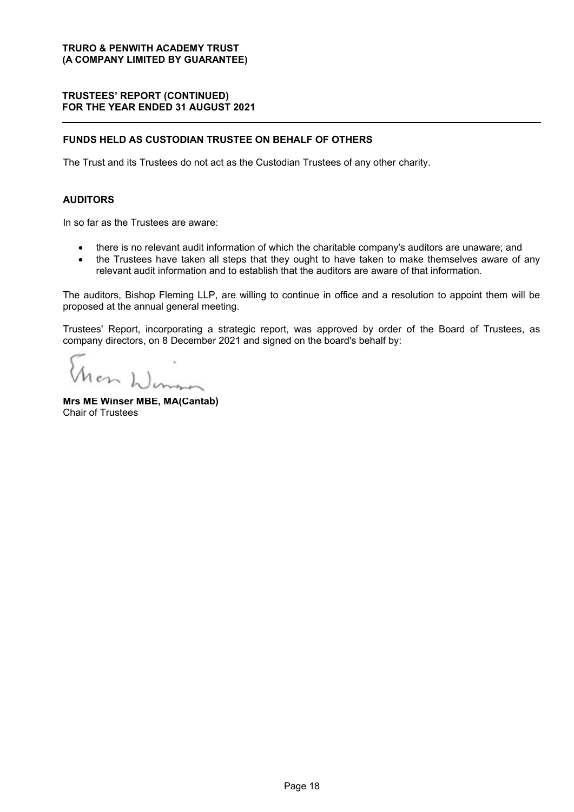## **75867((6¶5(3257 (CONTINUED) FOR THE YEAR ENDED 31 AUGUST 2021**

## **FUNDS HELD AS CUSTODIAN TRUSTEE ON BEHALF OF OTHERS**

The Trust and its Trustees do not act as the Custodian Trustees of any other charity.

## **AUDITORS**

In so far as the Trustees are aware:

- there is no relevant audit information of which the charitable company's auditors are unaware; and
- the Trustees have taken all steps that they ought to have taken to make themselves aware of any relevant audit information and to establish that the auditors are aware of that information.

The auditors, Bishop Fleming LLP, are willing to continue in office and a resolution to appoint them will be proposed at the annual general meeting.

Trustees' Report, incorporating a strategic report, was approved by order of the Board of Trustees, as company directors, on 8 December 2021 and signed on the board's behalf by:

ron Winson

**Mrs ME Winser MBE, MA(Cantab)**  Chair of Trustees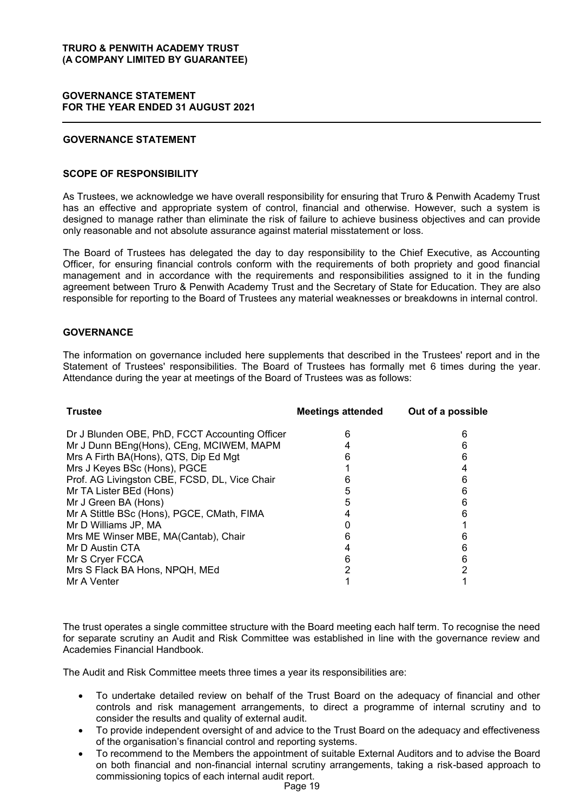## **GOVERNANCE STATEMENT FOR THE YEAR ENDED 31 AUGUST 2021**

## **GOVERNANCE STATEMENT**

## **SCOPE OF RESPONSIBILITY**

As Trustees, we acknowledge we have overall responsibility for ensuring that Truro & Penwith Academy Trust has an effective and appropriate system of control, financial and otherwise. However, such a system is designed to manage rather than eliminate the risk of failure to achieve business objectives and can provide only reasonable and not absolute assurance against material misstatement or loss.

The Board of Trustees has delegated the day to day responsibility to the Chief Executive, as Accounting Officer, for ensuring financial controls conform with the requirements of both propriety and good financial management and in accordance with the requirements and responsibilities assigned to it in the funding agreement between Truro & Penwith Academy Trust and the Secretary of State for Education. They are also responsible for reporting to the Board of Trustees any material weaknesses or breakdowns in internal control.

## **GOVERNANCE**

The information on governance included here supplements that described in the Trustees' report and in the Statement of Trustees' responsibilities. The Board of Trustees has formally met 6 times during the year. Attendance during the year at meetings of the Board of Trustees was as follows:

| <b>Trustee</b>                                 | <b>Meetings attended</b> | Out of a possible |
|------------------------------------------------|--------------------------|-------------------|
| Dr J Blunden OBE, PhD, FCCT Accounting Officer | n                        | 6                 |
| Mr J Dunn BEng(Hons), CEng, MCIWEM, MAPM       |                          | 6                 |
| Mrs A Firth BA(Hons), QTS, Dip Ed Mgt          |                          | 6                 |
| Mrs J Keyes BSc (Hons), PGCE                   |                          |                   |
| Prof. AG Livingston CBE, FCSD, DL, Vice Chair  |                          |                   |
| Mr TA Lister BEd (Hons)                        |                          | 6                 |
| Mr J Green BA (Hons)                           |                          |                   |
| Mr A Stittle BSc (Hons), PGCE, CMath, FIMA     |                          |                   |
| Mr D Williams JP, MA                           |                          |                   |
| Mrs ME Winser MBE, MA(Cantab), Chair           |                          |                   |
| Mr D Austin CTA                                |                          | 6                 |
| Mr S Cryer FCCA                                | Ⴌ                        | 6                 |
| Mrs S Flack BA Hons, NPQH, MEd                 |                          |                   |
| Mr A Venter                                    |                          |                   |

The trust operates a single committee structure with the Board meeting each half term. To recognise the need for separate scrutiny an Audit and Risk Committee was established in line with the governance review and Academies Financial Handbook.

The Audit and Risk Committee meets three times a year its responsibilities are:

- To undertake detailed review on behalf of the Trust Board on the adequacy of financial and other controls and risk management arrangements, to direct a programme of internal scrutiny and to consider the results and quality of external audit.
- To provide independent oversight of and advice to the Trust Board on the adequacy and effectiveness of the organisation's financial control and reporting systems.
- To recommend to the Members the appointment of suitable External Auditors and to advise the Board on both financial and non-financial internal scrutiny arrangements, taking a risk-based approach to commissioning topics of each internal audit report.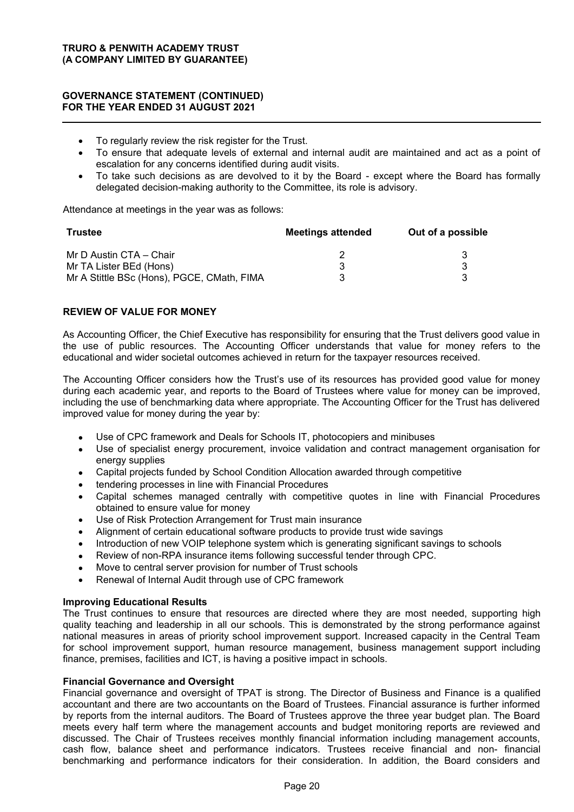## **GOVERNANCE STATEMENT (CONTINUED) FOR THE YEAR ENDED 31 AUGUST 2021**

- To regularly review the risk register for the Trust.
- To ensure that adequate levels of external and internal audit are maintained and act as a point of escalation for any concerns identified during audit visits.
- To take such decisions as are devolved to it by the Board except where the Board has formally delegated decision-making authority to the Committee, its role is advisory.

Attendance at meetings in the year was as follows:

| <b>Trustee</b>                             | <b>Meetings attended</b> | Out of a possible |  |
|--------------------------------------------|--------------------------|-------------------|--|
| Mr D Austin CTA – Chair                    |                          |                   |  |
| Mr TA Lister BEd (Hons)                    |                          |                   |  |
| Mr A Stittle BSc (Hons), PGCE, CMath, FIMA |                          |                   |  |

## **REVIEW OF VALUE FOR MONEY**

As Accounting Officer, the Chief Executive has responsibility for ensuring that the Trust delivers good value in the use of public resources. The Accounting Officer understands that value for money refers to the educational and wider societal outcomes achieved in return for the taxpayer resources received.

The Accounting Officer considers how the Trust's use of its resources has provided good value for money during each academic year, and reports to the Board of Trustees where value for money can be improved, including the use of benchmarking data where appropriate. The Accounting Officer for the Trust has delivered improved value for money during the year by:

- Use of CPC framework and Deals for Schools IT, photocopiers and minibuses
- Use of specialist energy procurement, invoice validation and contract management organisation for energy supplies
- Capital projects funded by School Condition Allocation awarded through competitive
- tendering processes in line with Financial Procedures
- Capital schemes managed centrally with competitive quotes in line with Financial Procedures obtained to ensure value for money
- Use of Risk Protection Arrangement for Trust main insurance
- Alignment of certain educational software products to provide trust wide savings
- Introduction of new VOIP telephone system which is generating significant savings to schools
- Review of non-RPA insurance items following successful tender through CPC.
- Move to central server provision for number of Trust schools
- Renewal of Internal Audit through use of CPC framework

#### **Improving Educational Results**

The Trust continues to ensure that resources are directed where they are most needed, supporting high quality teaching and leadership in all our schools. This is demonstrated by the strong performance against national measures in areas of priority school improvement support. Increased capacity in the Central Team for school improvement support, human resource management, business management support including finance, premises, facilities and ICT, is having a positive impact in schools.

#### **Financial Governance and Oversight**

Financial governance and oversight of TPAT is strong. The Director of Business and Finance is a qualified accountant and there are two accountants on the Board of Trustees. Financial assurance is further informed by reports from the internal auditors. The Board of Trustees approve the three year budget plan. The Board meets every half term where the management accounts and budget monitoring reports are reviewed and discussed. The Chair of Trustees receives monthly financial information including management accounts, cash flow, balance sheet and performance indicators. Trustees receive financial and non- financial benchmarking and performance indicators for their consideration. In addition, the Board considers and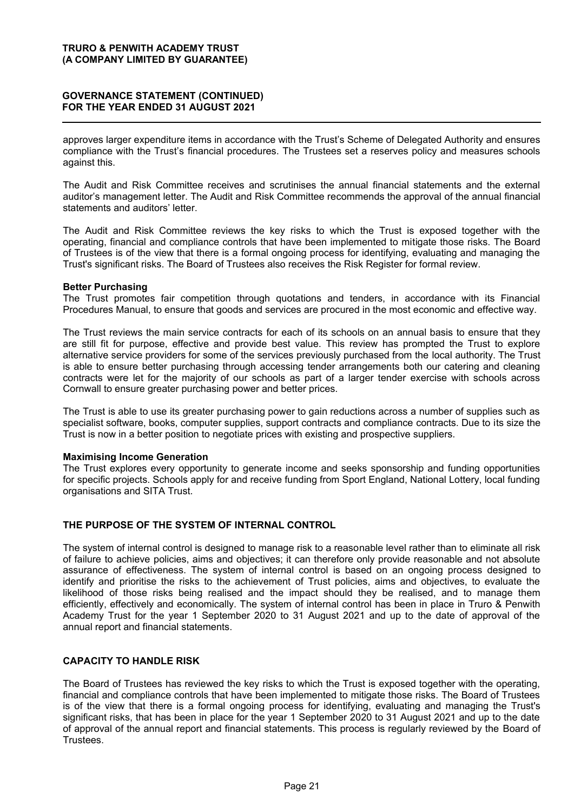## **GOVERNANCE STATEMENT (CONTINUED) FOR THE YEAR ENDED 31 AUGUST 2021**

approves larger expenditure items in accordance with the Trust's Scheme of Delegated Authority and ensures compliance with the Trust's financial procedures. The Trustees set a reserves policy and measures schools against this.

The Audit and Risk Committee receives and scrutinises the annual financial statements and the external auditor's management letter. The Audit and Risk Committee recommends the approval of the annual financial statements and auditors' letter.

The Audit and Risk Committee reviews the key risks to which the Trust is exposed together with the operating, financial and compliance controls that have been implemented to mitigate those risks. The Board of Trustees is of the view that there is a formal ongoing process for identifying, evaluating and managing the Trust's significant risks. The Board of Trustees also receives the Risk Register for formal review.

#### **Better Purchasing**

The Trust promotes fair competition through quotations and tenders, in accordance with its Financial Procedures Manual, to ensure that goods and services are procured in the most economic and effective way.

The Trust reviews the main service contracts for each of its schools on an annual basis to ensure that they are still fit for purpose, effective and provide best value. This review has prompted the Trust to explore alternative service providers for some of the services previously purchased from the local authority. The Trust is able to ensure better purchasing through accessing tender arrangements both our catering and cleaning contracts were let for the majority of our schools as part of a larger tender exercise with schools across Cornwall to ensure greater purchasing power and better prices.

The Trust is able to use its greater purchasing power to gain reductions across a number of supplies such as specialist software, books, computer supplies, support contracts and compliance contracts. Due to its size the Trust is now in a better position to negotiate prices with existing and prospective suppliers.

#### **Maximising Income Generation**

The Trust explores every opportunity to generate income and seeks sponsorship and funding opportunities for specific projects. Schools apply for and receive funding from Sport England, National Lottery, local funding organisations and SITA Trust.

## **THE PURPOSE OF THE SYSTEM OF INTERNAL CONTROL**

The system of internal control is designed to manage risk to a reasonable level rather than to eliminate all risk of failure to achieve policies, aims and objectives; it can therefore only provide reasonable and not absolute assurance of effectiveness. The system of internal control is based on an ongoing process designed to identify and prioritise the risks to the achievement of Trust policies, aims and objectives, to evaluate the likelihood of those risks being realised and the impact should they be realised, and to manage them efficiently, effectively and economically. The system of internal control has been in place in Truro & Penwith Academy Trust for the year 1 September 2020 to 31 August 2021 and up to the date of approval of the annual report and financial statements.

## **CAPACITY TO HANDLE RISK**

The Board of Trustees has reviewed the key risks to which the Trust is exposed together with the operating, financial and compliance controls that have been implemented to mitigate those risks. The Board of Trustees is of the view that there is a formal ongoing process for identifying, evaluating and managing the Trust's significant risks, that has been in place for the year 1 September 2020 to 31 August 2021 and up to the date of approval of the annual report and financial statements. This process is regularly reviewed by the Board of Trustees.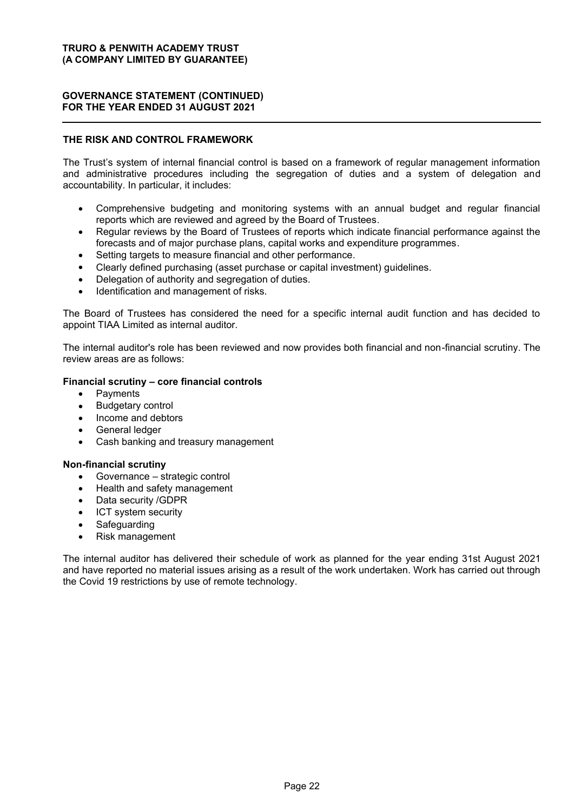## **GOVERNANCE STATEMENT (CONTINUED) FOR THE YEAR ENDED 31 AUGUST 2021**

## **THE RISK AND CONTROL FRAMEWORK**

The Trust's system of internal financial control is based on a framework of regular management information and administrative procedures including the segregation of duties and a system of delegation and accountability. In particular, it includes:

- x Comprehensive budgeting and monitoring systems with an annual budget and regular financial reports which are reviewed and agreed by the Board of Trustees.
- Regular reviews by the Board of Trustees of reports which indicate financial performance against the forecasts and of major purchase plans, capital works and expenditure programmes.
- Setting targets to measure financial and other performance.
- Clearly defined purchasing (asset purchase or capital investment) guidelines.
- Delegation of authority and segregation of duties.
- Identification and management of risks.

The Board of Trustees has considered the need for a specific internal audit function and has decided to appoint TIAA Limited as internal auditor.

The internal auditor's role has been reviewed and now provides both financial and non-financial scrutiny. The review areas are as follows:

## **Financial scrutiny - core financial controls**

- Payments
- Budgetary control
- Income and debtors
- General ledger
- Cash banking and treasury management

#### **Non-financial scrutiny**

- $\bullet$  Governance  $-$  strategic control
- Health and safety management
- Data security /GDPR
- ICT system security
- Safeguarding
- Risk management

The internal auditor has delivered their schedule of work as planned for the year ending 31st August 2021 and have reported no material issues arising as a result of the work undertaken. Work has carried out through the Covid 19 restrictions by use of remote technology.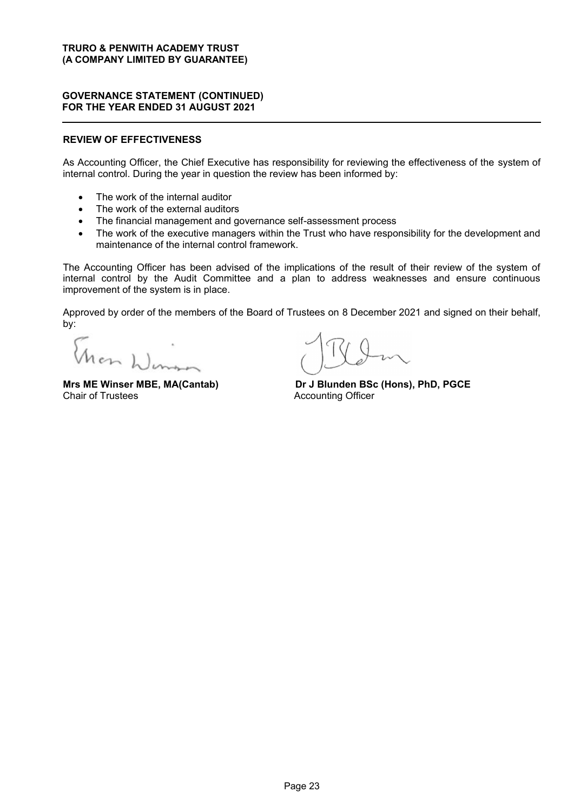## **GOVERNANCE STATEMENT (CONTINUED) FOR THE YEAR ENDED 31 AUGUST 2021**

## **REVIEW OF EFFECTIVENESS**

As Accounting Officer, the Chief Executive has responsibility for reviewing the effectiveness of the system of internal control. During the year in question the review has been informed by:

- The work of the internal auditor
- The work of the external auditors
- The financial management and governance self-assessment process
- The work of the executive managers within the Trust who have responsibility for the development and maintenance of the internal control framework.

The Accounting Officer has been advised of the implications of the result of their review of the system of internal control by the Audit Committee and a plan to address weaknesses and ensure continuous improvement of the system is in place.

Approved by order of the members of the Board of Trustees on 8 December 2021 and signed on their behalf, by:

Mon Winner

**Mrs ME Winser MBE, MA(Cantab) Dr J Blunden BSc (Hons), PhD, PGCE**<br>Chair of Trustees **Chair** Accounting Officer **Accounting Officer**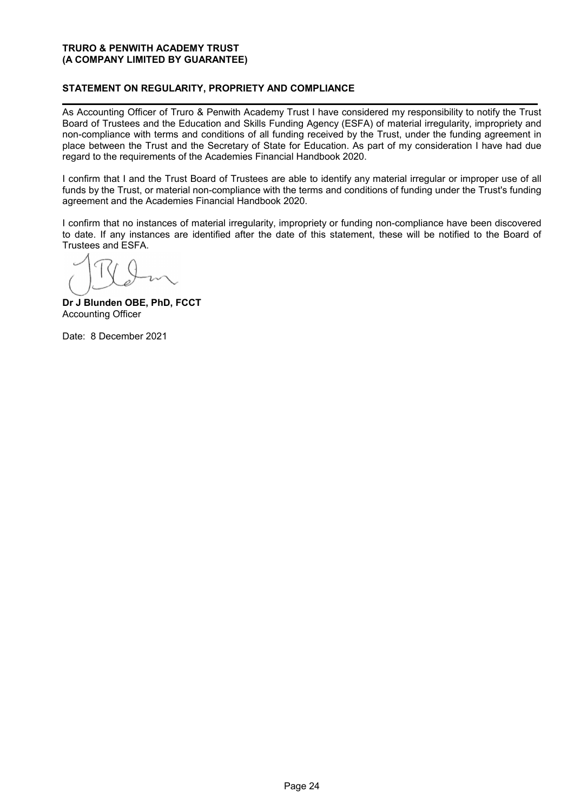## **STATEMENT ON REGULARITY, PROPRIETY AND COMPLIANCE**

As Accounting Officer of Truro & Penwith Academy Trust I have considered my responsibility to notify the Trust Board of Trustees and the Education and Skills Funding Agency (ESFA) of material irregularity, impropriety and non-compliance with terms and conditions of all funding received by the Trust, under the funding agreement in place between the Trust and the Secretary of State for Education. As part of my consideration I have had due regard to the requirements of the Academies Financial Handbook 2020.

I confirm that I and the Trust Board of Trustees are able to identify any material irregular or improper use of all funds by the Trust, or material non-compliance with the terms and conditions of funding under the Trust's funding agreement and the Academies Financial Handbook 2020.

I confirm that no instances of material irregularity, impropriety or funding non-compliance have been discovered to date. If any instances are identified after the date of this statement, these will be notified to the Board of Trustees and ESFA.

**Dr J Blunden OBE, PhD, FCCT** Accounting Officer

Date: 8 December 2021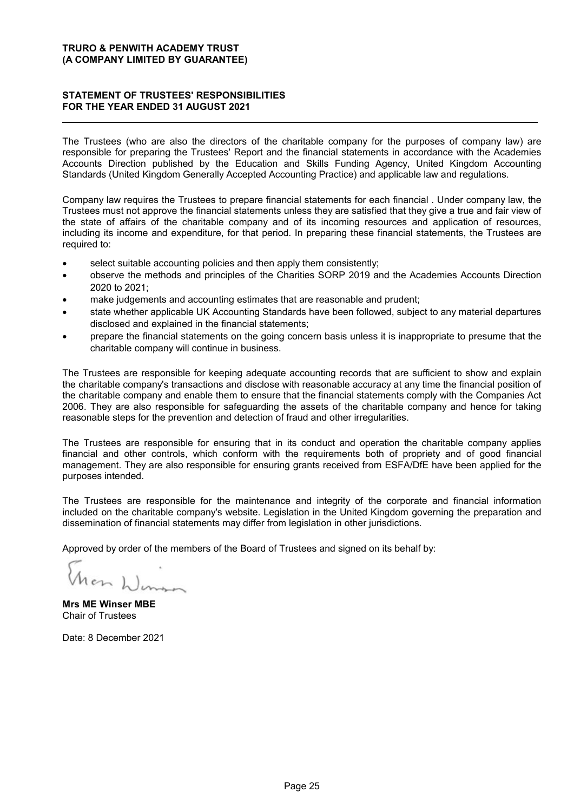## **STATEMENT OF TRUSTEES' RESPONSIBILITIES FOR THE YEAR ENDED 31 AUGUST 2021**

The Trustees (who are also the directors of the charitable company for the purposes of company law) are responsible for preparing the Trustees' Report and the financial statements in accordance with the Academies Accounts Direction published by the Education and Skills Funding Agency, United Kingdom Accounting Standards (United Kingdom Generally Accepted Accounting Practice) and applicable law and regulations.

Company law requires the Trustees to prepare financial statements for each financial . Under company law, the Trustees must not approve the financial statements unless they are satisfied that they give a true and fair view of the state of affairs of the charitable company and of its incoming resources and application of resources, including its income and expenditure, for that period. In preparing these financial statements, the Trustees are required to:

- select suitable accounting policies and then apply them consistently;
- observe the methods and principles of the Charities SORP 2019 and the Academies Accounts Direction 2020 to 2021;
- make judgements and accounting estimates that are reasonable and prudent;
- state whether applicable UK Accounting Standards have been followed, subject to any material departures disclosed and explained in the financial statements;
- prepare the financial statements on the going concern basis unless it is inappropriate to presume that the charitable company will continue in business.

The Trustees are responsible for keeping adequate accounting records that are sufficient to show and explain the charitable company's transactions and disclose with reasonable accuracy at any time the financial position of the charitable company and enable them to ensure that the financial statements comply with the Companies Act 2006. They are also responsible for safeguarding the assets of the charitable company and hence for taking reasonable steps for the prevention and detection of fraud and other irregularities.

The Trustees are responsible for ensuring that in its conduct and operation the charitable company applies financial and other controls, which conform with the requirements both of propriety and of good financial management. They are also responsible for ensuring grants received from ESFA/DfE have been applied for the purposes intended.

The Trustees are responsible for the maintenance and integrity of the corporate and financial information included on the charitable company's website. Legislation in the United Kingdom governing the preparation and dissemination of financial statements may differ from legislation in other jurisdictions.

Approved by order of the members of the Board of Trustees and signed on its behalf by:

**Mrs ME Winser MBE** Chair of Trustees

Date: 8 December 2021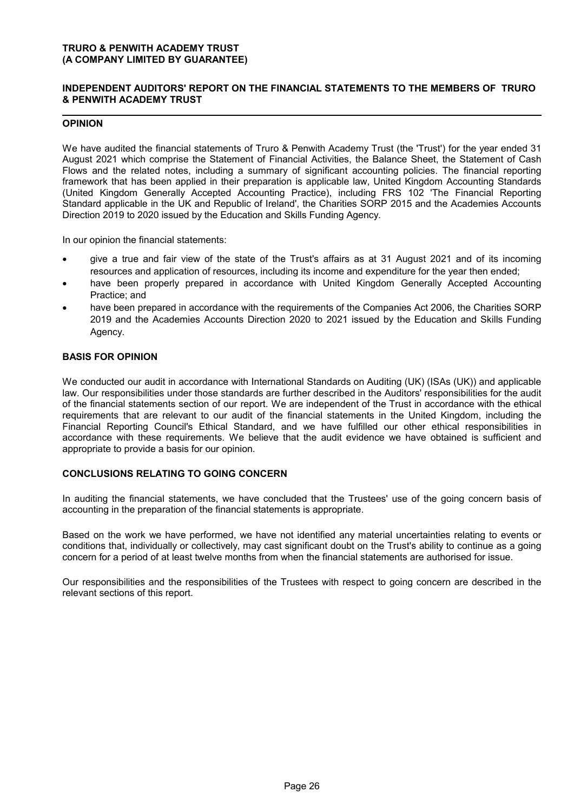## **INDEPENDENT AUDITORS' REPORT ON THE FINANCIAL STATEMENTS TO THE MEMBERS OF TRURO & PENWITH ACADEMY TRUST**

## **OPINION**

We have audited the financial statements of Truro & Penwith Academy Trust (the 'Trust') for the year ended 31 August 2021 which comprise the Statement of Financial Activities, the Balance Sheet, the Statement of Cash Flows and the related notes, including a summary of significant accounting policies. The financial reporting framework that has been applied in their preparation is applicable law, United Kingdom Accounting Standards (United Kingdom Generally Accepted Accounting Practice), including FRS 102 'The Financial Reporting Standard applicable in the UK and Republic of Ireland', the Charities SORP 2015 and the Academies Accounts Direction 2019 to 2020 issued by the Education and Skills Funding Agency.

In our opinion the financial statements:

- give a true and fair view of the state of the Trust's affairs as at 31 August 2021 and of its incoming resources and application of resources, including its income and expenditure for the year then ended;
- have been properly prepared in accordance with United Kingdom Generally Accepted Accounting Practice; and
- have been prepared in accordance with the requirements of the Companies Act 2006, the Charities SORP 2019 and the Academies Accounts Direction 2020 to 2021 issued by the Education and Skills Funding Agency.

## **BASIS FOR OPINION**

We conducted our audit in accordance with International Standards on Auditing (UK) (ISAs (UK)) and applicable law. Our responsibilities under those standards are further described in the Auditors' responsibilities for the audit of the financial statements section of our report. We are independent of the Trust in accordance with the ethical requirements that are relevant to our audit of the financial statements in the United Kingdom, including the Financial Reporting Council's Ethical Standard, and we have fulfilled our other ethical responsibilities in accordance with these requirements. We believe that the audit evidence we have obtained is sufficient and appropriate to provide a basis for our opinion.

#### **CONCLUSIONS RELATING TO GOING CONCERN**

In auditing the financial statements, we have concluded that the Trustees' use of the going concern basis of accounting in the preparation of the financial statements is appropriate.

Based on the work we have performed, we have not identified any material uncertainties relating to events or conditions that, individually or collectively, may cast significant doubt on the Trust's ability to continue as a going concern for a period of at least twelve months from when the financial statements are authorised for issue.

Our responsibilities and the responsibilities of the Trustees with respect to going concern are described in the relevant sections of this report.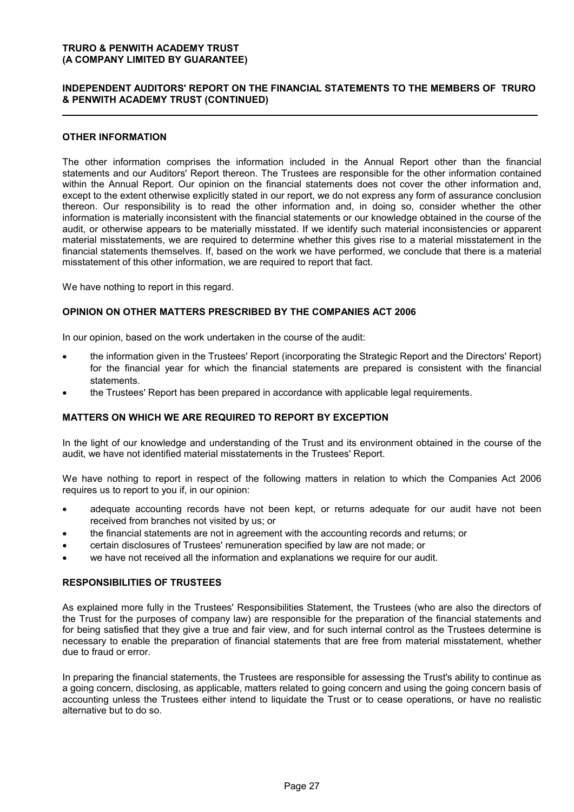## **INDEPENDENT AUDITORS' REPORT ON THE FINANCIAL STATEMENTS TO THE MEMBERS OF TRURO & PENWITH ACADEMY TRUST (CONTINUED)**

## **OTHER INFORMATION**

The other information comprises the information included in the Annual Report other than the financial statements and our Auditors' Report thereon. The Trustees are responsible for the other information contained within the Annual Report. Our opinion on the financial statements does not cover the other information and, except to the extent otherwise explicitly stated in our report, we do not express any form of assurance conclusion thereon. Our responsibility is to read the other information and, in doing so, consider whether the other information is materially inconsistent with the financial statements or our knowledge obtained in the course of the audit, or otherwise appears to be materially misstated. If we identify such material inconsistencies or apparent material misstatements, we are required to determine whether this gives rise to a material misstatement in the financial statements themselves. If, based on the work we have performed, we conclude that there is a material misstatement of this other information, we are required to report that fact.

We have nothing to report in this regard.

#### **OPINION ON OTHER MATTERS PRESCRIBED BY THE COMPANIES ACT 2006**

In our opinion, based on the work undertaken in the course of the audit:

- the information given in the Trustees' Report (incorporating the Strategic Report and the Directors' Report) for the financial year for which the financial statements are prepared is consistent with the financial statements.
- the Trustees' Report has been prepared in accordance with applicable legal requirements.

#### **MATTERS ON WHICH WE ARE REQUIRED TO REPORT BY EXCEPTION**

In the light of our knowledge and understanding of the Trust and its environment obtained in the course of the audit, we have not identified material misstatements in the Trustees' Report.

We have nothing to report in respect of the following matters in relation to which the Companies Act 2006 requires us to report to you if, in our opinion:

- adequate accounting records have not been kept, or returns adequate for our audit have not been received from branches not visited by us; or
- the financial statements are not in agreement with the accounting records and returns; or
- certain disclosures of Trustees' remuneration specified by law are not made; or
- we have not received all the information and explanations we require for our audit.

#### **RESPONSIBILITIES OF TRUSTEES**

As explained more fully in the Trustees' Responsibilities Statement, the Trustees (who are also the directors of the Trust for the purposes of company law) are responsible for the preparation of the financial statements and for being satisfied that they give a true and fair view, and for such internal control as the Trustees determine is necessary to enable the preparation of financial statements that are free from material misstatement, whether due to fraud or error.

In preparing the financial statements, the Trustees are responsible for assessing the Trust's ability to continue as a going concern, disclosing, as applicable, matters related to going concern and using the going concern basis of accounting unless the Trustees either intend to liquidate the Trust or to cease operations, or have no realistic alternative but to do so.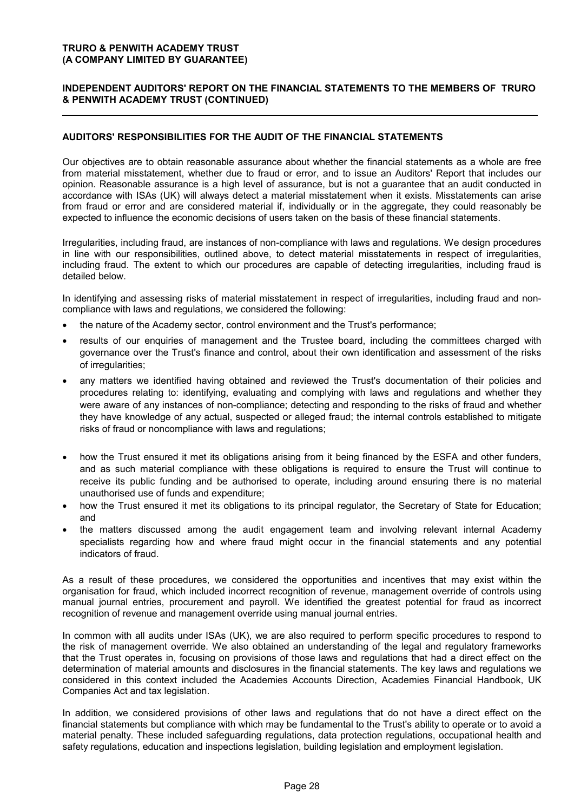## **INDEPENDENT AUDITORS' REPORT ON THE FINANCIAL STATEMENTS TO THE MEMBERS OF TRURO & PENWITH ACADEMY TRUST (CONTINUED)**

## **AUDITORS' RESPONSIBILITIES FOR THE AUDIT OF THE FINANCIAL STATEMENTS**

Our objectives are to obtain reasonable assurance about whether the financial statements as a whole are free from material misstatement, whether due to fraud or error, and to issue an Auditors' Report that includes our opinion. Reasonable assurance is a high level of assurance, but is not a guarantee that an audit conducted in accordance with ISAs (UK) will always detect a material misstatement when it exists. Misstatements can arise from fraud or error and are considered material if, individually or in the aggregate, they could reasonably be expected to influence the economic decisions of users taken on the basis of these financial statements.

Irregularities, including fraud, are instances of non-compliance with laws and regulations. We design procedures in line with our responsibilities, outlined above, to detect material misstatements in respect of irregularities, including fraud. The extent to which our procedures are capable of detecting irregularities, including fraud is detailed below.

In identifying and assessing risks of material misstatement in respect of irregularities, including fraud and noncompliance with laws and regulations, we considered the following:

- the nature of the Academy sector, control environment and the Trust's performance;
- results of our enquiries of management and the Trustee board, including the committees charged with governance over the Trust's finance and control, about their own identification and assessment of the risks of irregularities;
- any matters we identified having obtained and reviewed the Trust's documentation of their policies and procedures relating to: identifying, evaluating and complying with laws and regulations and whether they were aware of any instances of non-compliance; detecting and responding to the risks of fraud and whether they have knowledge of any actual, suspected or alleged fraud; the internal controls established to mitigate risks of fraud or noncompliance with laws and regulations;
- how the Trust ensured it met its obligations arising from it being financed by the ESFA and other funders, and as such material compliance with these obligations is required to ensure the Trust will continue to receive its public funding and be authorised to operate, including around ensuring there is no material unauthorised use of funds and expenditure;
- how the Trust ensured it met its obligations to its principal regulator, the Secretary of State for Education; and
- the matters discussed among the audit engagement team and involving relevant internal Academy specialists regarding how and where fraud might occur in the financial statements and any potential indicators of fraud.

As a result of these procedures, we considered the opportunities and incentives that may exist within the organisation for fraud, which included incorrect recognition of revenue, management override of controls using manual journal entries, procurement and payroll. We identified the greatest potential for fraud as incorrect recognition of revenue and management override using manual journal entries.

In common with all audits under ISAs (UK), we are also required to perform specific procedures to respond to the risk of management override. We also obtained an understanding of the legal and regulatory frameworks that the Trust operates in, focusing on provisions of those laws and regulations that had a direct effect on the determination of material amounts and disclosures in the financial statements. The key laws and regulations we considered in this context included the Academies Accounts Direction, Academies Financial Handbook, UK Companies Act and tax legislation.

In addition, we considered provisions of other laws and regulations that do not have a direct effect on the financial statements but compliance with which may be fundamental to the Trust's ability to operate or to avoid a material penalty. These included safeguarding regulations, data protection regulations, occupational health and safety regulations, education and inspections legislation, building legislation and employment legislation.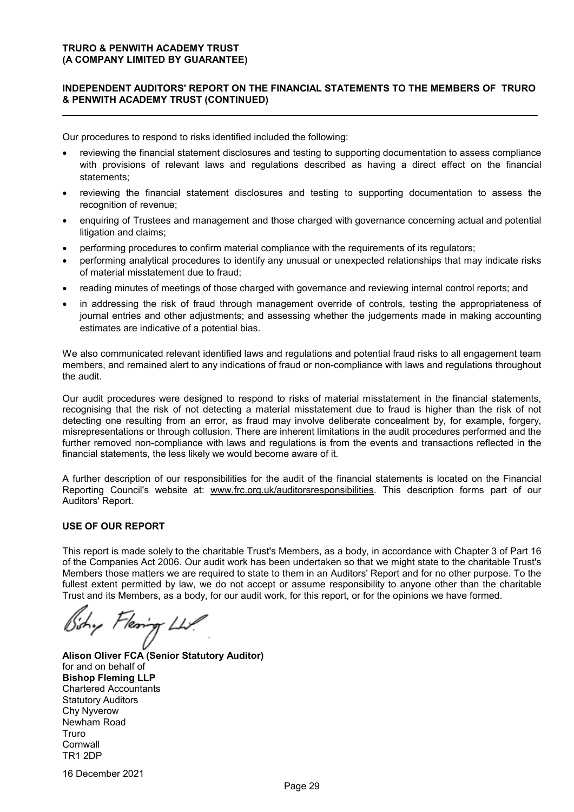## **INDEPENDENT AUDITORS' REPORT ON THE FINANCIAL STATEMENTS TO THE MEMBERS OF TRURO & PENWITH ACADEMY TRUST (CONTINUED)**

Our procedures to respond to risks identified included the following:

- reviewing the financial statement disclosures and testing to supporting documentation to assess compliance with provisions of relevant laws and regulations described as having a direct effect on the financial statements;
- reviewing the financial statement disclosures and testing to supporting documentation to assess the recognition of revenue;
- enquiring of Trustees and management and those charged with governance concerning actual and potential litigation and claims;
- performing procedures to confirm material compliance with the requirements of its regulators;
- performing analytical procedures to identify any unusual or unexpected relationships that may indicate risks of material misstatement due to fraud;
- reading minutes of meetings of those charged with governance and reviewing internal control reports; and
- in addressing the risk of fraud through management override of controls, testing the appropriateness of journal entries and other adjustments; and assessing whether the judgements made in making accounting estimates are indicative of a potential bias.

We also communicated relevant identified laws and regulations and potential fraud risks to all engagement team members, and remained alert to any indications of fraud or non-compliance with laws and regulations throughout the audit.

Our audit procedures were designed to respond to risks of material misstatement in the financial statements, recognising that the risk of not detecting a material misstatement due to fraud is higher than the risk of not detecting one resulting from an error, as fraud may involve deliberate concealment by, for example, forgery, misrepresentations or through collusion. There are inherent limitations in the audit procedures performed and the further removed non-compliance with laws and regulations is from the events and transactions reflected in the financial statements, the less likely we would become aware of it.

A further description of our responsibilities for the audit of the financial statements is located on the Financial Reporting Council's website at: www.frc.org.uk/auditorsresponsibilities. This description forms part of our Auditors' Report.

#### **USE OF OUR REPORT**

This report is made solely to the charitable Trust's Members, as a body, in accordance with Chapter 3 of Part 16 of the Companies Act 2006. Our audit work has been undertaken so that we might state to the charitable Trust's Members those matters we are required to state to them in an Auditors' Report and for no other purpose. To the fullest extent permitted by law, we do not accept or assume responsibility to anyone other than the charitable Trust and its Members, as a body, for our audit work, for this report, or for the opinions we have formed.

hy Flering Liv.

**Alison Oliver FCA (Senior Statutory Auditor)** for and on behalf of **Bishop Fleming LLP** Chartered Accountants Statutory Auditors Chy Nyverow Newham Road Truro **Cornwall** TR1 2DP

16 December 2021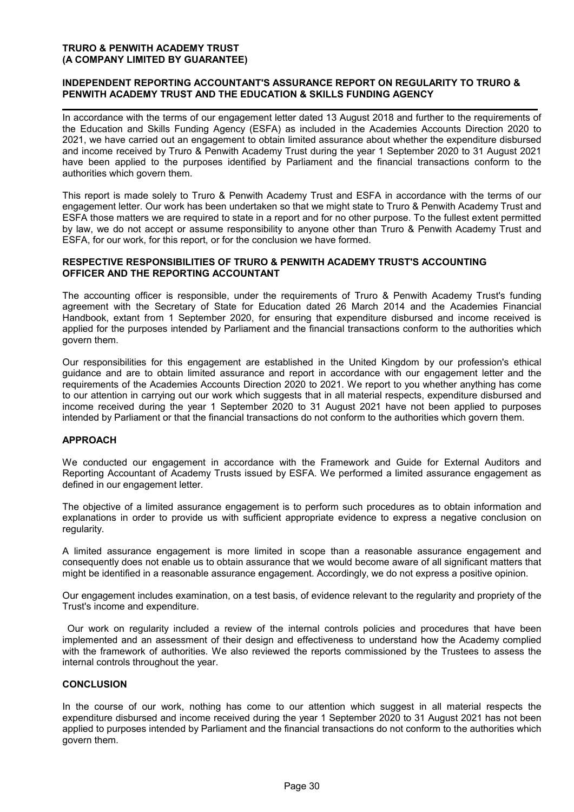## **INDEPENDENT REPORTING ACCOUNTANT'S ASSURANCE REPORT ON REGULARITY TO TRURO & PENWITH ACADEMY TRUST AND THE EDUCATION & SKILLS FUNDING AGENCY**

In accordance with the terms of our engagement letter dated 13 August 2018 and further to the requirements of the Education and Skills Funding Agency (ESFA) as included in the Academies Accounts Direction 2020 to 2021, we have carried out an engagement to obtain limited assurance about whether the expenditure disbursed and income received by Truro & Penwith Academy Trust during the year 1 September 2020 to 31 August 2021 have been applied to the purposes identified by Parliament and the financial transactions conform to the authorities which govern them.

This report is made solely to Truro & Penwith Academy Trust and ESFA in accordance with the terms of our engagement letter. Our work has been undertaken so that we might state to Truro & Penwith Academy Trust and ESFA those matters we are required to state in a report and for no other purpose. To the fullest extent permitted by law, we do not accept or assume responsibility to anyone other than Truro & Penwith Academy Trust and ESFA, for our work, for this report, or for the conclusion we have formed.

## **RESPECTIVE RESPONSIBILITIES OF TRURO & PENWITH ACADEMY TRUST'S ACCOUNTING OFFICER AND THE REPORTING ACCOUNTANT**

The accounting officer is responsible, under the requirements of Truro & Penwith Academy Trust's funding agreement with the Secretary of State for Education dated 26 March 2014 and the Academies Financial Handbook, extant from 1 September 2020, for ensuring that expenditure disbursed and income received is applied for the purposes intended by Parliament and the financial transactions conform to the authorities which govern them.

Our responsibilities for this engagement are established in the United Kingdom by our profession's ethical guidance and are to obtain limited assurance and report in accordance with our engagement letter and the requirements of the Academies Accounts Direction 2020 to 2021. We report to you whether anything has come to our attention in carrying out our work which suggests that in all material respects, expenditure disbursed and income received during the year 1 September 2020 to 31 August 2021 have not been applied to purposes intended by Parliament or that the financial transactions do not conform to the authorities which govern them.

## **APPROACH**

We conducted our engagement in accordance with the Framework and Guide for External Auditors and Reporting Accountant of Academy Trusts issued by ESFA. We performed a limited assurance engagement as defined in our engagement letter.

The objective of a limited assurance engagement is to perform such procedures as to obtain information and explanations in order to provide us with sufficient appropriate evidence to express a negative conclusion on regularity.

A limited assurance engagement is more limited in scope than a reasonable assurance engagement and consequently does not enable us to obtain assurance that we would become aware of all significant matters that might be identified in a reasonable assurance engagement. Accordingly, we do not express a positive opinion.

Our engagement includes examination, on a test basis, of evidence relevant to the regularity and propriety of the Trust's income and expenditure.

 Our work on regularity included a review of the internal controls policies and procedures that have been implemented and an assessment of their design and effectiveness to understand how the Academy complied with the framework of authorities. We also reviewed the reports commissioned by the Trustees to assess the internal controls throughout the year.

#### **CONCLUSION**

In the course of our work, nothing has come to our attention which suggest in all material respects the expenditure disbursed and income received during the year 1 September 2020 to 31 August 2021 has not been applied to purposes intended by Parliament and the financial transactions do not conform to the authorities which govern them.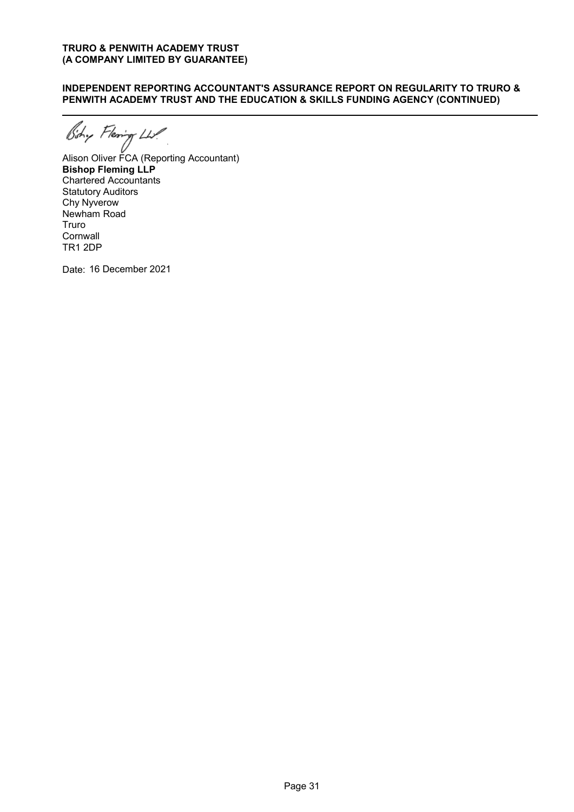## **INDEPENDENT REPORTING ACCOUNTANT'S ASSURANCE REPORT ON REGULARITY TO TRURO & PENWITH ACADEMY TRUST AND THE EDUCATION & SKILLS FUNDING AGENCY (CONTINUED)**

Aishy Flearing LLV<br>Alison Oliver FCA (Reporting Accountant)

**Bishop Fleming LLP** Chartered Accountants Statutory Auditors Chy Nyverow Newham Road Truro **Cornwall** TR1 2DP

Date: 16 December 2021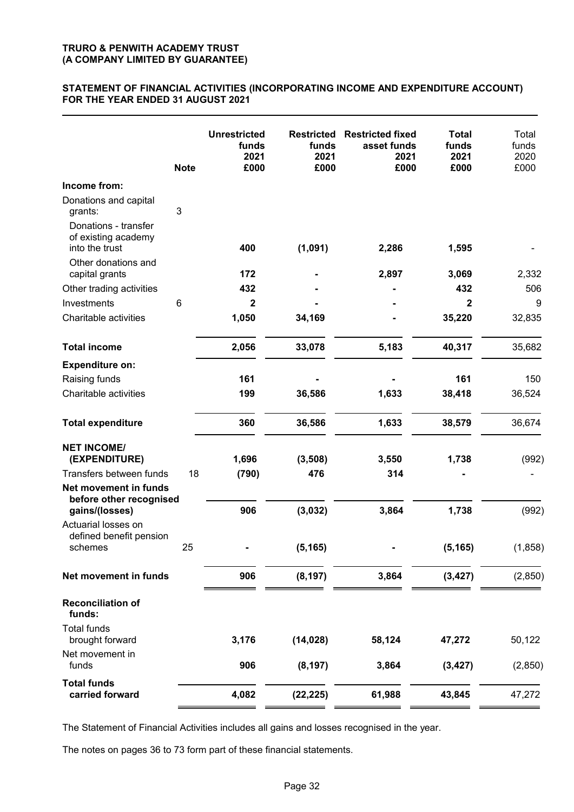## **STATEMENT OF FINANCIAL ACTIVITIES (INCORPORATING INCOME AND EXPENDITURE ACCOUNT) FOR THE YEAR ENDED 31 AUGUST 2021**

| Income from:<br>Donations and capital<br>3<br>grants:<br>Donations - transfer<br>of existing academy<br>(1,091)<br>into the trust<br>400<br>2,286<br>1,595<br>Other donations and<br>172<br>2,897<br>capital grants<br>3,069<br>Other trading activities<br>432<br>432<br>Investments<br>6<br>2<br>2<br>Charitable activities<br>1,050<br>34,169<br>35,220<br><b>Total income</b><br>2,056<br>33,078<br>5,183<br>40,317 | Total<br>funds<br>2020<br>£000 |
|-------------------------------------------------------------------------------------------------------------------------------------------------------------------------------------------------------------------------------------------------------------------------------------------------------------------------------------------------------------------------------------------------------------------------|--------------------------------|
|                                                                                                                                                                                                                                                                                                                                                                                                                         |                                |
|                                                                                                                                                                                                                                                                                                                                                                                                                         |                                |
|                                                                                                                                                                                                                                                                                                                                                                                                                         |                                |
|                                                                                                                                                                                                                                                                                                                                                                                                                         | 2,332                          |
|                                                                                                                                                                                                                                                                                                                                                                                                                         | 506                            |
|                                                                                                                                                                                                                                                                                                                                                                                                                         | 9                              |
|                                                                                                                                                                                                                                                                                                                                                                                                                         | 32,835                         |
|                                                                                                                                                                                                                                                                                                                                                                                                                         | 35,682                         |
| <b>Expenditure on:</b>                                                                                                                                                                                                                                                                                                                                                                                                  |                                |
| 161<br>161<br>Raising funds                                                                                                                                                                                                                                                                                                                                                                                             | 150                            |
| Charitable activities<br>199<br>36,586<br>1,633<br>38,418                                                                                                                                                                                                                                                                                                                                                               | 36,524                         |
| 360<br>36,586<br>1,633<br>38,579<br><b>Total expenditure</b>                                                                                                                                                                                                                                                                                                                                                            | 36,674                         |
| <b>NET INCOME/</b><br>(EXPENDITURE)<br>1,696<br>(3,508)<br>3,550<br>1,738                                                                                                                                                                                                                                                                                                                                               | (992)                          |
| Transfers between funds<br>18<br>476<br>314<br>(790)                                                                                                                                                                                                                                                                                                                                                                    |                                |
| Net movement in funds<br>before other recognised                                                                                                                                                                                                                                                                                                                                                                        |                                |
| 906<br>(3,032)<br>3,864<br>1,738<br>gains/(losses)                                                                                                                                                                                                                                                                                                                                                                      | (992)                          |
| Actuarial losses on<br>defined benefit pension<br>25<br>(5, 165)<br>(5, 165)<br>schemes                                                                                                                                                                                                                                                                                                                                 | (1, 858)                       |
| 3,864<br>906<br>(8, 197)<br>(3, 427)<br>Net movement in funds                                                                                                                                                                                                                                                                                                                                                           | (2,850)                        |
| <b>Reconciliation of</b><br>funds:                                                                                                                                                                                                                                                                                                                                                                                      |                                |
| <b>Total funds</b><br>3,176<br>(14, 028)<br>58,124<br>brought forward<br>47,272                                                                                                                                                                                                                                                                                                                                         | 50,122                         |
| Net movement in<br>funds<br>906<br>(8, 197)<br>3,864<br>(3, 427)                                                                                                                                                                                                                                                                                                                                                        | (2, 850)                       |
| <b>Total funds</b><br>4,082<br>61,988<br>43,845<br>carried forward<br>(22, 225)                                                                                                                                                                                                                                                                                                                                         | 47,272                         |

The Statement of Financial Activities includes all gains and losses recognised in the year.

The notes on pages 36 to 73 form part of these financial statements.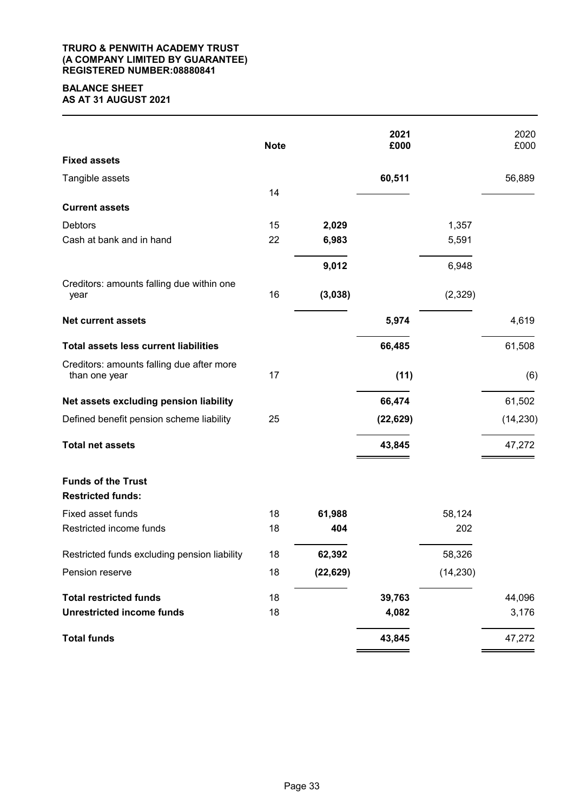#### **TRURO & PENWITH ACADEMY TRUST (A COMPANY LIMITED BY GUARANTEE) REGISTERED NUMBER:08880841**

## **BALANCE SHEET AS AT 31 AUGUST 2021**

|                                                            | <b>Note</b> |           | 2021<br>£000 |           | 2020<br>£000 |
|------------------------------------------------------------|-------------|-----------|--------------|-----------|--------------|
| <b>Fixed assets</b>                                        |             |           |              |           |              |
| Tangible assets                                            |             |           | 60,511       |           | 56,889       |
|                                                            | 14          |           |              |           |              |
| <b>Current assets</b>                                      |             |           |              |           |              |
| <b>Debtors</b>                                             | 15          | 2,029     |              | 1,357     |              |
| Cash at bank and in hand                                   | 22          | 6,983     |              | 5,591     |              |
|                                                            |             | 9,012     |              | 6,948     |              |
| Creditors: amounts falling due within one<br>year          | 16          | (3,038)   |              | (2,329)   |              |
| <b>Net current assets</b>                                  |             |           | 5,974        |           | 4,619        |
| <b>Total assets less current liabilities</b>               |             |           | 66,485       |           | 61,508       |
| Creditors: amounts falling due after more<br>than one year | 17          |           | (11)         |           | (6)          |
| Net assets excluding pension liability                     |             |           | 66,474       |           | 61,502       |
| Defined benefit pension scheme liability                   | 25          |           | (22, 629)    |           | (14, 230)    |
| <b>Total net assets</b>                                    |             |           | 43,845       |           | 47,272       |
| <b>Funds of the Trust</b><br><b>Restricted funds:</b>      |             |           |              |           |              |
| Fixed asset funds                                          | 18          | 61,988    |              | 58,124    |              |
| Restricted income funds                                    | 18          | 404       |              | 202       |              |
| Restricted funds excluding pension liability               | 18          | 62,392    |              | 58,326    |              |
| Pension reserve                                            | 18          | (22, 629) |              | (14, 230) |              |
| <b>Total restricted funds</b>                              | 18          |           | 39,763       |           | 44,096       |
| <b>Unrestricted income funds</b>                           | 18          |           | 4,082        |           | 3,176        |
| <b>Total funds</b>                                         |             |           | 43,845       |           | 47,272       |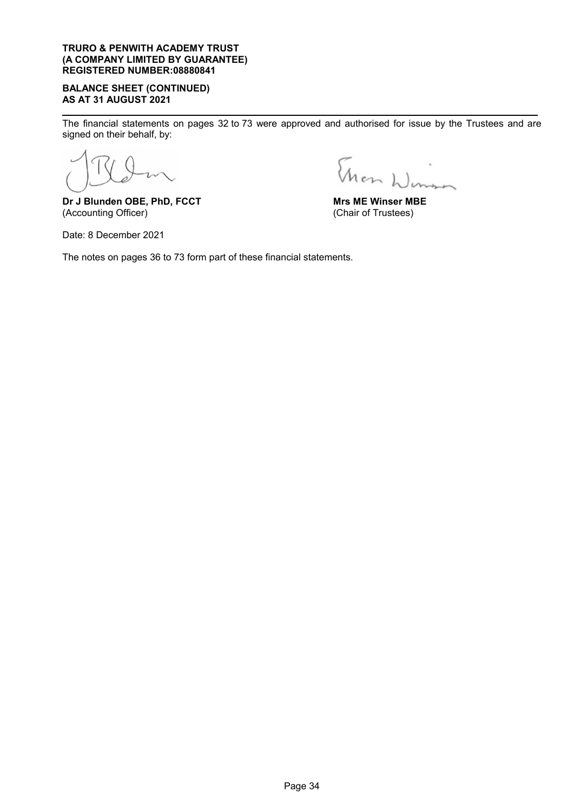#### **TRURO & PENWITH ACADEMY TRUST (A COMPANY LIMITED BY GUARANTEE) REGISTERED NUMBER:08880841**

## **BALANCE SHEET (CONTINUED) AS AT 31 AUGUST 2021**

The financial statements on pages 32 to 73 were approved and authorised for issue by the Trustees and are signed on their behalf, by:

**Dr J Blunden OBE, PhD, FCCT** (Accounting Officer)

Date: 8 December 2021

Than Winson

**Mrs ME Winser MBE** (Chair of Trustees)

The notes on pages 36 to 73 form part of these financial statements.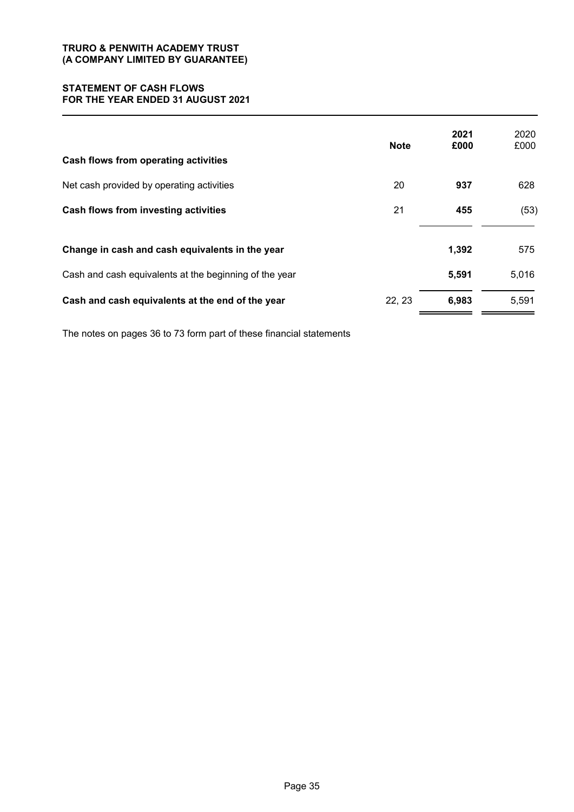#### **STATEMENT OF CASH FLOWS FOR THE YEAR ENDED 31 AUGUST 2021**

| Cash flows from operating activities                   | <b>Note</b> | 2021<br>£000 | 2020<br>£000 |
|--------------------------------------------------------|-------------|--------------|--------------|
| Net cash provided by operating activities              | 20          | 937          | 628          |
| Cash flows from investing activities                   | 21          | 455          | (53)         |
| Change in cash and cash equivalents in the year        |             | 1,392        | 575          |
| Cash and cash equivalents at the beginning of the year |             | 5,591        | 5,016        |
| Cash and cash equivalents at the end of the year       | 22, 23      | 6,983        | 5,591        |

The notes on pages 36 to 73 form part of these financial statements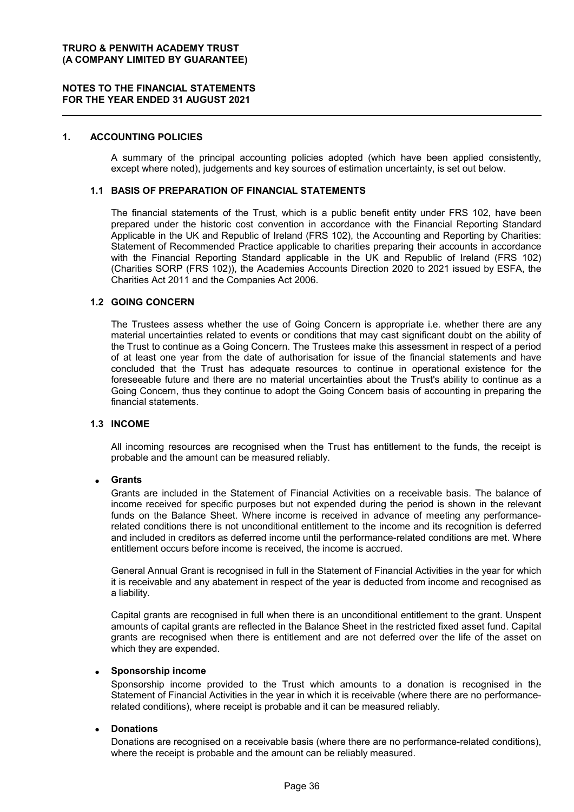#### **NOTES TO THE FINANCIAL STATEMENTS FOR THE YEAR ENDED 31 AUGUST 2021**

#### **1. ACCOUNTING POLICIES**

A summary of the principal accounting policies adopted (which have been applied consistently, except where noted), judgements and key sources of estimation uncertainty, is set out below.

#### **1.1 BASIS OF PREPARATION OF FINANCIAL STATEMENTS**

The financial statements of the Trust, which is a public benefit entity under FRS 102, have been prepared under the historic cost convention in accordance with the Financial Reporting Standard Applicable in the UK and Republic of Ireland (FRS 102), the Accounting and Reporting by Charities: Statement of Recommended Practice applicable to charities preparing their accounts in accordance with the Financial Reporting Standard applicable in the UK and Republic of Ireland (FRS 102) (Charities SORP (FRS 102)), the Academies Accounts Direction 2020 to 2021 issued by ESFA, the Charities Act 2011 and the Companies Act 2006.

#### **1.2 GOING CONCERN**

The Trustees assess whether the use of Going Concern is appropriate i.e. whether there are any material uncertainties related to events or conditions that may cast significant doubt on the ability of the Trust to continue as a Going Concern. The Trustees make this assessment in respect of a period of at least one year from the date of authorisation for issue of the financial statements and have concluded that the Trust has adequate resources to continue in operational existence for the foreseeable future and there are no material uncertainties about the Trust's ability to continue as a Going Concern, thus they continue to adopt the Going Concern basis of accounting in preparing the financial statements.

#### **1.3 INCOME**

All incoming resources are recognised when the Trust has entitlement to the funds, the receipt is probable and the amount can be measured reliably.

#### **Grants**

Grants are included in the Statement of Financial Activities on a receivable basis. The balance of income received for specific purposes but not expended during the period is shown in the relevant funds on the Balance Sheet. Where income is received in advance of meeting any performancerelated conditions there is not unconditional entitlement to the income and its recognition is deferred and included in creditors as deferred income until the performance-related conditions are met. Where entitlement occurs before income is received, the income is accrued.

General Annual Grant is recognised in full in the Statement of Financial Activities in the year for which it is receivable and any abatement in respect of the year is deducted from income and recognised as a liability.

Capital grants are recognised in full when there is an unconditional entitlement to the grant. Unspent amounts of capital grants are reflected in the Balance Sheet in the restricted fixed asset fund. Capital grants are recognised when there is entitlement and are not deferred over the life of the asset on which they are expended.

#### **Sponsorship income**

Sponsorship income provided to the Trust which amounts to a donation is recognised in the Statement of Financial Activities in the year in which it is receivable (where there are no performancerelated conditions), where receipt is probable and it can be measured reliably.

#### **Donations**

Donations are recognised on a receivable basis (where there are no performance-related conditions), where the receipt is probable and the amount can be reliably measured.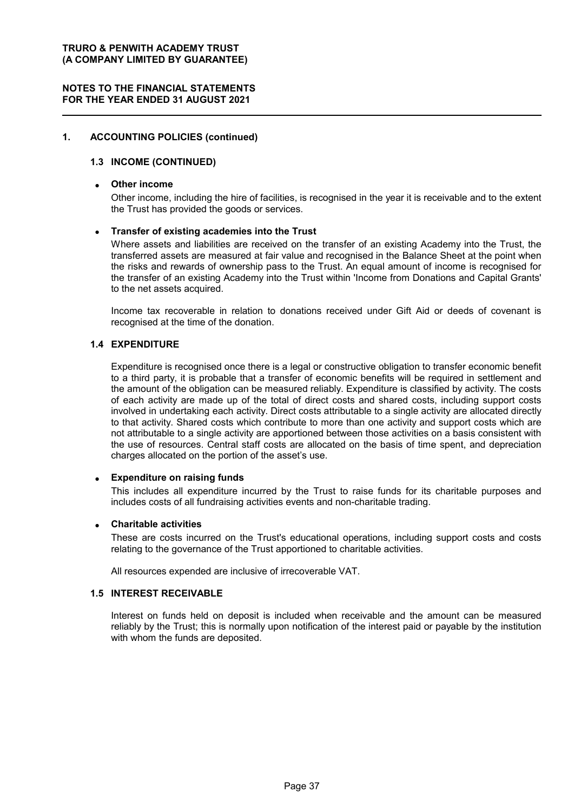#### **NOTES TO THE FINANCIAL STATEMENTS FOR THE YEAR ENDED 31 AUGUST 2021**

#### **1. ACCOUNTING POLICIES (continued)**

#### **1.3 INCOME (CONTINUED)**

#### **Other income**

Other income, including the hire of facilities, is recognised in the year it is receivable and to the extent the Trust has provided the goods or services.

#### **Transfer of existing academies into the Trust**

Where assets and liabilities are received on the transfer of an existing Academy into the Trust, the transferred assets are measured at fair value and recognised in the Balance Sheet at the point when the risks and rewards of ownership pass to the Trust. An equal amount of income is recognised for the transfer of an existing Academy into the Trust within 'Income from Donations and Capital Grants' to the net assets acquired.

Income tax recoverable in relation to donations received under Gift Aid or deeds of covenant is recognised at the time of the donation.

#### **1.4 EXPENDITURE**

Expenditure is recognised once there is a legal or constructive obligation to transfer economic benefit to a third party, it is probable that a transfer of economic benefits will be required in settlement and the amount of the obligation can be measured reliably. Expenditure is classified by activity. The costs of each activity are made up of the total of direct costs and shared costs, including support costs involved in undertaking each activity. Direct costs attributable to a single activity are allocated directly to that activity. Shared costs which contribute to more than one activity and support costs which are not attributable to a single activity are apportioned between those activities on a basis consistent with the use of resources. Central staff costs are allocated on the basis of time spent, and depreciation charges allocated on the portion of the asset's use.

#### **Expenditure on raising funds**

This includes all expenditure incurred by the Trust to raise funds for its charitable purposes and includes costs of all fundraising activities events and non-charitable trading.

#### **Charitable activities**

These are costs incurred on the Trust's educational operations, including support costs and costs relating to the governance of the Trust apportioned to charitable activities.

All resources expended are inclusive of irrecoverable VAT.

#### **1.5 INTEREST RECEIVABLE**

Interest on funds held on deposit is included when receivable and the amount can be measured reliably by the Trust; this is normally upon notification of the interest paid or payable by the institution with whom the funds are deposited.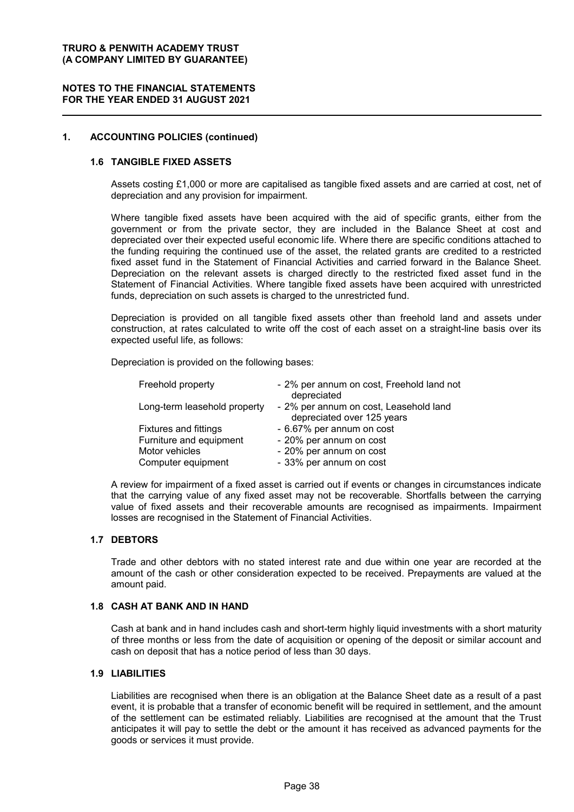#### **NOTES TO THE FINANCIAL STATEMENTS FOR THE YEAR ENDED 31 AUGUST 2021**

#### **1. ACCOUNTING POLICIES (continued)**

#### **1.6 TANGIBLE FIXED ASSETS**

Assets costing £1,000 or more are capitalised as tangible fixed assets and are carried at cost, net of depreciation and any provision for impairment.

Where tangible fixed assets have been acquired with the aid of specific grants, either from the government or from the private sector, they are included in the Balance Sheet at cost and depreciated over their expected useful economic life. Where there are specific conditions attached to the funding requiring the continued use of the asset, the related grants are credited to a restricted fixed asset fund in the Statement of Financial Activities and carried forward in the Balance Sheet. Depreciation on the relevant assets is charged directly to the restricted fixed asset fund in the Statement of Financial Activities. Where tangible fixed assets have been acquired with unrestricted funds, depreciation on such assets is charged to the unrestricted fund.

Depreciation is provided on all tangible fixed assets other than freehold land and assets under construction, at rates calculated to write off the cost of each asset on a straight-line basis over its expected useful life, as follows:

Depreciation is provided on the following bases:

| Freehold property            | - 2% per annum on cost, Freehold land not<br>depreciated             |
|------------------------------|----------------------------------------------------------------------|
| Long-term leasehold property | - 2% per annum on cost, Leasehold land<br>depreciated over 125 years |
| <b>Fixtures and fittings</b> | - 6.67% per annum on cost                                            |
| Furniture and equipment      | - 20% per annum on cost                                              |
| Motor vehicles               | - 20% per annum on cost                                              |
| Computer equipment           | - 33% per annum on cost                                              |

A review for impairment of a fixed asset is carried out if events or changes in circumstances indicate that the carrying value of any fixed asset may not be recoverable. Shortfalls between the carrying value of fixed assets and their recoverable amounts are recognised as impairments. Impairment losses are recognised in the Statement of Financial Activities.

#### **1.7 DEBTORS**

Trade and other debtors with no stated interest rate and due within one year are recorded at the amount of the cash or other consideration expected to be received. Prepayments are valued at the amount paid.

#### **1.8 CASH AT BANK AND IN HAND**

Cash at bank and in hand includes cash and short-term highly liquid investments with a short maturity of three months or less from the date of acquisition or opening of the deposit or similar account and cash on deposit that has a notice period of less than 30 days.

#### **1.9 LIABILITIES**

Liabilities are recognised when there is an obligation at the Balance Sheet date as a result of a past event, it is probable that a transfer of economic benefit will be required in settlement, and the amount of the settlement can be estimated reliably. Liabilities are recognised at the amount that the Trust anticipates it will pay to settle the debt or the amount it has received as advanced payments for the goods or services it must provide.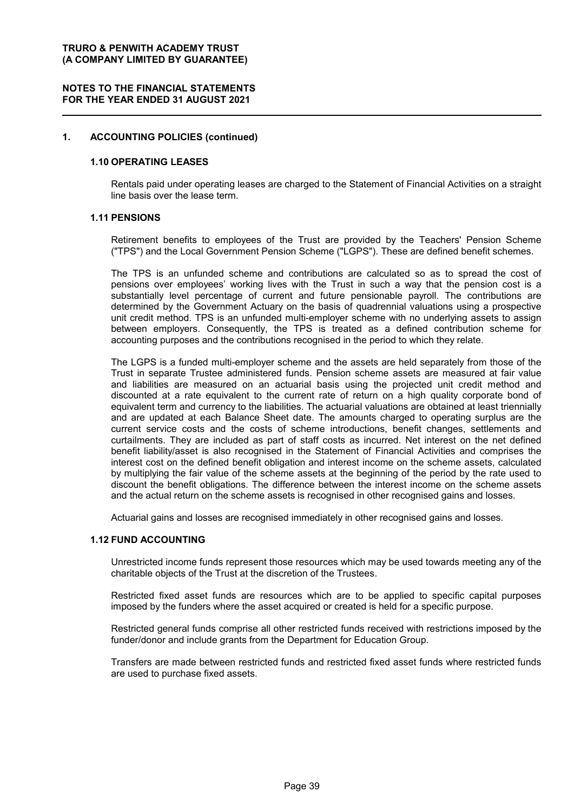#### **NOTES TO THE FINANCIAL STATEMENTS FOR THE YEAR ENDED 31 AUGUST 2021**

#### **1. ACCOUNTING POLICIES (continued)**

#### **1.10 OPERATING LEASES**

Rentals paid under operating leases are charged to the Statement of Financial Activities on a straight line basis over the lease term.

#### **1.11 PENSIONS**

Retirement benefits to employees of the Trust are provided by the Teachers' Pension Scheme ("TPS") and the Local Government Pension Scheme ("LGPS"). These are defined benefit schemes.

The TPS is an unfunded scheme and contributions are calculated so as to spread the cost of pensions over employees' working lives with the Trust in such a way that the pension cost is a substantially level percentage of current and future pensionable payroll. The contributions are determined by the Government Actuary on the basis of quadrennial valuations using a prospective unit credit method. TPS is an unfunded multi-employer scheme with no underlying assets to assign between employers. Consequently, the TPS is treated as a defined contribution scheme for accounting purposes and the contributions recognised in the period to which they relate.

The LGPS is a funded multi-employer scheme and the assets are held separately from those of the Trust in separate Trustee administered funds. Pension scheme assets are measured at fair value and liabilities are measured on an actuarial basis using the projected unit credit method and discounted at a rate equivalent to the current rate of return on a high quality corporate bond of equivalent term and currency to the liabilities. The actuarial valuations are obtained at least triennially and are updated at each Balance Sheet date. The amounts charged to operating surplus are the current service costs and the costs of scheme introductions, benefit changes, settlements and curtailments. They are included as part of staff costs as incurred. Net interest on the net defined benefit liability/asset is also recognised in the Statement of Financial Activities and comprises the interest cost on the defined benefit obligation and interest income on the scheme assets, calculated by multiplying the fair value of the scheme assets at the beginning of the period by the rate used to discount the benefit obligations. The difference between the interest income on the scheme assets and the actual return on the scheme assets is recognised in other recognised gains and losses.

Actuarial gains and losses are recognised immediately in other recognised gains and losses.

#### **1.12 FUND ACCOUNTING**

Unrestricted income funds represent those resources which may be used towards meeting any of the charitable objects of the Trust at the discretion of the Trustees.

Restricted fixed asset funds are resources which are to be applied to specific capital purposes imposed by the funders where the asset acquired or created is held for a specific purpose.

Restricted general funds comprise all other restricted funds received with restrictions imposed by the funder/donor and include grants from the Department for Education Group.

Transfers are made between restricted funds and restricted fixed asset funds where restricted funds are used to purchase fixed assets.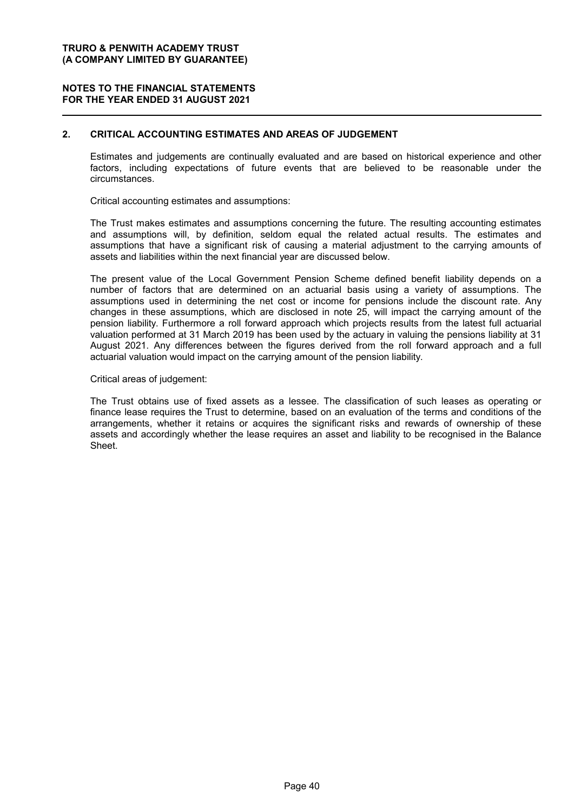#### **NOTES TO THE FINANCIAL STATEMENTS FOR THE YEAR ENDED 31 AUGUST 2021**

#### **2. CRITICAL ACCOUNTING ESTIMATES AND AREAS OF JUDGEMENT**

Estimates and judgements are continually evaluated and are based on historical experience and other factors, including expectations of future events that are believed to be reasonable under the circumstances.

Critical accounting estimates and assumptions:

The Trust makes estimates and assumptions concerning the future. The resulting accounting estimates and assumptions will, by definition, seldom equal the related actual results. The estimates and assumptions that have a significant risk of causing a material adjustment to the carrying amounts of assets and liabilities within the next financial year are discussed below.

The present value of the Local Government Pension Scheme defined benefit liability depends on a number of factors that are determined on an actuarial basis using a variety of assumptions. The assumptions used in determining the net cost or income for pensions include the discount rate. Any changes in these assumptions, which are disclosed in note 25, will impact the carrying amount of the pension liability. Furthermore a roll forward approach which projects results from the latest full actuarial valuation performed at 31 March 2019 has been used by the actuary in valuing the pensions liability at 31 August 2021. Any differences between the figures derived from the roll forward approach and a full actuarial valuation would impact on the carrying amount of the pension liability.

#### Critical areas of judgement:

The Trust obtains use of fixed assets as a lessee. The classification of such leases as operating or finance lease requires the Trust to determine, based on an evaluation of the terms and conditions of the arrangements, whether it retains or acquires the significant risks and rewards of ownership of these assets and accordingly whether the lease requires an asset and liability to be recognised in the Balance Sheet.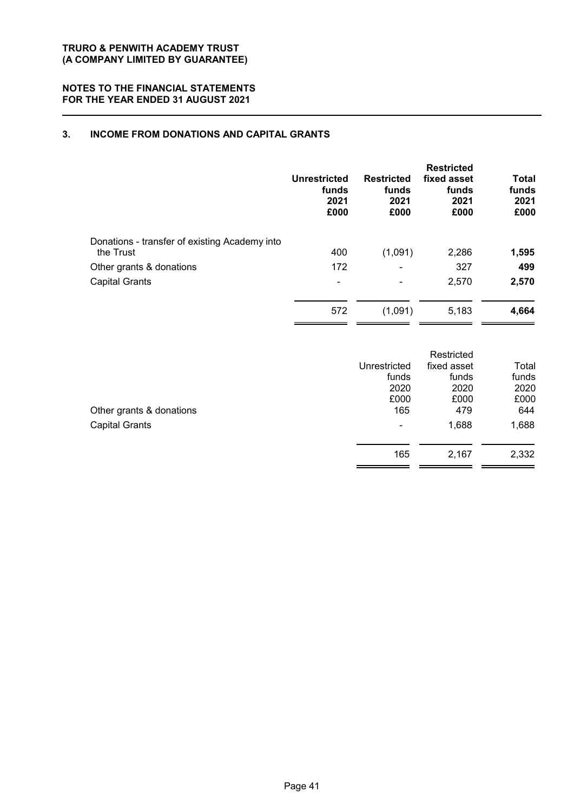#### **NOTES TO THE FINANCIAL STATEMENTS FOR THE YEAR ENDED 31 AUGUST 2021**

### **3. INCOME FROM DONATIONS AND CAPITAL GRANTS**

|                                                            | <b>Unrestricted</b><br>funds<br>2021<br>£000 | <b>Restricted</b><br>funds<br>2021<br>£000 | <b>Restricted</b><br>fixed asset<br>funds<br>2021<br>£000 | <b>Total</b><br>funds<br>2021<br>£000 |
|------------------------------------------------------------|----------------------------------------------|--------------------------------------------|-----------------------------------------------------------|---------------------------------------|
| Donations - transfer of existing Academy into<br>the Trust | 400                                          | (1,091)                                    | 2,286                                                     | 1,595                                 |
| Other grants & donations                                   | 172                                          |                                            | 327                                                       | 499                                   |
| <b>Capital Grants</b>                                      | $\overline{\phantom{0}}$                     | ۰                                          | 2,570                                                     | 2,570                                 |
|                                                            | 572                                          | (1,091)                                    | 5,183                                                     | 4,664                                 |

|                          |              | Restricted  |       |
|--------------------------|--------------|-------------|-------|
|                          | Unrestricted | fixed asset | Total |
|                          | funds        | funds       | funds |
|                          | 2020         | 2020        | 2020  |
|                          | £000         | £000        | £000  |
| Other grants & donations | 165          | 479         | 644   |
| <b>Capital Grants</b>    | ۰            | 1,688       | 1,688 |
|                          | 165          | 2,167       | 2,332 |
|                          |              |             |       |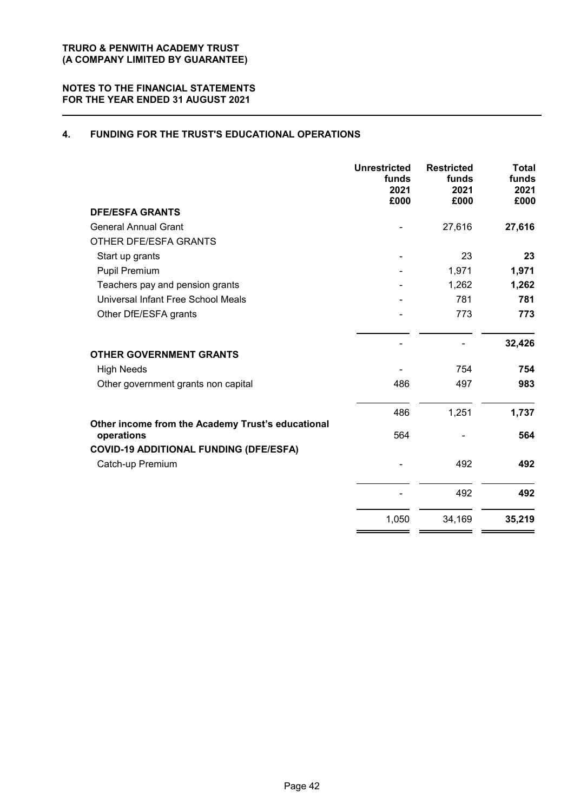### **4. FUNDING FOR THE TRUST'S EDUCATIONAL OPERATIONS**

|                                                                   | <b>Unrestricted</b><br>funds<br>2021<br>£000 | <b>Restricted</b><br>funds<br>2021<br>£000 | <b>Total</b><br>funds<br>2021<br>£000 |
|-------------------------------------------------------------------|----------------------------------------------|--------------------------------------------|---------------------------------------|
| <b>DFE/ESFA GRANTS</b>                                            |                                              |                                            |                                       |
| <b>General Annual Grant</b>                                       |                                              | 27,616                                     | 27,616                                |
| OTHER DFE/ESFA GRANTS                                             |                                              |                                            |                                       |
| Start up grants                                                   |                                              | 23                                         | 23                                    |
| Pupil Premium                                                     |                                              | 1,971                                      | 1,971                                 |
| Teachers pay and pension grants                                   |                                              | 1,262                                      | 1,262                                 |
| Universal Infant Free School Meals                                |                                              | 781                                        | 781                                   |
| Other DfE/ESFA grants                                             |                                              | 773                                        | 773                                   |
|                                                                   |                                              |                                            | 32,426                                |
| <b>OTHER GOVERNMENT GRANTS</b>                                    |                                              |                                            |                                       |
| <b>High Needs</b>                                                 |                                              | 754                                        | 754                                   |
| Other government grants non capital                               | 486                                          | 497                                        | 983                                   |
|                                                                   | 486                                          | 1,251                                      | 1,737                                 |
| Other income from the Academy Trust's educational<br>operations   | 564                                          |                                            | 564                                   |
| <b>COVID-19 ADDITIONAL FUNDING (DFE/ESFA)</b><br>Catch-up Premium |                                              | 492                                        | 492                                   |
|                                                                   |                                              | 492                                        | 492                                   |
|                                                                   | 1,050                                        | 34,169                                     | 35,219                                |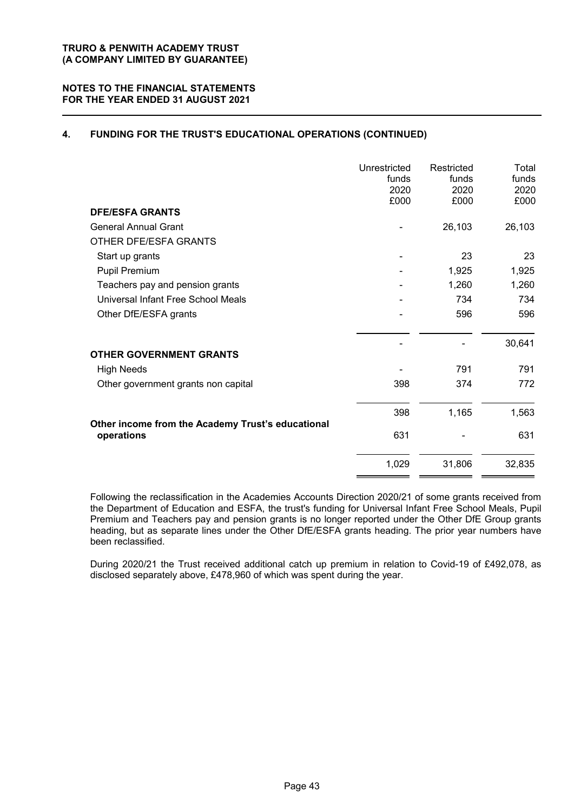### **4. FUNDING FOR THE TRUST'S EDUCATIONAL OPERATIONS (CONTINUED)**

|                                                                 | Unrestricted<br>funds<br>2020<br>£000 | Restricted<br>funds<br>2020<br>£000 | Total<br>funds<br>2020<br>£000 |
|-----------------------------------------------------------------|---------------------------------------|-------------------------------------|--------------------------------|
| <b>DFE/ESFA GRANTS</b>                                          |                                       |                                     |                                |
| <b>General Annual Grant</b>                                     |                                       | 26,103                              | 26,103                         |
| OTHER DFE/ESFA GRANTS                                           |                                       |                                     |                                |
| Start up grants                                                 |                                       | 23                                  | 23                             |
| Pupil Premium                                                   |                                       | 1,925                               | 1,925                          |
| Teachers pay and pension grants                                 |                                       | 1,260                               | 1,260                          |
| Universal Infant Free School Meals                              |                                       | 734                                 | 734                            |
| Other DfE/ESFA grants                                           |                                       | 596                                 | 596                            |
|                                                                 |                                       |                                     | 30,641                         |
| <b>OTHER GOVERNMENT GRANTS</b>                                  |                                       |                                     |                                |
| <b>High Needs</b>                                               |                                       | 791                                 | 791                            |
| Other government grants non capital                             | 398                                   | 374                                 | 772                            |
|                                                                 | 398                                   | 1,165                               | 1,563                          |
| Other income from the Academy Trust's educational<br>operations | 631                                   |                                     | 631                            |
|                                                                 | 1,029                                 | 31,806                              | 32,835                         |

Following the reclassification in the Academies Accounts Direction 2020/21 of some grants received from the Department of Education and ESFA, the trust's funding for Universal Infant Free School Meals, Pupil Premium and Teachers pay and pension grants is no longer reported under the Other DfE Group grants heading, but as separate lines under the Other DfE/ESFA grants heading. The prior year numbers have been reclassified.

During 2020/21 the Trust received additional catch up premium in relation to Covid-19 of £492,078, as disclosed separately above, £478,960 of which was spent during the year.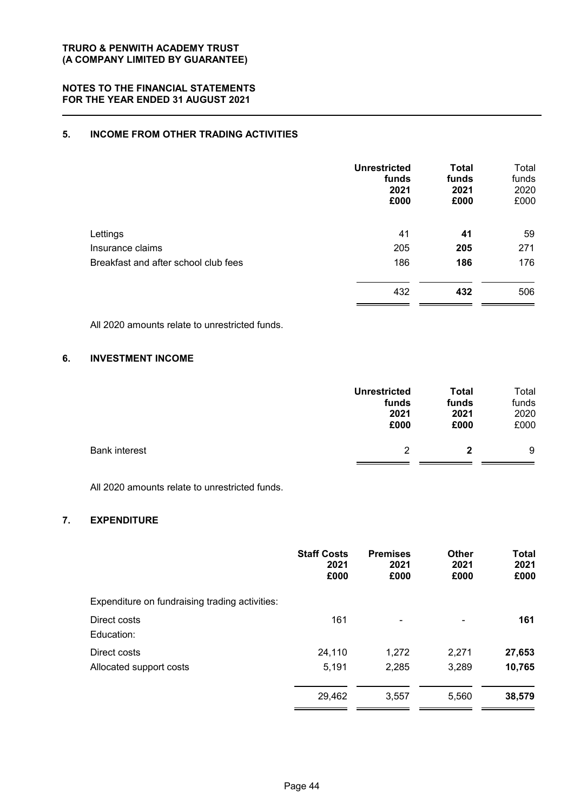### **5. INCOME FROM OTHER TRADING ACTIVITIES**

| <b>Unrestricted</b><br>funds<br>2021<br>£000 | <b>Total</b><br>funds<br>2021<br>£000 | Total<br>funds<br>2020<br>£000 |
|----------------------------------------------|---------------------------------------|--------------------------------|
| 41                                           | 41                                    | 59                             |
| 205                                          | 205                                   | 271                            |
| 186                                          | 186                                   | 176                            |
| 432                                          | 432                                   | 506                            |
|                                              |                                       |                                |

All 2020 amounts relate to unrestricted funds.

#### **6. INVESTMENT INCOME**

|                      | <b>Unrestricted</b> | <b>Total</b> | Total |
|----------------------|---------------------|--------------|-------|
|                      | funds               | funds        | funds |
|                      | 2021                | 2021         | 2020  |
|                      | £000                | £000         | £000  |
| <b>Bank interest</b> | 2                   | 2            | 9     |

All 2020 amounts relate to unrestricted funds.

#### **7. EXPENDITURE**

|                                                | <b>Staff Costs</b><br>2021<br>£000 | <b>Premises</b><br>2021<br>£000 | <b>Other</b><br>2021<br>£000 | <b>Total</b><br>2021<br>£000 |
|------------------------------------------------|------------------------------------|---------------------------------|------------------------------|------------------------------|
| Expenditure on fundraising trading activities: |                                    |                                 |                              |                              |
| Direct costs<br>Education:                     | 161                                | ۰                               | ۰                            | 161                          |
| Direct costs                                   | 24,110                             | 1,272                           | 2,271                        | 27,653                       |
| Allocated support costs                        | 5,191                              | 2,285                           | 3,289                        | 10,765                       |
|                                                | 29,462                             | 3,557                           | 5,560                        | 38,579                       |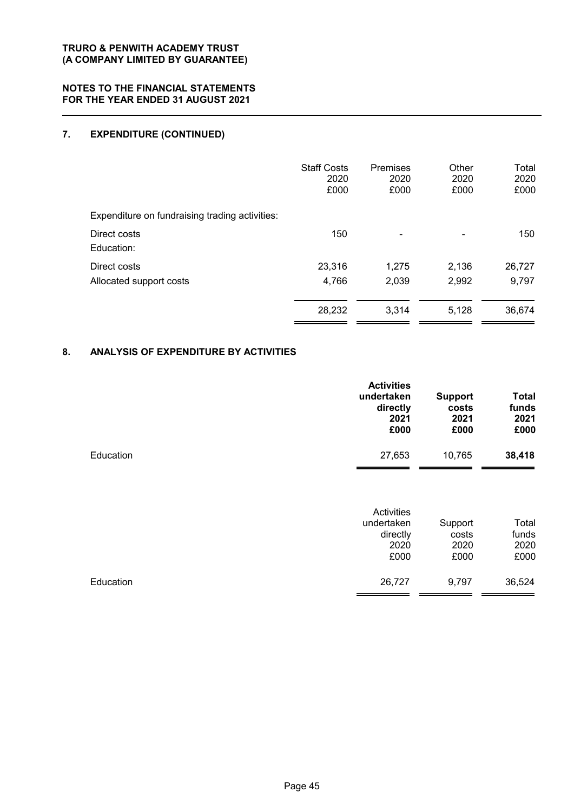# **7. EXPENDITURE (CONTINUED)**

|                                                | <b>Staff Costs</b><br>2020<br>£000 | Premises<br>2020<br>£000 | Other<br>2020<br>£000 | Total<br>2020<br>£000 |
|------------------------------------------------|------------------------------------|--------------------------|-----------------------|-----------------------|
| Expenditure on fundraising trading activities: |                                    |                          |                       |                       |
| Direct costs<br>Education:                     | 150                                |                          |                       | 150                   |
| Direct costs                                   | 23,316                             | 1,275                    | 2,136                 | 26,727                |
| Allocated support costs                        | 4,766                              | 2,039                    | 2,992                 | 9,797                 |
|                                                | 28,232                             | 3,314                    | 5,128                 | 36,674                |

### **8. ANALYSIS OF EXPENDITURE BY ACTIVITIES**

|           | <b>Activities</b><br>undertaken<br>directly<br>2021<br>£000 | <b>Support</b><br>costs<br>2021<br>£000 | <b>Total</b><br>funds<br>2021<br>£000 |
|-----------|-------------------------------------------------------------|-----------------------------------------|---------------------------------------|
| Education | 27,653                                                      | 10,765                                  | 38,418                                |
|           |                                                             |                                         |                                       |

|           | Activities<br>undertaken<br>directly<br>2020<br>£000 | Support<br>costs<br>2020<br>£000 | Total<br>funds<br>2020<br>£000 |
|-----------|------------------------------------------------------|----------------------------------|--------------------------------|
| Education | 26,727                                               | 9,797                            | 36,524                         |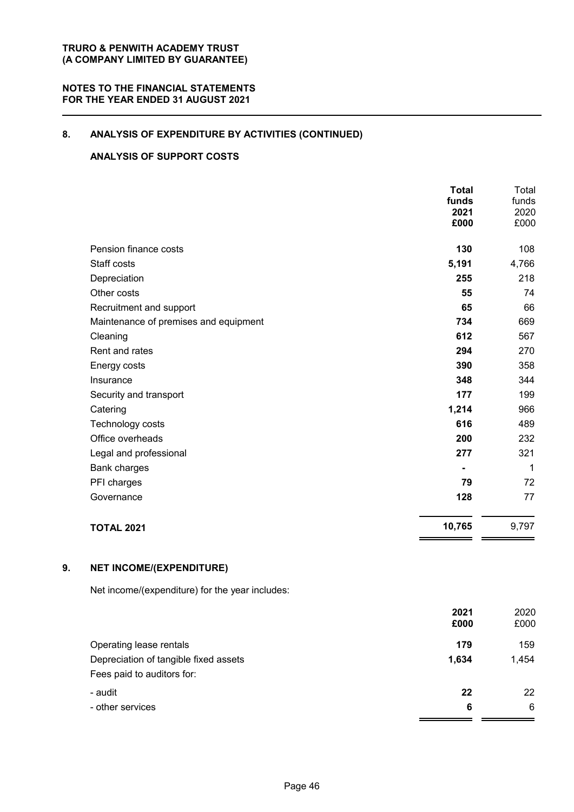## **8. ANALYSIS OF EXPENDITURE BY ACTIVITIES (CONTINUED)**

### **ANALYSIS OF SUPPORT COSTS**

|                                       | <b>Total</b><br>funds<br>2021<br>£000 | Total<br>funds<br>2020<br>£000 |
|---------------------------------------|---------------------------------------|--------------------------------|
| Pension finance costs                 | 130                                   | 108                            |
| Staff costs                           | 5,191                                 | 4,766                          |
| Depreciation                          | 255                                   | 218                            |
| Other costs                           | 55                                    | 74                             |
| Recruitment and support               | 65                                    | 66                             |
| Maintenance of premises and equipment | 734                                   | 669                            |
| Cleaning                              | 612                                   | 567                            |
| Rent and rates                        | 294                                   | 270                            |
| Energy costs                          | 390                                   | 358                            |
| Insurance                             | 348                                   | 344                            |
| Security and transport                | 177                                   | 199                            |
| Catering                              | 1,214                                 | 966                            |
| Technology costs                      | 616                                   | 489                            |
| Office overheads                      | 200                                   | 232                            |
| Legal and professional                | 277                                   | 321                            |
| <b>Bank charges</b>                   |                                       | 1                              |
| PFI charges                           | 79                                    | 72                             |
| Governance                            | 128                                   | 77                             |
| <b>TOTAL 2021</b>                     | 10,765                                | 9,797                          |

### **9. NET INCOME/(EXPENDITURE)**

Net income/(expenditure) for the year includes:

|                                       | 2021  | 2020  |
|---------------------------------------|-------|-------|
|                                       | £000  | £000  |
| Operating lease rentals               | 179   | 159   |
| Depreciation of tangible fixed assets | 1,634 | 1,454 |
| Fees paid to auditors for:            |       |       |
| - audit                               | 22    | 22    |
| - other services                      | 6     | 6     |
|                                       |       |       |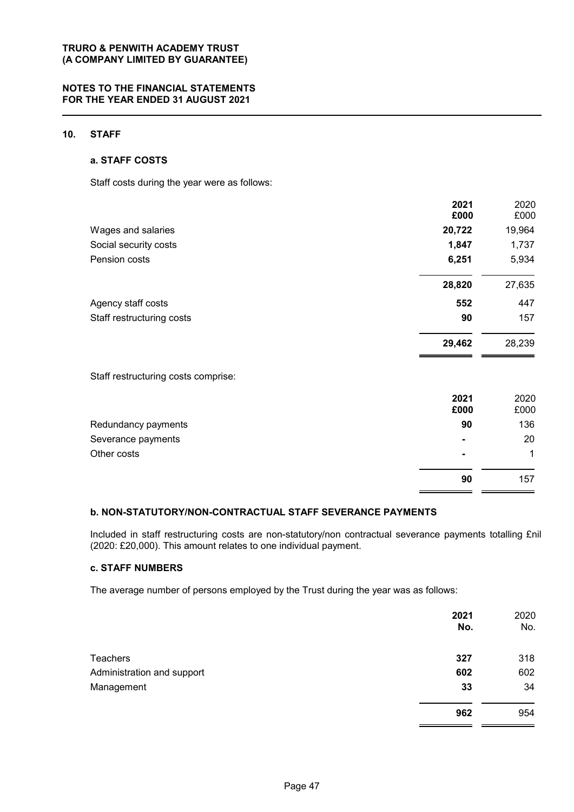#### **NOTES TO THE FINANCIAL STATEMENTS FOR THE YEAR ENDED 31 AUGUST 2021**

#### **10. STAFF**

#### **a. STAFF COSTS**

Staff costs during the year were as follows:

|                                     | 2021   | 2020   |
|-------------------------------------|--------|--------|
|                                     | £000   | £000   |
| Wages and salaries                  | 20,722 | 19,964 |
| Social security costs               | 1,847  | 1,737  |
| Pension costs                       | 6,251  | 5,934  |
|                                     | 28,820 | 27,635 |
| Agency staff costs                  | 552    | 447    |
| Staff restructuring costs           | 90     | 157    |
|                                     | 29,462 | 28,239 |
| Staff restructuring costs comprise: |        |        |
|                                     | 2021   | 2020   |
|                                     | £000   | £000   |

| Severance payments<br>Other costs | $\blacksquare$<br>$\blacksquare$ | 20  |
|-----------------------------------|----------------------------------|-----|
|                                   |                                  |     |
|                                   | 90                               | 157 |

### **b. NON-STATUTORY/NON-CONTRACTUAL STAFF SEVERANCE PAYMENTS**

Included in staff restructuring costs are non-statutory/non contractual severance payments totalling £nil (2020: £20,000). This amount relates to one individual payment.

#### **c. STAFF NUMBERS**

The average number of persons employed by the Trust during the year was as follows:

|                            | 2021<br>No. | 2020<br>No. |
|----------------------------|-------------|-------------|
| Teachers                   | 327         | 318         |
| Administration and support | 602         | 602         |
| Management                 | 33          | 34          |
|                            | 962         | 954         |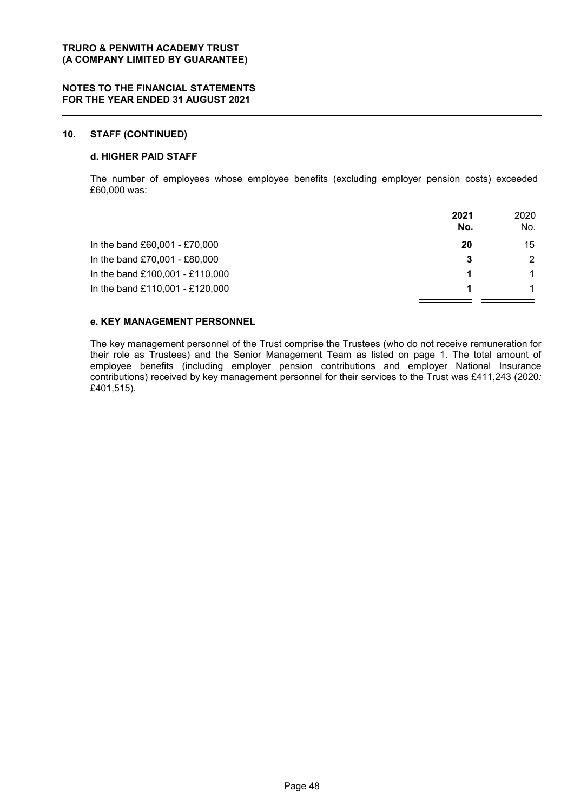#### **10. STAFF (CONTINUED)**

#### **d. HIGHER PAID STAFF**

The number of employees whose employee benefits (excluding employer pension costs) exceeded £60,000 was:

|                                 | 2021<br>No. | 2020<br>No. |
|---------------------------------|-------------|-------------|
| In the band £60,001 - £70,000   | 20          | 15          |
| In the band £70,001 - £80,000   | 3           | 2           |
| In the band £100,001 - £110,000 |             | 1           |
| In the band £110,001 - £120,000 |             |             |

#### **e. KEY MANAGEMENT PERSONNEL**

The key management personnel of the Trust comprise the Trustees (who do not receive remuneration for their role as Trustees) and the Senior Management Team as listed on page 1. The total amount of employee benefits (including employer pension contributions and employer National Insurance contributions) received by key management personnel for their services to the Trust was £411,243 (2020*:* £401,515).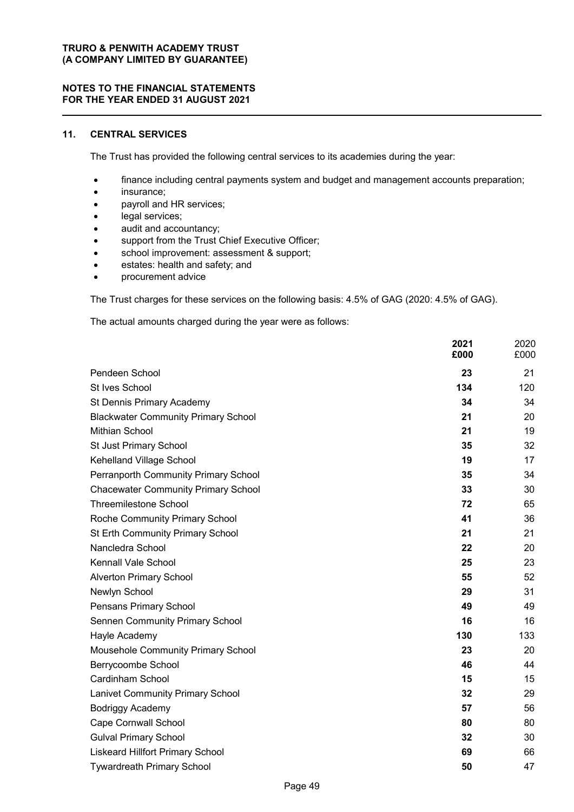#### **NOTES TO THE FINANCIAL STATEMENTS FOR THE YEAR ENDED 31 AUGUST 2021**

### **11. CENTRAL SERVICES**

The Trust has provided the following central services to its academies during the year:

- finance including central payments system and budget and management accounts preparation;
- insurance;
- payroll and HR services;
- legal services;
- audit and accountancy;
- support from the Trust Chief Executive Officer;
- school improvement: assessment & support;
- estates: health and safety; and
- procurement advice

The Trust charges for these services on the following basis: 4.5% of GAG (2020: 4.5% of GAG).

The actual amounts charged during the year were as follows:

|                                            | 2021<br>£000 | 2020<br>£000 |
|--------------------------------------------|--------------|--------------|
| Pendeen School                             | 23           | 21           |
| St Ives School                             | 134          | 120          |
| St Dennis Primary Academy                  | 34           | 34           |
| <b>Blackwater Community Primary School</b> | 21           | 20           |
| Mithian School                             | 21           | 19           |
| St Just Primary School                     | 35           | 32           |
| Kehelland Village School                   | 19           | 17           |
| Perranporth Community Primary School       | 35           | 34           |
| <b>Chacewater Community Primary School</b> | 33           | 30           |
| <b>Threemilestone School</b>               | 72           | 65           |
| Roche Community Primary School             | 41           | 36           |
| St Erth Community Primary School           | 21           | 21           |
| Nancledra School                           | 22           | 20           |
| Kennall Vale School                        | 25           | 23           |
| <b>Alverton Primary School</b>             | 55           | 52           |
| Newlyn School                              | 29           | 31           |
| Pensans Primary School                     | 49           | 49           |
| <b>Sennen Community Primary School</b>     | 16           | 16           |
| Hayle Academy                              | 130          | 133          |
| <b>Mousehole Community Primary School</b>  | 23           | 20           |
| Berrycoombe School                         | 46           | 44           |
| Cardinham School                           | 15           | 15           |
| <b>Lanivet Community Primary School</b>    | 32           | 29           |
| Bodriggy Academy                           | 57           | 56           |
| <b>Cape Cornwall School</b>                | 80           | 80           |
| <b>Gulval Primary School</b>               | 32           | 30           |
| <b>Liskeard Hillfort Primary School</b>    | 69           | 66           |
| <b>Tywardreath Primary School</b>          | 50           | 47           |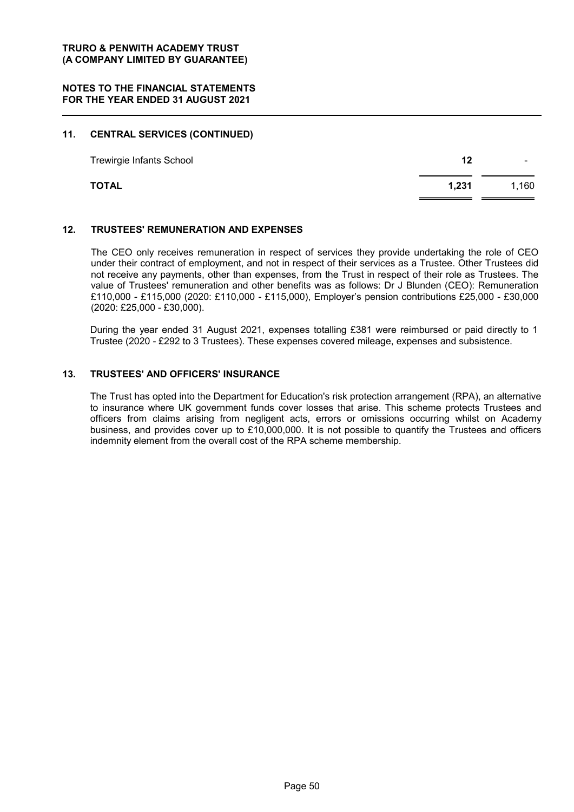#### **11. CENTRAL SERVICES (CONTINUED)**

| <b>Trewirgie Infants School</b> | 12    | ۰     |
|---------------------------------|-------|-------|
| <b>TOTAL</b>                    | 1,231 | 1,160 |

#### **12. TRUSTEES' REMUNERATION AND EXPENSES**

The CEO only receives remuneration in respect of services they provide undertaking the role of CEO under their contract of employment, and not in respect of their services as a Trustee. Other Trustees did not receive any payments, other than expenses, from the Trust in respect of their role as Trustees. The value of Trustees' remuneration and other benefits was as follows: Dr J Blunden (CEO): Remuneration £110,000 - £115,000 (2020: £110,000 - £115,000), Employer's pension contributions £25,000 - £30,000 (2020: £25,000 - £30,000).

During the year ended 31 August 2021, expenses totalling £381 were reimbursed or paid directly to 1 Trustee (2020 - £292 to 3 Trustees). These expenses covered mileage, expenses and subsistence.

#### **13. TRUSTEES' AND OFFICERS' INSURANCE**

The Trust has opted into the Department for Education's risk protection arrangement (RPA), an alternative to insurance where UK government funds cover losses that arise. This scheme protects Trustees and officers from claims arising from negligent acts, errors or omissions occurring whilst on Academy business, and provides cover up to £10,000,000. It is not possible to quantify the Trustees and officers indemnity element from the overall cost of the RPA scheme membership.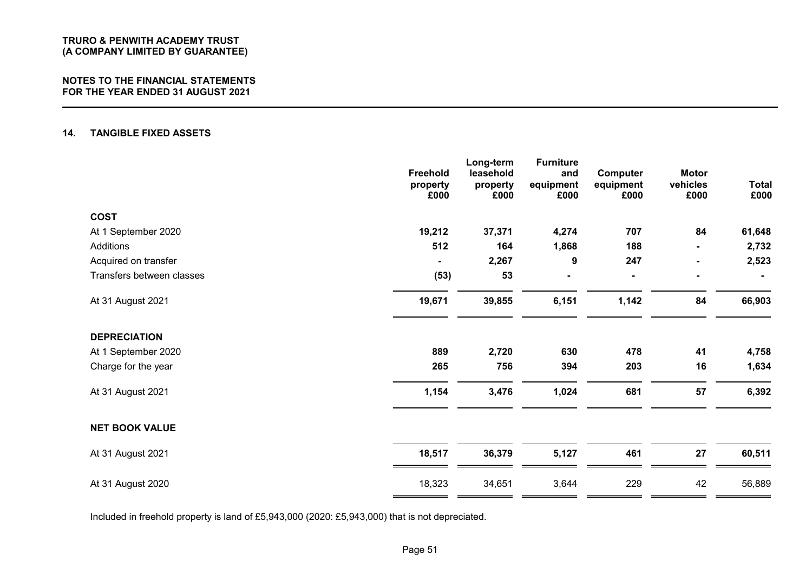#### **NOTES TO THE FINANCIAL STATEMENTS FOR THE YEAR ENDED 31 AUGUST 2021**

#### **14. TANGIBLE FIXED ASSETS**

|                           | Freehold<br>property<br>£000 | Long-term<br>leasehold<br>property<br>£000 | <b>Furniture</b><br>and<br>equipment<br>£000 | Computer<br>equipment<br>£000 | <b>Motor</b><br>vehicles<br>£000 | <b>Total</b><br>£000 |
|---------------------------|------------------------------|--------------------------------------------|----------------------------------------------|-------------------------------|----------------------------------|----------------------|
| <b>COST</b>               |                              |                                            |                                              |                               |                                  |                      |
| At 1 September 2020       | 19,212                       | 37,371                                     | 4,274                                        | 707                           | 84                               | 61,648               |
| Additions                 | 512                          | 164                                        | 1,868                                        | 188                           |                                  | 2,732                |
| Acquired on transfer      |                              | 2,267                                      | 9                                            | 247                           |                                  | 2,523                |
| Transfers between classes | (53)                         | 53                                         |                                              |                               |                                  |                      |
| At 31 August 2021         | 19,671                       | 39,855                                     | 6,151                                        | 1,142                         | 84                               | 66,903               |
| <b>DEPRECIATION</b>       |                              |                                            |                                              |                               |                                  |                      |
| At 1 September 2020       | 889                          | 2,720                                      | 630                                          | 478                           | 41                               | 4,758                |
| Charge for the year       | 265                          | 756                                        | 394                                          | 203                           | 16                               | 1,634                |
| At 31 August 2021         | 1,154                        | 3,476                                      | 1,024                                        | 681                           | 57                               | 6,392                |
| <b>NET BOOK VALUE</b>     |                              |                                            |                                              |                               |                                  |                      |
| At 31 August 2021         | 18,517                       | 36,379                                     | 5,127                                        | 461                           | 27                               | 60,511               |
| At 31 August 2020         | 18,323                       | 34,651                                     | 3,644                                        | 229                           | 42                               | 56,889               |

Included in freehold property is land of £5,943,000 (2020: £5,943,000) that is not depreciated.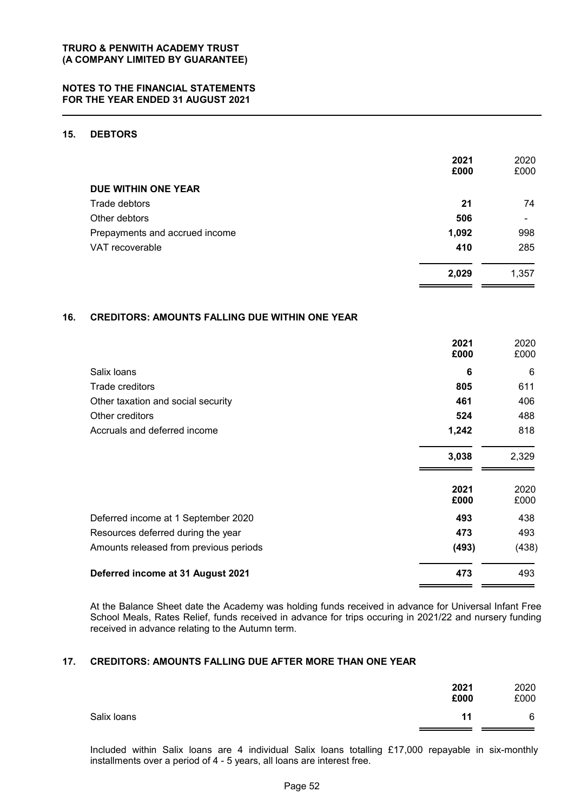### **15. DEBTORS**

|                                | 2021<br>£000 | 2020<br>£000 |
|--------------------------------|--------------|--------------|
| DUE WITHIN ONE YEAR            |              |              |
| Trade debtors                  | 21           | 74           |
| Other debtors                  | 506          | ۰            |
| Prepayments and accrued income | 1,092        | 998          |
| VAT recoverable                | 410          | 285          |
|                                | 2,029        | 1,357        |

#### **16. CREDITORS: AMOUNTS FALLING DUE WITHIN ONE YEAR**

|                                        | 2021<br>£000 | 2020<br>£000 |
|----------------------------------------|--------------|--------------|
| Salix loans                            | 6            | 6            |
| Trade creditors                        | 805          | 611          |
| Other taxation and social security     | 461          | 406          |
| Other creditors                        | 524          | 488          |
| Accruals and deferred income           | 1,242        | 818          |
|                                        | 3,038        | 2,329        |
|                                        | 2021<br>£000 | 2020<br>£000 |
| Deferred income at 1 September 2020    | 493          | 438          |
| Resources deferred during the year     | 473          | 493          |
| Amounts released from previous periods | (493)        | (438)        |
| Deferred income at 31 August 2021      | 473          | 493          |

At the Balance Sheet date the Academy was holding funds received in advance for Universal Infant Free School Meals, Rates Relief, funds received in advance for trips occuring in 2021/22 and nursery funding received in advance relating to the Autumn term.

#### **17. CREDITORS: AMOUNTS FALLING DUE AFTER MORE THAN ONE YEAR**

|             | 2021<br>£000 | 2020<br>£000 |
|-------------|--------------|--------------|
| Salix Ioans | 11           | 6            |

Included within Salix loans are 4 individual Salix loans totalling £17,000 repayable in six-monthly installments over a period of 4 - 5 years, all loans are interest free.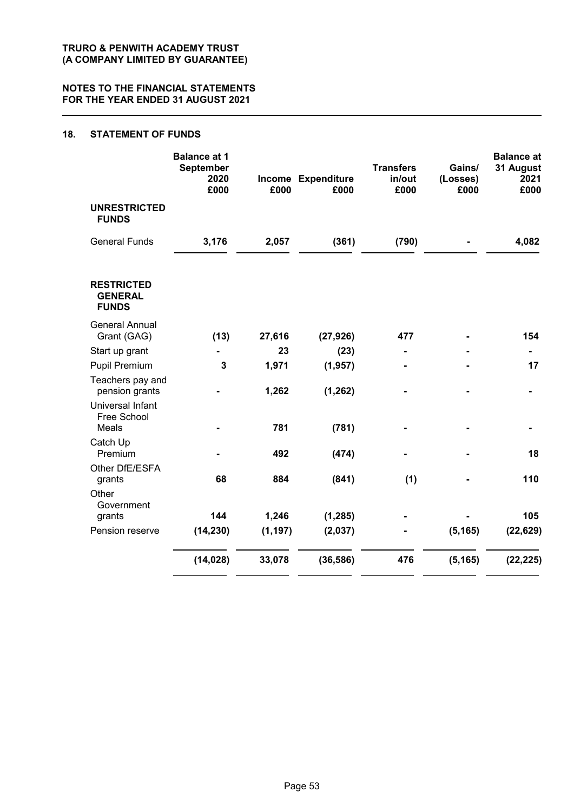#### **18. STATEMENT OF FUNDS**

|                                                     | <b>Balance at 1</b><br>September<br>2020<br>£000 | £000     | Income Expenditure<br>£000 | <b>Transfers</b><br>in/out<br>£000 | Gains/<br>(Losses)<br>£000 | <b>Balance</b> at<br>31 August<br>2021<br>£000 |
|-----------------------------------------------------|--------------------------------------------------|----------|----------------------------|------------------------------------|----------------------------|------------------------------------------------|
| <b>UNRESTRICTED</b><br><b>FUNDS</b>                 |                                                  |          |                            |                                    |                            |                                                |
| <b>General Funds</b>                                | 3,176                                            | 2,057    | (361)                      | (790)                              |                            | 4,082                                          |
| <b>RESTRICTED</b><br><b>GENERAL</b><br><b>FUNDS</b> |                                                  |          |                            |                                    |                            |                                                |
| <b>General Annual</b><br>Grant (GAG)                | (13)                                             | 27,616   | (27, 926)                  | 477                                |                            | 154                                            |
| Start up grant                                      |                                                  | 23       | (23)                       |                                    |                            |                                                |
| <b>Pupil Premium</b>                                | 3                                                | 1,971    | (1, 957)                   |                                    |                            | 17                                             |
| Teachers pay and<br>pension grants                  |                                                  | 1,262    | (1, 262)                   |                                    |                            |                                                |
| Universal Infant<br>Free School                     |                                                  |          |                            |                                    |                            |                                                |
| Meals                                               |                                                  | 781      | (781)                      |                                    |                            |                                                |
| Catch Up<br>Premium                                 |                                                  | 492      | (474)                      |                                    |                            | 18                                             |
| Other DfE/ESFA<br>grants                            | 68                                               | 884      | (841)                      | (1)                                |                            | 110                                            |
| Other<br>Government                                 |                                                  |          |                            |                                    |                            |                                                |
| grants                                              | 144                                              | 1,246    | (1, 285)                   |                                    |                            | 105                                            |
| Pension reserve                                     | (14, 230)                                        | (1, 197) | (2,037)                    |                                    | (5, 165)                   | (22, 629)                                      |
|                                                     | (14, 028)                                        | 33,078   | (36, 586)                  | 476                                | (5, 165)                   | (22, 225)                                      |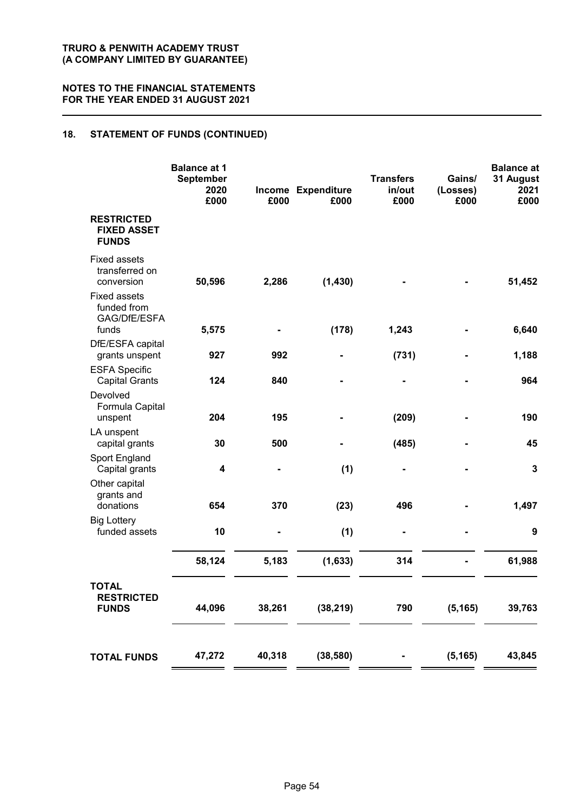### **18. STATEMENT OF FUNDS (CONTINUED)**

|                                                         | <b>Balance at 1</b><br>September<br>2020<br>£000 | £000   | Income Expenditure<br>£000 | <b>Transfers</b><br>in/out<br>£000 | Gains/<br>(Losses)<br>£000 | <b>Balance</b> at<br>31 August<br>2021<br>£000 |
|---------------------------------------------------------|--------------------------------------------------|--------|----------------------------|------------------------------------|----------------------------|------------------------------------------------|
| <b>RESTRICTED</b><br><b>FIXED ASSET</b><br><b>FUNDS</b> |                                                  |        |                            |                                    |                            |                                                |
| <b>Fixed assets</b><br>transferred on<br>conversion     | 50,596                                           | 2,286  | (1, 430)                   |                                    |                            | 51,452                                         |
| <b>Fixed assets</b><br>funded from<br>GAG/DfE/ESFA      |                                                  |        |                            |                                    |                            |                                                |
| funds                                                   | 5,575                                            |        | (178)                      | 1,243                              |                            | 6,640                                          |
| DfE/ESFA capital<br>grants unspent                      | 927                                              | 992    |                            | (731)                              |                            | 1,188                                          |
| <b>ESFA Specific</b><br><b>Capital Grants</b>           | 124                                              | 840    |                            |                                    |                            | 964                                            |
| Devolved<br>Formula Capital<br>unspent                  | 204                                              | 195    |                            | (209)                              |                            | 190                                            |
| LA unspent<br>capital grants                            | 30                                               | 500    |                            | (485)                              |                            | 45                                             |
| Sport England<br>Capital grants                         | 4                                                |        | (1)                        |                                    |                            | $\mathbf{3}$                                   |
| Other capital<br>grants and<br>donations                | 654                                              | 370    | (23)                       | 496                                |                            | 1,497                                          |
| <b>Big Lottery</b><br>funded assets                     | 10                                               |        | (1)                        | $\blacksquare$                     |                            | 9                                              |
|                                                         | 58,124                                           | 5,183  | (1,633)                    | 314                                |                            | 61,988                                         |
| <b>TOTAL</b><br><b>RESTRICTED</b><br><b>FUNDS</b>       | 44,096                                           | 38,261 | (38, 219)                  | 790                                | (5, 165)                   | 39,763                                         |
| <b>TOTAL FUNDS</b>                                      | 47,272                                           | 40,318 | (38, 580)                  |                                    | (5, 165)                   | 43,845                                         |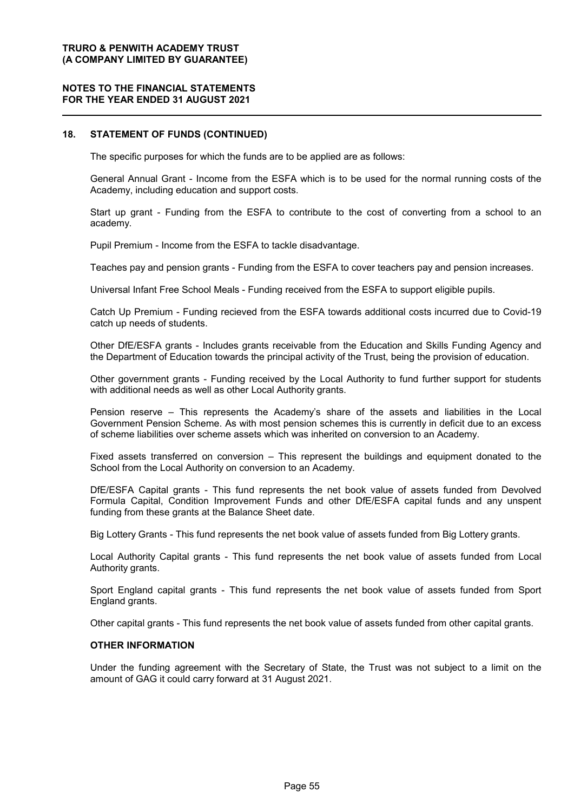#### **NOTES TO THE FINANCIAL STATEMENTS FOR THE YEAR ENDED 31 AUGUST 2021**

#### **18. STATEMENT OF FUNDS (CONTINUED)**

The specific purposes for which the funds are to be applied are as follows:

General Annual Grant - Income from the ESFA which is to be used for the normal running costs of the Academy, including education and support costs.

Start up grant - Funding from the ESFA to contribute to the cost of converting from a school to an academy.

Pupil Premium - Income from the ESFA to tackle disadvantage.

Teaches pay and pension grants - Funding from the ESFA to cover teachers pay and pension increases.

Universal Infant Free School Meals - Funding received from the ESFA to support eligible pupils.

Catch Up Premium - Funding recieved from the ESFA towards additional costs incurred due to Covid-19 catch up needs of students.

Other DfE/ESFA grants - Includes grants receivable from the Education and Skills Funding Agency and the Department of Education towards the principal activity of the Trust, being the provision of education.

Other government grants - Funding received by the Local Authority to fund further support for students with additional needs as well as other Local Authority grants.

Pension reserve – This represents the Academy's share of the assets and liabilities in the Local Government Pension Scheme. As with most pension schemes this is currently in deficit due to an excess of scheme liabilities over scheme assets which was inherited on conversion to an Academy.

Fixed assets transferred on conversion – This represent the buildings and equipment donated to the School from the Local Authority on conversion to an Academy.

DfE/ESFA Capital grants - This fund represents the net book value of assets funded from Devolved Formula Capital, Condition Improvement Funds and other DfE/ESFA capital funds and any unspent funding from these grants at the Balance Sheet date.

Big Lottery Grants - This fund represents the net book value of assets funded from Big Lottery grants.

Local Authority Capital grants - This fund represents the net book value of assets funded from Local Authority grants.

Sport England capital grants - This fund represents the net book value of assets funded from Sport England grants.

Other capital grants - This fund represents the net book value of assets funded from other capital grants.

#### **OTHER INFORMATION**

Under the funding agreement with the Secretary of State, the Trust was not subject to a limit on the amount of GAG it could carry forward at 31 August 2021.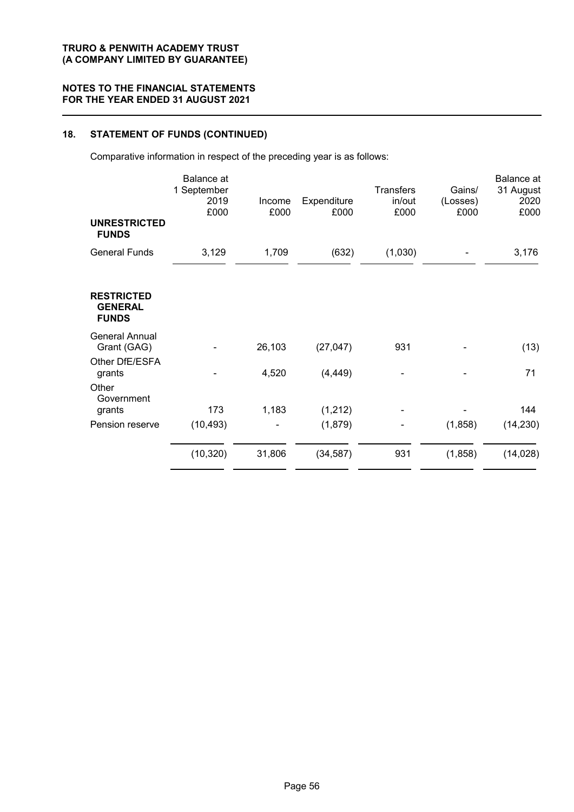## **18. STATEMENT OF FUNDS (CONTINUED)**

Comparative information in respect of the preceding year is as follows:

|                                                     | <b>Balance</b> at<br>1 September<br>2019<br>£000 | Income<br>£000 | Expenditure<br>£000 | <b>Transfers</b><br>in/out<br>£000 | Gains/<br>(Losses)<br>£000 | Balance at<br>31 August<br>2020<br>£000 |
|-----------------------------------------------------|--------------------------------------------------|----------------|---------------------|------------------------------------|----------------------------|-----------------------------------------|
| <b>UNRESTRICTED</b><br><b>FUNDS</b>                 |                                                  |                |                     |                                    |                            |                                         |
| <b>General Funds</b>                                | 3,129                                            | 1,709          | (632)               | (1,030)                            |                            | 3,176                                   |
| <b>RESTRICTED</b><br><b>GENERAL</b><br><b>FUNDS</b> |                                                  |                |                     |                                    |                            |                                         |
| <b>General Annual</b><br>Grant (GAG)                |                                                  | 26,103         | (27, 047)           | 931                                |                            | (13)                                    |
| Other DfE/ESFA<br>grants                            |                                                  | 4,520          | (4, 449)            |                                    |                            | 71                                      |
| Other<br>Government<br>grants                       | 173                                              | 1,183          | (1,212)             |                                    |                            | 144                                     |
| Pension reserve                                     | (10, 493)                                        |                | (1,879)             |                                    | (1,858)                    | (14, 230)                               |
|                                                     | (10, 320)                                        | 31,806         | (34, 587)           | 931                                | (1,858)                    | (14, 028)                               |
|                                                     |                                                  |                |                     |                                    |                            |                                         |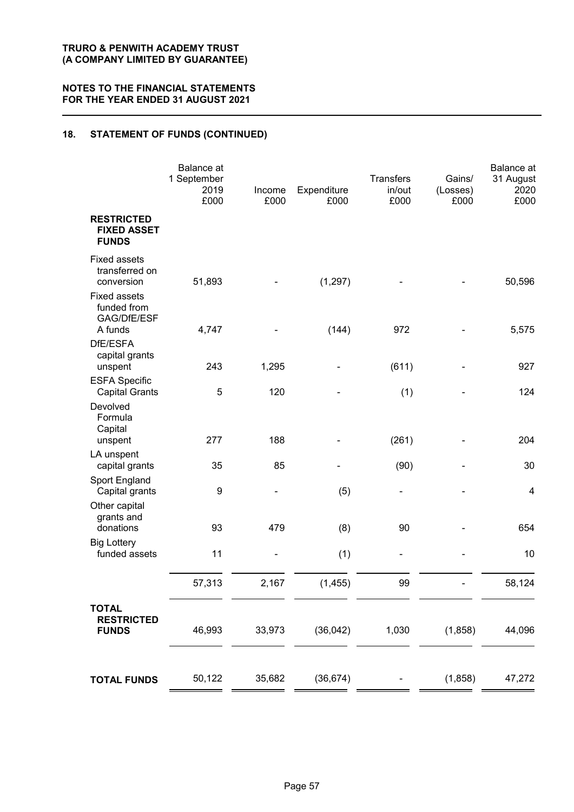### **18. STATEMENT OF FUNDS (CONTINUED)**

|                                                              | <b>Balance</b> at<br>1 September<br>2019<br>£000 | Income<br>£000 | Expenditure<br>£000 | <b>Transfers</b><br>in/out<br>£000 | Gains/<br>(Losses)<br>£000 | Balance at<br>31 August<br>2020<br>£000 |
|--------------------------------------------------------------|--------------------------------------------------|----------------|---------------------|------------------------------------|----------------------------|-----------------------------------------|
| <b>RESTRICTED</b><br><b>FIXED ASSET</b><br><b>FUNDS</b>      |                                                  |                |                     |                                    |                            |                                         |
| <b>Fixed assets</b><br>transferred on<br>conversion          | 51,893                                           |                | (1, 297)            |                                    |                            | 50,596                                  |
| <b>Fixed assets</b><br>funded from<br>GAG/DfE/ESF<br>A funds | 4,747                                            |                | (144)               | 972                                |                            | 5,575                                   |
| DfE/ESFA<br>capital grants<br>unspent                        | 243                                              | 1,295          |                     | (611)                              |                            | 927                                     |
| <b>ESFA Specific</b><br><b>Capital Grants</b>                | 5                                                | 120            |                     | (1)                                |                            | 124                                     |
| Devolved<br>Formula<br>Capital                               |                                                  |                |                     |                                    |                            |                                         |
| unspent                                                      | 277                                              | 188            |                     | (261)                              |                            | 204                                     |
| LA unspent<br>capital grants                                 | 35                                               | 85             |                     | (90)                               |                            | 30                                      |
| Sport England<br>Capital grants                              | 9                                                |                | (5)                 | -                                  |                            | $\overline{4}$                          |
| Other capital<br>grants and<br>donations                     | 93                                               | 479            | (8)                 | 90                                 |                            | 654                                     |
| <b>Big Lottery</b><br>funded assets                          | 11                                               | ۰              | (1)                 | -                                  |                            | 10                                      |
|                                                              | 57,313                                           | 2,167          | (1, 455)            | 99                                 |                            | 58,124                                  |
| <b>TOTAL</b><br><b>RESTRICTED</b><br><b>FUNDS</b>            | 46,993                                           | 33,973         | (36, 042)           | 1,030                              | (1,858)                    | 44,096                                  |
| <b>TOTAL FUNDS</b>                                           | 50,122                                           | 35,682         | (36, 674)           |                                    | (1,858)                    | 47,272                                  |
|                                                              |                                                  |                |                     |                                    |                            |                                         |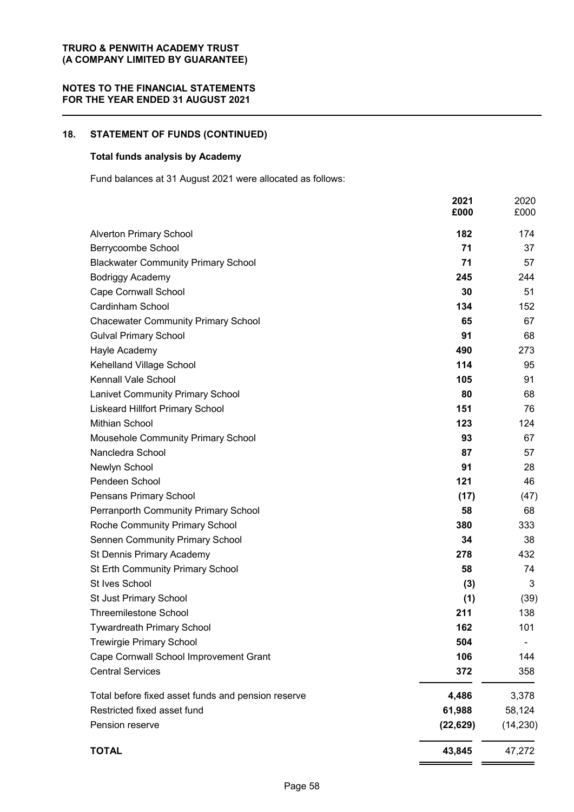## **18. STATEMENT OF FUNDS (CONTINUED)**

#### **Total funds analysis by Academy**

Fund balances at 31 August 2021 were allocated as follows:

|                                                    | 2021<br>£000 | 2020<br>£000 |
|----------------------------------------------------|--------------|--------------|
| <b>Alverton Primary School</b>                     | 182          | 174          |
| Berrycoombe School                                 | 71           | 37           |
| <b>Blackwater Community Primary School</b>         | 71           | 57           |
| <b>Bodriggy Academy</b>                            | 245          | 244          |
| <b>Cape Cornwall School</b>                        | 30           | 51           |
| Cardinham School                                   | 134          | 152          |
| <b>Chacewater Community Primary School</b>         | 65           | 67           |
| <b>Gulval Primary School</b>                       | 91           | 68           |
| Hayle Academy                                      | 490          | 273          |
| Kehelland Village School                           | 114          | 95           |
| Kennall Vale School                                | 105          | 91           |
| <b>Lanivet Community Primary School</b>            | 80           | 68           |
| <b>Liskeard Hillfort Primary School</b>            | 151          | 76           |
| <b>Mithian School</b>                              | 123          | 124          |
| Mousehole Community Primary School                 | 93           | 67           |
| Nancledra School                                   | 87           | 57           |
| Newlyn School                                      | 91           | 28           |
| Pendeen School                                     | 121          | 46           |
| Pensans Primary School                             | (17)         | (47)         |
| Perranporth Community Primary School               | 58           | 68           |
| Roche Community Primary School                     | 380          | 333          |
| <b>Sennen Community Primary School</b>             | 34           | 38           |
| St Dennis Primary Academy                          | 278          | 432          |
| St Erth Community Primary School                   | 58           | 74           |
| St Ives School                                     | (3)          | 3            |
| St Just Primary School                             | (1)          | (39)         |
| <b>Threemilestone School</b>                       | 211          | 138          |
| <b>Tywardreath Primary School</b>                  | 162          | 101          |
| <b>Trewirgie Primary School</b>                    | 504          |              |
| Cape Cornwall School Improvement Grant             | 106          | 144          |
| <b>Central Services</b>                            | 372          | 358          |
| Total before fixed asset funds and pension reserve | 4,486        | 3,378        |
| Restricted fixed asset fund                        | 61,988       | 58,124       |
| Pension reserve                                    | (22, 629)    | (14, 230)    |
| <b>TOTAL</b>                                       | 43,845       | 47,272       |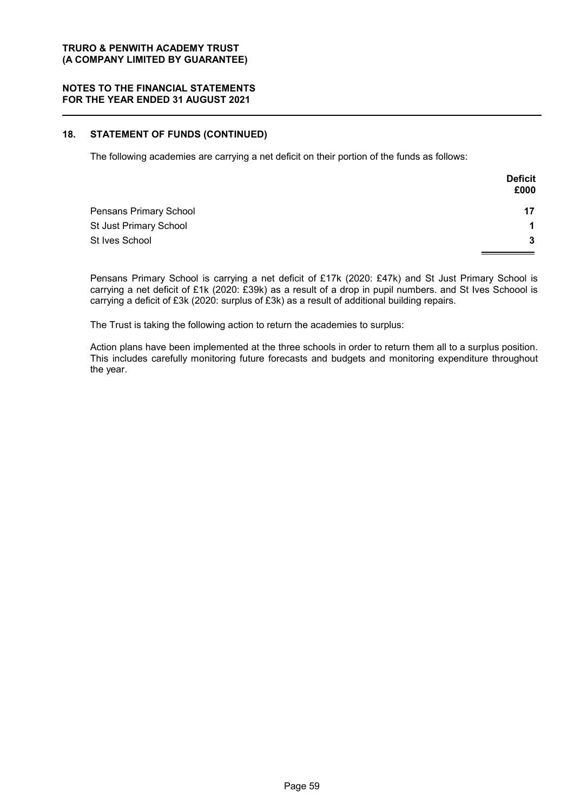#### **NOTES TO THE FINANCIAL STATEMENTS FOR THE YEAR ENDED 31 AUGUST 2021**

#### **18. STATEMENT OF FUNDS (CONTINUED)**

The following academies are carrying a net deficit on their portion of the funds as follows:

|                        | <b>Deficit</b><br>£000 |
|------------------------|------------------------|
| Pensans Primary School | 17                     |
| St Just Primary School |                        |
| St Ives School         | 3                      |

Pensans Primary School is carrying a net deficit of £17k (2020: £47k) and St Just Primary School is carrying a net deficit of £1k (2020: £39k) as a result of a drop in pupil numbers. and St Ives Schoool is carrying a deficit of £3k (2020: surplus of £3k) as a result of additional building repairs.

The Trust is taking the following action to return the academies to surplus:

Action plans have been implemented at the three schools in order to return them all to a surplus position. This includes carefully monitoring future forecasts and budgets and monitoring expenditure throughout the year.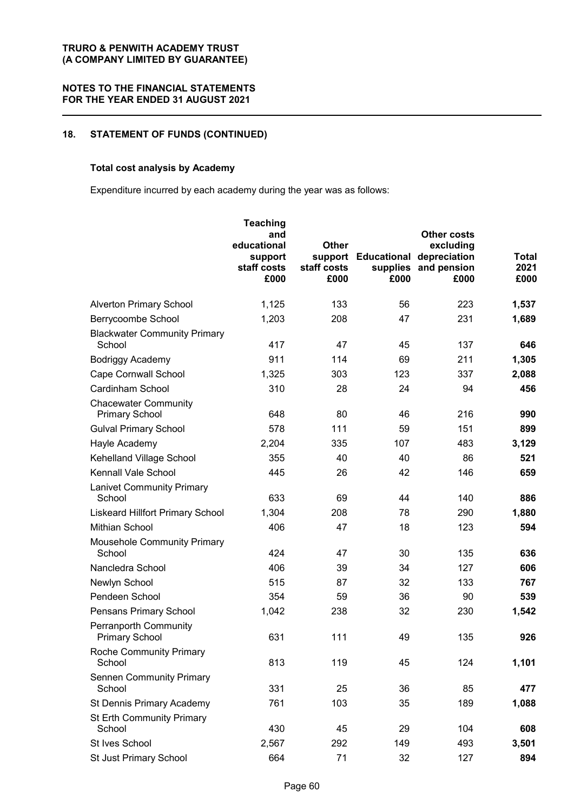### **18. STATEMENT OF FUNDS (CONTINUED)**

### **Total cost analysis by Academy**

Expenditure incurred by each academy during the year was as follows:

|                                                       | <b>Teaching</b><br>and<br>educational<br>support<br>staff costs<br>£000 | <b>Other</b><br>staff costs<br>£000 | support Educational<br>supplies<br>£000 | <b>Other costs</b><br>excluding<br>depreciation<br>and pension<br>£000 | Total<br>2021<br>£000 |
|-------------------------------------------------------|-------------------------------------------------------------------------|-------------------------------------|-----------------------------------------|------------------------------------------------------------------------|-----------------------|
| <b>Alverton Primary School</b>                        | 1,125                                                                   | 133                                 | 56                                      | 223                                                                    | 1,537                 |
| Berrycoombe School                                    | 1,203                                                                   | 208                                 | 47                                      | 231                                                                    | 1,689                 |
| <b>Blackwater Community Primary</b><br>School         | 417                                                                     | 47                                  | 45                                      | 137                                                                    | 646                   |
| Bodriggy Academy                                      | 911                                                                     | 114                                 | 69                                      | 211                                                                    | 1,305                 |
| <b>Cape Cornwall School</b>                           | 1,325                                                                   | 303                                 | 123                                     | 337                                                                    | 2,088                 |
| Cardinham School                                      | 310                                                                     | 28                                  | 24                                      | 94                                                                     | 456                   |
| <b>Chacewater Community</b><br><b>Primary School</b>  | 648                                                                     | 80                                  | 46                                      | 216                                                                    | 990                   |
| <b>Gulval Primary School</b>                          | 578                                                                     | 111                                 | 59                                      | 151                                                                    | 899                   |
| Hayle Academy                                         | 2,204                                                                   | 335                                 | 107                                     | 483                                                                    | 3,129                 |
| Kehelland Village School                              | 355                                                                     | 40                                  | 40                                      | 86                                                                     | 521                   |
| Kennall Vale School                                   | 445                                                                     | 26                                  | 42                                      | 146                                                                    | 659                   |
| <b>Lanivet Community Primary</b>                      |                                                                         |                                     |                                         |                                                                        |                       |
| School                                                | 633                                                                     | 69                                  | 44                                      | 140                                                                    | 886                   |
| <b>Liskeard Hillfort Primary School</b>               | 1,304                                                                   | 208                                 | 78                                      | 290                                                                    | 1,880                 |
| Mithian School                                        | 406                                                                     | 47                                  | 18                                      | 123                                                                    | 594                   |
| <b>Mousehole Community Primary</b><br>School          | 424                                                                     | 47                                  | 30                                      | 135                                                                    | 636                   |
| Nancledra School                                      | 406                                                                     | 39                                  | 34                                      | 127                                                                    | 606                   |
| Newlyn School                                         | 515                                                                     | 87                                  | 32                                      | 133                                                                    | 767                   |
| Pendeen School                                        | 354                                                                     | 59                                  | 36                                      | 90                                                                     | 539                   |
| Pensans Primary School                                | 1,042                                                                   | 238                                 | 32                                      | 230                                                                    | 1,542                 |
| <b>Perranporth Community</b><br><b>Primary School</b> | 631                                                                     | 111                                 | 49                                      | 135                                                                    | 926                   |
| <b>Roche Community Primary</b><br>School              | 813                                                                     | 119                                 | 45                                      | 124                                                                    | 1,101                 |
| <b>Sennen Community Primary</b><br>School             | 331                                                                     | 25                                  | 36                                      | 85                                                                     | 477                   |
| St Dennis Primary Academy                             | 761                                                                     | 103                                 | 35                                      | 189                                                                    | 1,088                 |
| St Erth Community Primary<br>School                   | 430                                                                     | 45                                  | 29                                      | 104                                                                    | 608                   |
| St Ives School                                        | 2,567                                                                   | 292                                 | 149                                     | 493                                                                    | 3,501                 |
| St Just Primary School                                | 664                                                                     | 71                                  | 32                                      | 127                                                                    | 894                   |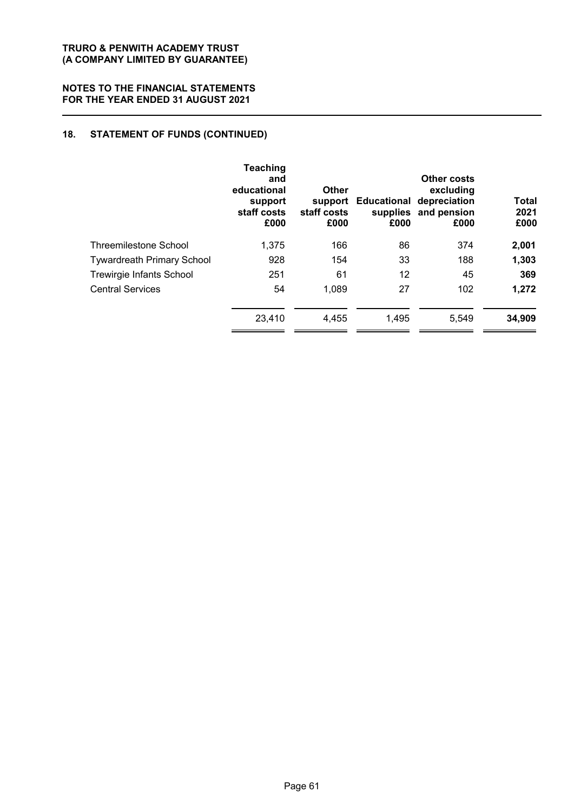#### **NOTES TO THE FINANCIAL STATEMENTS FOR THE YEAR ENDED 31 AUGUST 2021**

### **18. STATEMENT OF FUNDS (CONTINUED)**

| <b>Teaching</b><br>and<br>educational<br>support<br>staff costs<br>£000 | Other<br>support<br>staff costs<br>£000 | £000  | Other costs<br>excluding<br>depreciation<br>£000 | Total<br>2021<br>£000               |
|-------------------------------------------------------------------------|-----------------------------------------|-------|--------------------------------------------------|-------------------------------------|
| 1,375                                                                   | 166                                     | 86    | 374                                              | 2,001                               |
| 928                                                                     | 154                                     | 33    | 188                                              | 1,303                               |
| 251                                                                     | 61                                      | 12    | 45                                               | 369                                 |
| 54                                                                      | 1,089                                   | 27    | 102                                              | 1,272                               |
| 23,410                                                                  | 4.455                                   | 1,495 | 5,549                                            | 34,909                              |
|                                                                         |                                         |       |                                                  | Educational<br>supplies and pension |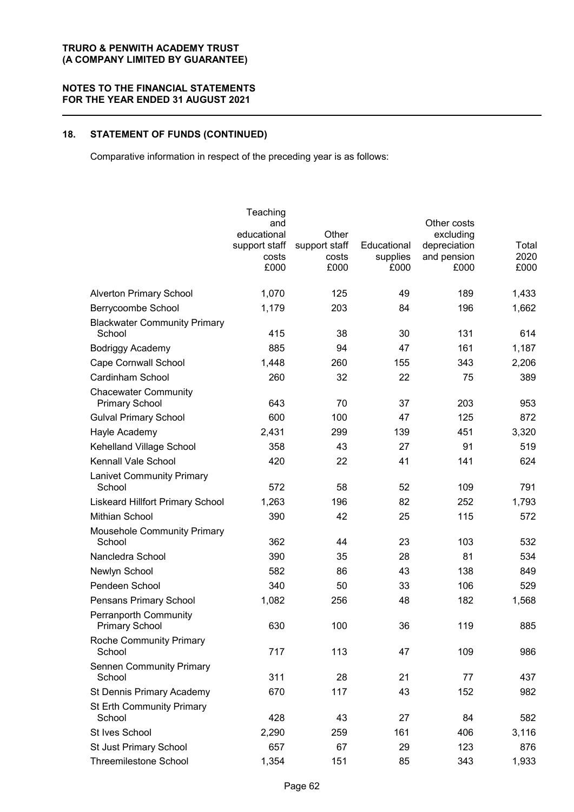#### **NOTES TO THE FINANCIAL STATEMENTS FOR THE YEAR ENDED 31 AUGUST 2021**

## **18. STATEMENT OF FUNDS (CONTINUED)**

Comparative information in respect of the preceding year is as follows:

|                                                | Teaching               |                        |                         |                             |               |
|------------------------------------------------|------------------------|------------------------|-------------------------|-----------------------------|---------------|
|                                                | and                    |                        |                         | Other costs                 |               |
|                                                | educational            | Other                  |                         | excluding                   |               |
|                                                | support staff<br>costs | support staff<br>costs | Educational<br>supplies | depreciation<br>and pension | Total<br>2020 |
|                                                | £000                   | £000                   | £000                    | £000                        | £000          |
|                                                |                        |                        |                         |                             |               |
| <b>Alverton Primary School</b>                 | 1,070                  | 125                    | 49                      | 189                         | 1,433         |
| Berrycoombe School                             | 1,179                  | 203                    | 84                      | 196                         | 1,662         |
| <b>Blackwater Community Primary</b><br>School  | 415                    | 38                     | 30                      | 131                         | 614           |
| <b>Bodriggy Academy</b>                        | 885                    | 94                     | 47                      | 161                         | 1,187         |
| <b>Cape Cornwall School</b>                    | 1,448                  | 260                    | 155                     | 343                         | 2,206         |
| Cardinham School                               | 260                    | 32                     | 22                      | 75                          | 389           |
| <b>Chacewater Community</b>                    |                        |                        |                         |                             |               |
| <b>Primary School</b>                          | 643                    | 70                     | 37                      | 203                         | 953           |
| <b>Gulval Primary School</b>                   | 600                    | 100                    | 47                      | 125                         | 872           |
| Hayle Academy                                  | 2,431                  | 299                    | 139                     | 451                         | 3,320         |
| Kehelland Village School                       | 358                    | 43                     | 27                      | 91                          | 519           |
| Kennall Vale School                            | 420                    | 22                     | 41                      | 141                         | 624           |
| <b>Lanivet Community Primary</b>               |                        |                        |                         |                             |               |
| School                                         | 572                    | 58                     | 52                      | 109                         | 791           |
| <b>Liskeard Hillfort Primary School</b>        | 1,263                  | 196                    | 82                      | 252                         | 1,793         |
| Mithian School                                 | 390                    | 42                     | 25                      | 115                         | 572           |
| Mousehole Community Primary<br>School          | 362                    | 44                     | 23                      | 103                         | 532           |
| Nancledra School                               | 390                    | 35                     | 28                      | 81                          | 534           |
| Newlyn School                                  | 582                    | 86                     | 43                      | 138                         | 849           |
| Pendeen School                                 | 340                    | 50                     | 33                      | 106                         | 529           |
| Pensans Primary School                         | 1,082                  | 256                    | 48                      | 182                         | 1,568         |
| Perranporth Community<br><b>Primary School</b> | 630                    | 100                    | 36                      | 119                         | 885           |
| <b>Roche Community Primary</b><br>School       | 717                    | 113                    | 47                      | 109                         | 986           |
| <b>Sennen Community Primary</b>                |                        |                        |                         |                             |               |
| School                                         | 311                    | 28                     | 21                      | 77                          | 437           |
| St Dennis Primary Academy                      | 670                    | 117                    | 43                      | 152                         | 982           |
| <b>St Erth Community Primary</b><br>School     | 428                    | 43                     | 27                      | 84                          | 582           |
| St Ives School                                 | 2,290                  | 259                    | 161                     | 406                         | 3,116         |
| St Just Primary School                         | 657                    | 67                     | 29                      | 123                         | 876           |
| <b>Threemilestone School</b>                   | 1,354                  | 151                    | 85                      | 343                         | 1,933         |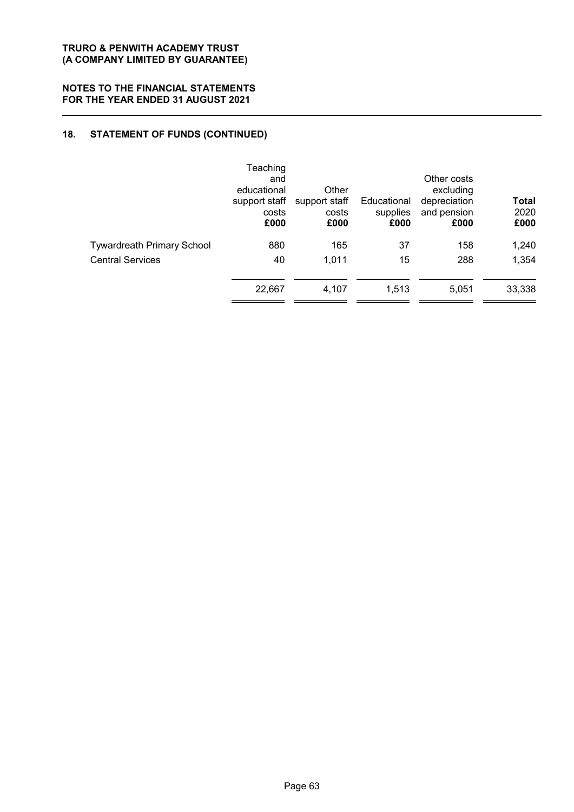#### **NOTES TO THE FINANCIAL STATEMENTS FOR THE YEAR ENDED 31 AUGUST 2021**

### **18. STATEMENT OF FUNDS (CONTINUED)**

|                                   | Teaching<br>and<br>educational<br>support staff<br>costs<br>£000 | Other<br>support staff<br>costs<br>£000 | Educational<br>supplies<br>£000 | Other costs<br>excluding<br>depreciation<br>and pension<br>£000 | <b>Total</b><br>2020<br>£000 |
|-----------------------------------|------------------------------------------------------------------|-----------------------------------------|---------------------------------|-----------------------------------------------------------------|------------------------------|
| <b>Tywardreath Primary School</b> | 880                                                              | 165                                     | 37                              | 158                                                             | 1,240                        |
| <b>Central Services</b>           | 40                                                               | 1.011                                   | 15                              | 288                                                             | 1,354                        |
|                                   | 22,667                                                           | 4,107                                   | 1.513                           | 5,051                                                           | 33,338                       |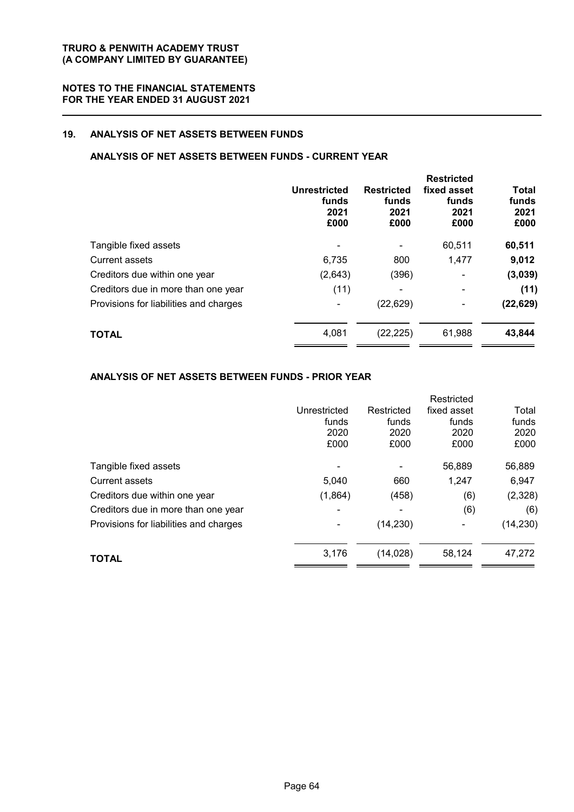### **19. ANALYSIS OF NET ASSETS BETWEEN FUNDS**

### **ANALYSIS OF NET ASSETS BETWEEN FUNDS - CURRENT YEAR**

|                                        | Unrestricted<br>funds<br>2021<br>£000 | <b>Restricted</b><br>funds<br>2021<br>£000 | <b>Restricted</b><br>fixed asset<br>funds<br>2021<br>£000 | <b>Total</b><br>funds<br>2021<br>£000 |
|----------------------------------------|---------------------------------------|--------------------------------------------|-----------------------------------------------------------|---------------------------------------|
| Tangible fixed assets                  |                                       |                                            | 60,511                                                    | 60,511                                |
| <b>Current assets</b>                  | 6,735                                 | 800                                        | 1,477                                                     | 9,012                                 |
| Creditors due within one year          | (2,643)                               | (396)                                      | $\overline{\phantom{a}}$                                  | (3,039)                               |
| Creditors due in more than one year    | (11)                                  |                                            | -                                                         | (11)                                  |
| Provisions for liabilities and charges |                                       | (22, 629)                                  |                                                           | (22, 629)                             |
| <b>TOTAL</b>                           | 4,081                                 | (22, 225)                                  | 61,988                                                    | 43,844                                |

#### **ANALYSIS OF NET ASSETS BETWEEN FUNDS - PRIOR YEAR**

|                                        |              |            | Restricted  |           |
|----------------------------------------|--------------|------------|-------------|-----------|
|                                        | Unrestricted | Restricted | fixed asset | Total     |
|                                        | funds        | funds      | funds       | funds     |
|                                        | 2020         | 2020       | 2020        | 2020      |
|                                        | £000         | £000       | £000        | £000      |
| Tangible fixed assets                  |              |            | 56,889      | 56,889    |
| Current assets                         | 5,040        | 660        | 1,247       | 6,947     |
| Creditors due within one year          | (1,864)      | (458)      | (6)         | (2,328)   |
| Creditors due in more than one year    |              |            | (6)         | (6)       |
| Provisions for liabilities and charges |              | (14, 230)  | -           | (14, 230) |
| <b>TOTAL</b>                           | 3,176        | (14, 028)  | 58,124      | 47,272    |
|                                        |              |            |             |           |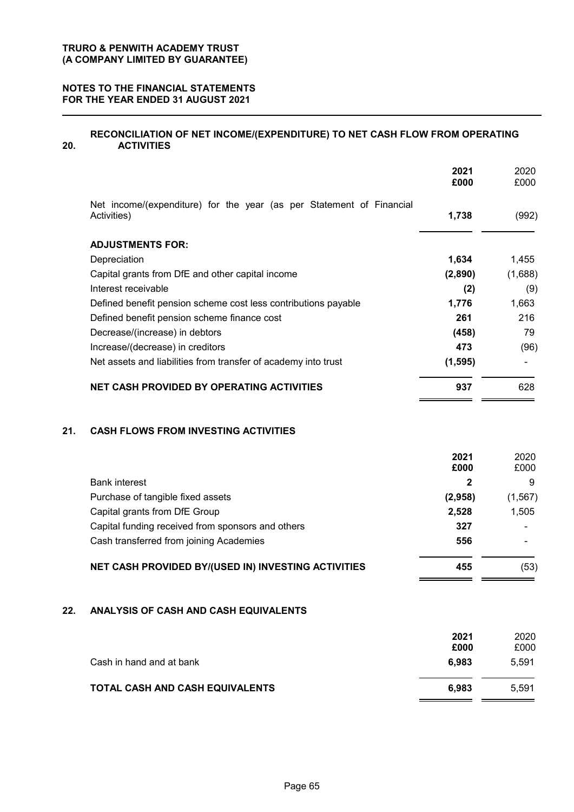#### **NOTES TO THE FINANCIAL STATEMENTS FOR THE YEAR ENDED 31 AUGUST 2021**

#### **20. RECONCILIATION OF NET INCOME/(EXPENDITURE) TO NET CASH FLOW FROM OPERATING ACTIVITIES**

|                                                                                     | 2021<br>£000 | 2020<br>£000 |
|-------------------------------------------------------------------------------------|--------------|--------------|
| Net income/(expenditure) for the year (as per Statement of Financial<br>Activities) | 1,738        | (992)        |
| <b>ADJUSTMENTS FOR:</b>                                                             |              |              |
| Depreciation                                                                        | 1,634        | 1,455        |
| Capital grants from DfE and other capital income                                    | (2,890)      | (1,688)      |
| Interest receivable                                                                 | (2)          | (9)          |
| Defined benefit pension scheme cost less contributions payable                      | 1,776        | 1,663        |
| Defined benefit pension scheme finance cost                                         | 261          | 216          |
| Decrease/(increase) in debtors                                                      | (458)        | 79           |
| Increase/(decrease) in creditors                                                    | 473          | (96)         |
| Net assets and liabilities from transfer of academy into trust                      | (1, 595)     |              |
| <b>NET CASH PROVIDED BY OPERATING ACTIVITIES</b>                                    | 937          | 628          |

#### **21. CASH FLOWS FROM INVESTING ACTIVITIES**

|                                                            | 2021<br>£000 | 2020<br>£000 |
|------------------------------------------------------------|--------------|--------------|
| <b>Bank interest</b>                                       |              | 9            |
| Purchase of tangible fixed assets                          | (2,958)      | (1, 567)     |
| Capital grants from DfE Group                              | 2,528        | 1,505        |
| Capital funding received from sponsors and others          | 327          |              |
| Cash transferred from joining Academies                    | 556          |              |
| <b>NET CASH PROVIDED BY/(USED IN) INVESTING ACTIVITIES</b> | 455          | (53)         |

 $\blacksquare$  $\mathbf{r}$ 

### **22. ANALYSIS OF CASH AND CASH EQUIVALENTS**

|                                 | 2021<br>£000 | 2020<br>£000 |
|---------------------------------|--------------|--------------|
| Cash in hand and at bank        | 6.983        | 5.591        |
| TOTAL CASH AND CASH EQUIVALENTS | 6.983        | 5.591        |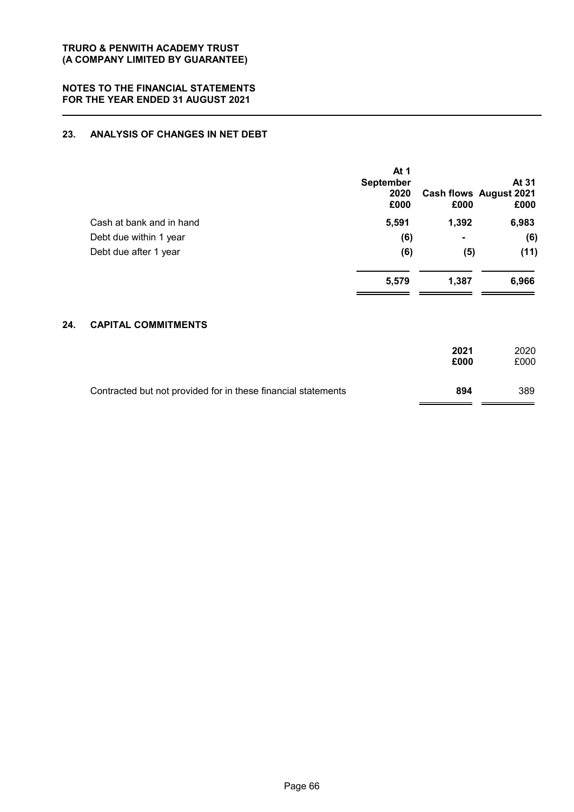### **23. ANALYSIS OF CHANGES IN NET DEBT**

|     |                            | At 1<br><b>September</b><br>2020<br>£000 | £000           | At 31<br><b>Cash flows August 2021</b><br>£000 |
|-----|----------------------------|------------------------------------------|----------------|------------------------------------------------|
|     | Cash at bank and in hand   | 5,591                                    | 1,392          | 6,983                                          |
|     | Debt due within 1 year     | (6)                                      | $\blacksquare$ | (6)                                            |
|     | Debt due after 1 year      | (6)                                      | (5)            | (11)                                           |
|     |                            | 5,579                                    | 1,387          | 6,966                                          |
| 24. | <b>CAPITAL COMMITMENTS</b> |                                          |                |                                                |
|     |                            |                                          | 2021<br>£000   | 2020<br>£000                                   |

| Contracted but not provided for in these financial statements | 894 | 389 |
|---------------------------------------------------------------|-----|-----|
|                                                               |     |     |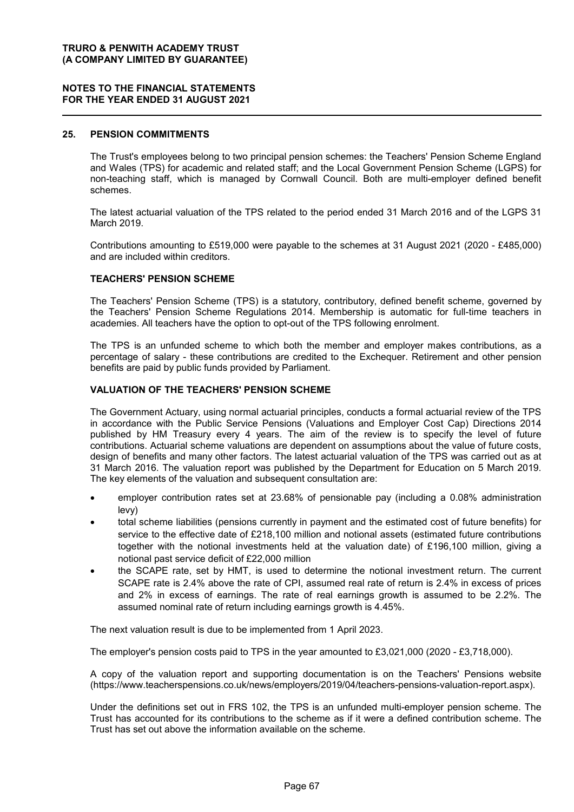#### **NOTES TO THE FINANCIAL STATEMENTS FOR THE YEAR ENDED 31 AUGUST 2021**

#### **25. PENSION COMMITMENTS**

The Trust's employees belong to two principal pension schemes: the Teachers' Pension Scheme England and Wales (TPS) for academic and related staff; and the Local Government Pension Scheme (LGPS) for non-teaching staff, which is managed by Cornwall Council. Both are multi-employer defined benefit schemes.

The latest actuarial valuation of the TPS related to the period ended 31 March 2016 and of the LGPS 31 March 2019.

Contributions amounting to £519,000 were payable to the schemes at 31 August 2021 (2020 - £485,000) and are included within creditors.

#### **TEACHERS' PENSION SCHEME**

The Teachers' Pension Scheme (TPS) is a statutory, contributory, defined benefit scheme, governed by the Teachers' Pension Scheme Regulations 2014. Membership is automatic for full-time teachers in academies. All teachers have the option to opt-out of the TPS following enrolment.

The TPS is an unfunded scheme to which both the member and employer makes contributions, as a percentage of salary - these contributions are credited to the Exchequer. Retirement and other pension benefits are paid by public funds provided by Parliament.

#### **VALUATION OF THE TEACHERS' PENSION SCHEME**

The Government Actuary, using normal actuarial principles, conducts a formal actuarial review of the TPS in accordance with the Public Service Pensions (Valuations and Employer Cost Cap) Directions 2014 published by HM Treasury every 4 years. The aim of the review is to specify the level of future contributions. Actuarial scheme valuations are dependent on assumptions about the value of future costs, design of benefits and many other factors. The latest actuarial valuation of the TPS was carried out as at 31 March 2016. The valuation report was published by the Department for Education on 5 March 2019. The key elements of the valuation and subsequent consultation are:

- employer contribution rates set at 23.68% of pensionable pay (including a 0.08% administration levy)
- total scheme liabilities (pensions currently in payment and the estimated cost of future benefits) for service to the effective date of £218,100 million and notional assets (estimated future contributions together with the notional investments held at the valuation date) of £196,100 million, giving a notional past service deficit of £22,000 million
- the SCAPE rate, set by HMT, is used to determine the notional investment return. The current SCAPE rate is 2.4% above the rate of CPI, assumed real rate of return is 2.4% in excess of prices and 2% in excess of earnings. The rate of real earnings growth is assumed to be 2.2%. The assumed nominal rate of return including earnings growth is 4.45%.

The next valuation result is due to be implemented from 1 April 2023.

The employer's pension costs paid to TPS in the year amounted to £3,021,000 (2020 - £3,718,000).

A copy of the valuation report and supporting documentation is on the Teachers' Pensions website (https://www.teacherspensions.co.uk/news/employers/2019/04/teachers-pensions-valuation-report.aspx).

Under the definitions set out in FRS 102, the TPS is an unfunded multi-employer pension scheme. The Trust has accounted for its contributions to the scheme as if it were a defined contribution scheme. The Trust has set out above the information available on the scheme.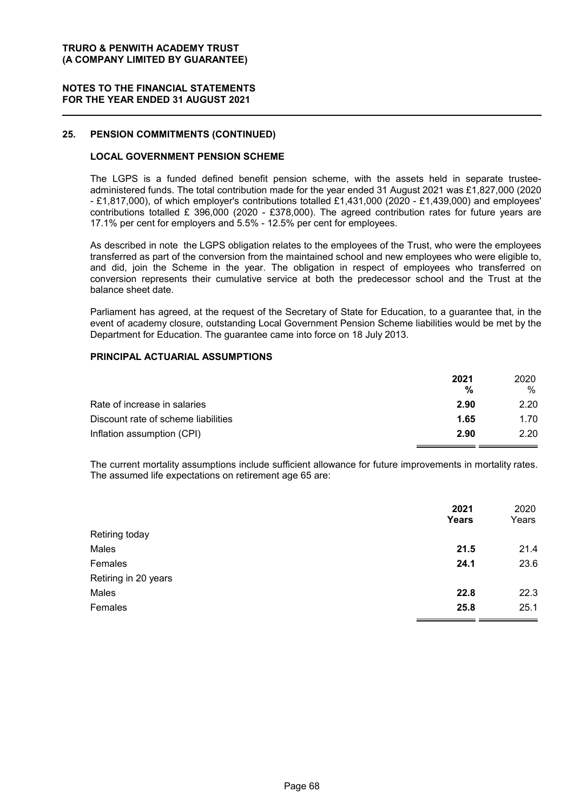#### **NOTES TO THE FINANCIAL STATEMENTS FOR THE YEAR ENDED 31 AUGUST 2021**

#### **25. PENSION COMMITMENTS (CONTINUED)**

#### **LOCAL GOVERNMENT PENSION SCHEME**

The LGPS is a funded defined benefit pension scheme, with the assets held in separate trusteeadministered funds. The total contribution made for the year ended 31 August 2021 was £1,827,000 (2020 - £1,817,000), of which employer's contributions totalled £1,431,000 (2020 - £1,439,000) and employees' contributions totalled £ 396,000 (2020 - £378,000). The agreed contribution rates for future years are 17.1% per cent for employers and 5.5% - 12.5% per cent for employees.

As described in note the LGPS obligation relates to the employees of the Trust, who were the employees transferred as part of the conversion from the maintained school and new employees who were eligible to, and did, join the Scheme in the year. The obligation in respect of employees who transferred on conversion represents their cumulative service at both the predecessor school and the Trust at the balance sheet date.

Parliament has agreed, at the request of the Secretary of State for Education, to a guarantee that, in the event of academy closure, outstanding Local Government Pension Scheme liabilities would be met by the Department for Education. The guarantee came into force on 18 July 2013.

#### **PRINCIPAL ACTUARIAL ASSUMPTIONS**

|                                     | 2021<br>% | 2020<br>% |
|-------------------------------------|-----------|-----------|
| Rate of increase in salaries        | 2.90      | 2.20      |
| Discount rate of scheme liabilities | 1.65      | 1.70      |
| Inflation assumption (CPI)          | 2.90      | 2.20      |

The current mortality assumptions include sufficient allowance for future improvements in mortality rates. The assumed life expectations on retirement age 65 are:

|                      | 2021<br>Years | 2020<br>Years |
|----------------------|---------------|---------------|
| Retiring today       |               |               |
| Males                | 21.5          | 21.4          |
| Females              | 24.1          | 23.6          |
| Retiring in 20 years |               |               |
| Males                | 22.8          | 22.3          |
| Females              | 25.8          | 25.1          |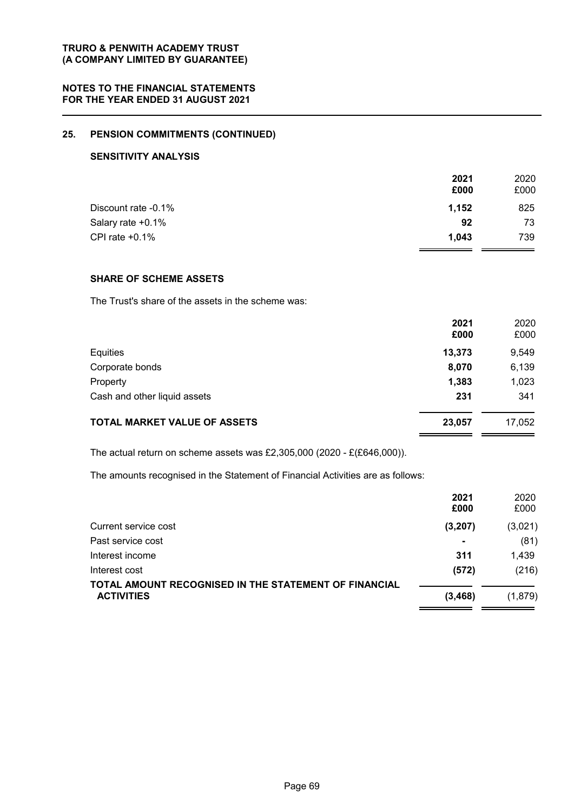### **25. PENSION COMMITMENTS (CONTINUED)**

#### **SENSITIVITY ANALYSIS**

|                     | 2021  | 2020 |
|---------------------|-------|------|
|                     | £000  | £000 |
| Discount rate -0.1% | 1,152 | 825  |
| Salary rate +0.1%   | 92    | 73   |
| CPI rate $+0.1\%$   | 1.043 | 739  |

#### **SHARE OF SCHEME ASSETS**

The Trust's share of the assets in the scheme was:

|                                     | 2021<br>£000 | 2020<br>£000 |
|-------------------------------------|--------------|--------------|
| Equities                            | 13,373       | 9,549        |
| Corporate bonds                     | 8,070        | 6,139        |
| Property                            | 1,383        | 1,023        |
| Cash and other liquid assets        | 231          | 341          |
| <b>TOTAL MARKET VALUE OF ASSETS</b> | 23,057       | 17,052       |

The actual return on scheme assets was £2,305,000 (2020 - £(£646,000)).

The amounts recognised in the Statement of Financial Activities are as follows:

|                                                       | 2021           | 2020    |
|-------------------------------------------------------|----------------|---------|
|                                                       | £000           | £000    |
| Current service cost                                  | (3, 207)       | (3,021) |
| Past service cost                                     | $\blacksquare$ | (81)    |
| Interest income                                       | 311            | 1,439   |
| Interest cost                                         | (572)          | (216)   |
| TOTAL AMOUNT RECOGNISED IN THE STATEMENT OF FINANCIAL |                |         |
| <b>ACTIVITIES</b>                                     | (3, 468)       | (1,879) |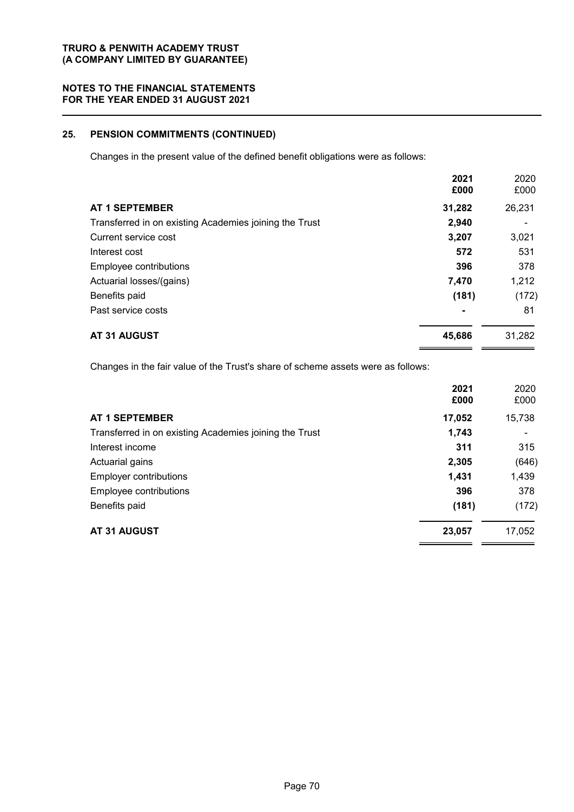#### **NOTES TO THE FINANCIAL STATEMENTS FOR THE YEAR ENDED 31 AUGUST 2021**

## **25. PENSION COMMITMENTS (CONTINUED)**

Changes in the present value of the defined benefit obligations were as follows:

|                                                        | 2021<br>£000 | 2020<br>£000 |
|--------------------------------------------------------|--------------|--------------|
| <b>AT 1 SEPTEMBER</b>                                  | 31,282       | 26,231       |
| Transferred in on existing Academies joining the Trust | 2,940        |              |
| Current service cost                                   | 3,207        | 3,021        |
| Interest cost                                          | 572          | 531          |
| Employee contributions                                 | 396          | 378          |
| Actuarial losses/(gains)                               | 7,470        | 1,212        |
| Benefits paid                                          | (181)        | (172)        |
| Past service costs                                     | ۰            | 81           |
| AT 31 AUGUST                                           | 45,686       | 31,282       |

Changes in the fair value of the Trust's share of scheme assets were as follows:

|                                                        | 2021<br>£000 | 2020<br>£000 |
|--------------------------------------------------------|--------------|--------------|
| <b>AT 1 SEPTEMBER</b>                                  | 17,052       | 15,738       |
| Transferred in on existing Academies joining the Trust | 1,743        |              |
| Interest income                                        | 311          | 315          |
| Actuarial gains                                        | 2,305        | (646)        |
| <b>Employer contributions</b>                          | 1,431        | 1,439        |
| Employee contributions                                 | 396          | 378          |
| Benefits paid                                          | (181)        | (172)        |
| AT 31 AUGUST                                           | 23,057       | 17,052       |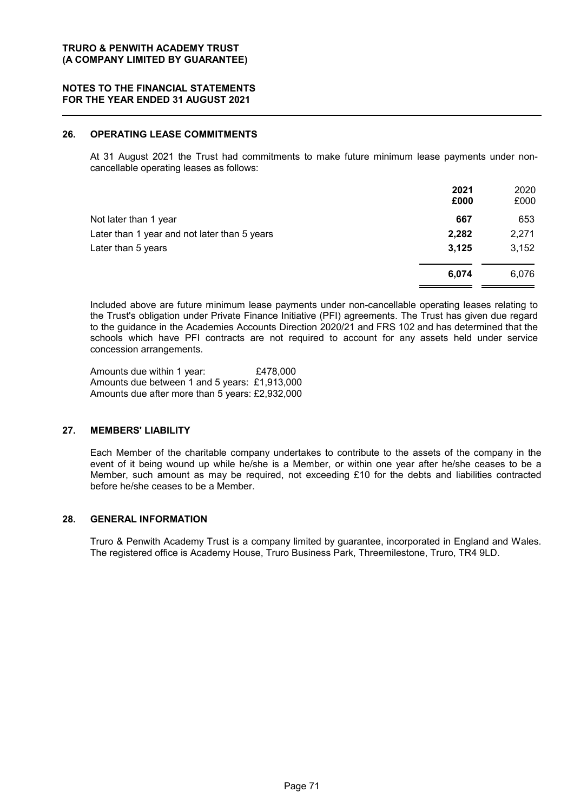#### **TRURO & PENWITH ACADEMY TRUST (A COMPANY LIMITED BY GUARANTEE)**

#### **NOTES TO THE FINANCIAL STATEMENTS FOR THE YEAR ENDED 31 AUGUST 2021**

### **26. OPERATING LEASE COMMITMENTS**

At 31 August 2021 the Trust had commitments to make future minimum lease payments under noncancellable operating leases as follows:

|                                              | 2021<br>£000 | 2020<br>£000 |
|----------------------------------------------|--------------|--------------|
| Not later than 1 year                        | 667          | 653          |
| Later than 1 year and not later than 5 years | 2,282        | 2,271        |
| Later than 5 years                           | 3,125        | 3,152        |
|                                              | 6,074        | 6,076        |

Included above are future minimum lease payments under non-cancellable operating leases relating to the Trust's obligation under Private Finance Initiative (PFI) agreements. The Trust has given due regard to the guidance in the Academies Accounts Direction 2020/21 and FRS 102 and has determined that the schools which have PFI contracts are not required to account for any assets held under service concession arrangements.

Amounts due within 1 year: £478,000 Amounts due between 1 and 5 years: £1,913,000 Amounts due after more than 5 years: £2,932,000

## **27. MEMBERS' LIABILITY**

Each Member of the charitable company undertakes to contribute to the assets of the company in the event of it being wound up while he/she is a Member, or within one year after he/she ceases to be a Member, such amount as may be required, not exceeding £10 for the debts and liabilities contracted before he/she ceases to be a Member.

#### **28. GENERAL INFORMATION**

Truro & Penwith Academy Trust is a company limited by guarantee, incorporated in England and Wales. The registered office is Academy House, Truro Business Park, Threemilestone, Truro, TR4 9LD.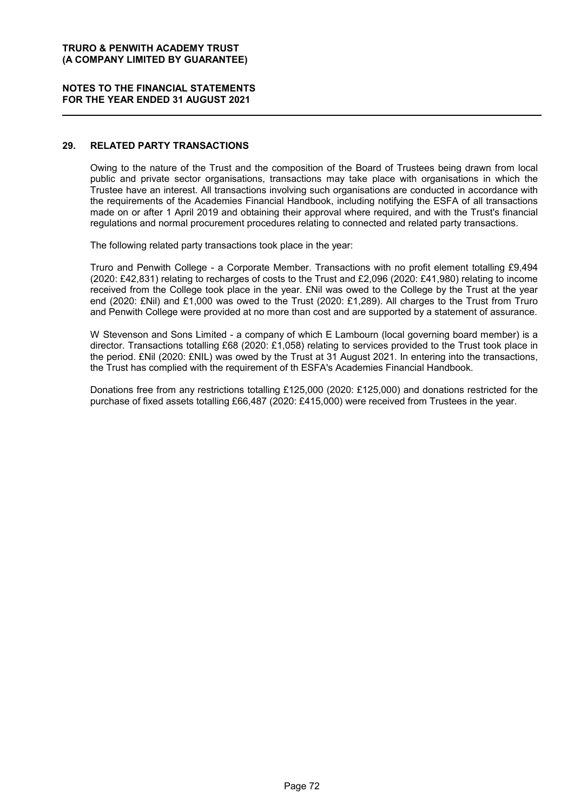#### **TRURO & PENWITH ACADEMY TRUST (A COMPANY LIMITED BY GUARANTEE)**

#### **NOTES TO THE FINANCIAL STATEMENTS FOR THE YEAR ENDED 31 AUGUST 2021**

#### **29. RELATED PARTY TRANSACTIONS**

Owing to the nature of the Trust and the composition of the Board of Trustees being drawn from local public and private sector organisations, transactions may take place with organisations in which the Trustee have an interest. All transactions involving such organisations are conducted in accordance with the requirements of the Academies Financial Handbook, including notifying the ESFA of all transactions made on or after 1 April 2019 and obtaining their approval where required, and with the Trust's financial regulations and normal procurement procedures relating to connected and related party transactions.

The following related party transactions took place in the year:

Truro and Penwith College - a Corporate Member. Transactions with no profit element totalling £9,494 (2020: £42,831) relating to recharges of costs to the Trust and £2,096 (2020: £41,980) relating to income received from the College took place in the year. £Nil was owed to the College by the Trust at the year end (2020: £Nil) and £1,000 was owed to the Trust (2020: £1,289). All charges to the Trust from Truro and Penwith College were provided at no more than cost and are supported by a statement of assurance.

W Stevenson and Sons Limited - a company of which E Lambourn (local governing board member) is a director. Transactions totalling £68 (2020: £1,058) relating to services provided to the Trust took place in the period. £Nil (2020: £NIL) was owed by the Trust at 31 August 2021. In entering into the transactions, the Trust has complied with the requirement of th ESFA's Academies Financial Handbook.

Donations free from any restrictions totalling £125,000 (2020: £125,000) and donations restricted for the purchase of fixed assets totalling £66,487 (2020: £415,000) were received from Trustees in the year.